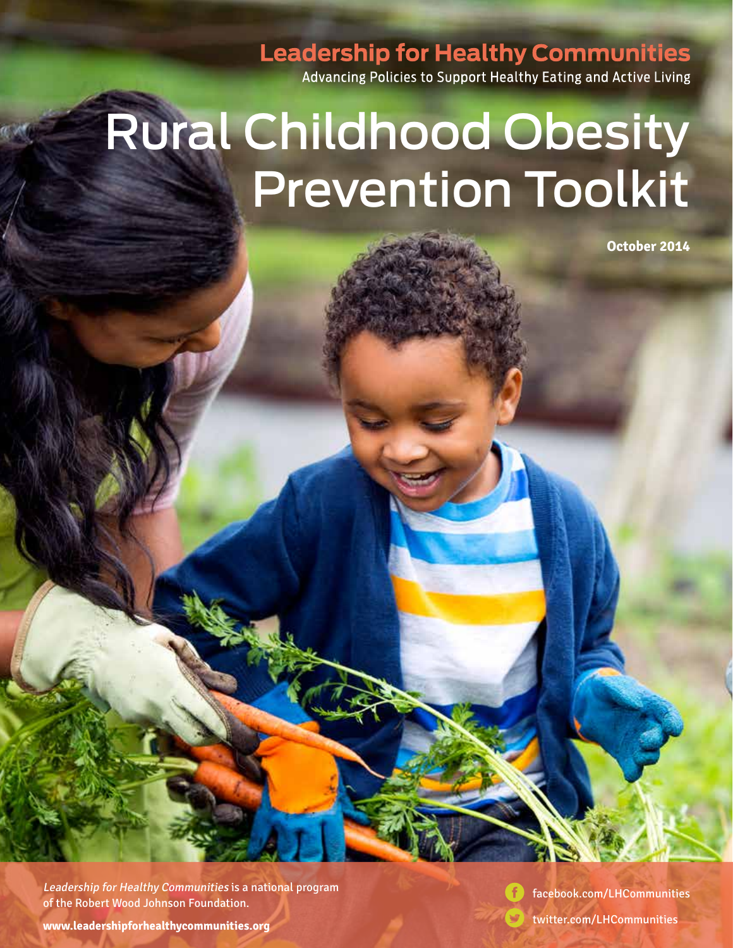**Leadership for Healthy Communities** 

Advancing Policies to Support Healthy Eating and Active Living

# Rural Childhood Obesity Prevention Toolkit

**October 2014**

Leadership for Healthy Communities is a national program of the Robert Wood Johnson Foundation.

[facebook.com/LHCommunities](http://www.facebook.com/LHCommunities)

**www.leadershipforhealthycommunities.org** twitter.com/LHCommunities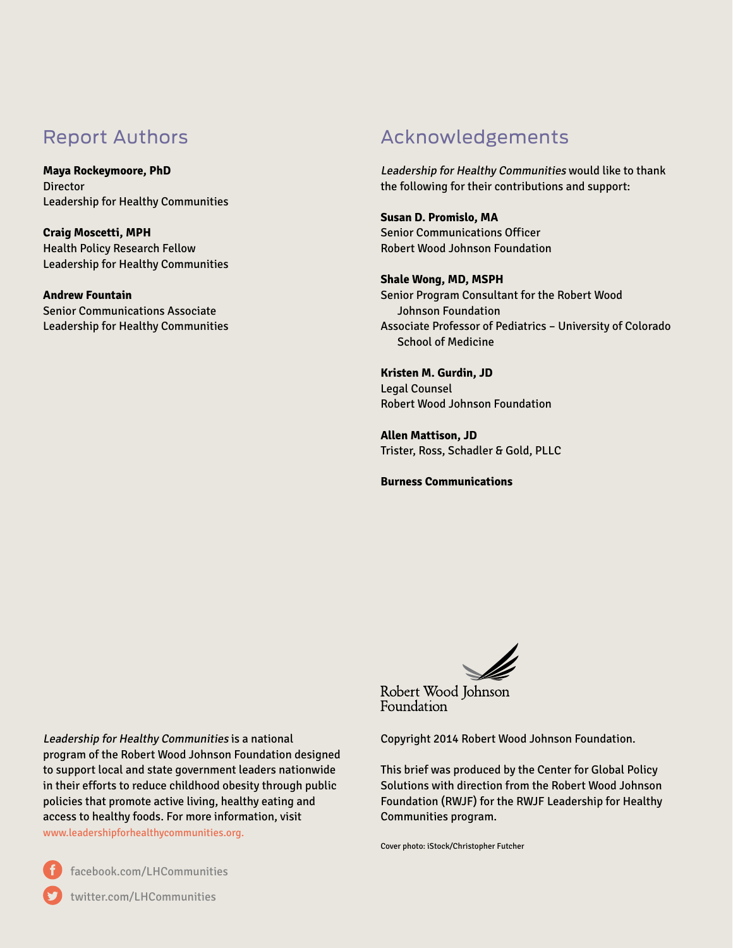## Report Authors

**Maya Rockeymoore, PhD Director** Leadership for Healthy Communities

**Craig Moscetti, MPH** Health Policy Research Fellow Leadership for Healthy Communities

**Andrew Fountain** Senior Communications Associate Leadership for Healthy Communities

## Acknowledgements

Leadership for Healthy Communities would like to thank the following for their contributions and support:

**Susan D. Promislo, MA** Senior Communications Officer Robert Wood Johnson Foundation

**Shale Wong, MD, MSPH** Senior Program Consultant for the Robert Wood Johnson Foundation Associate Professor of Pediatrics – University of Colorado School of Medicine

**Kristen M. Gurdin, JD** Legal Counsel Robert Wood Johnson Foundation

**Allen Mattison, JD** Trister, Ross, Schadler & Gold, PLLC

**Burness Communications**



Robert Wood Johnson Foundation

Copyright 2014 Robert Wood Johnson Foundation.

This brief was produced by the Center for Global Policy Solutions with direction from the Robert Wood Johnson Foundation (RWJF) for the RWJF Leadership for Healthy Communities program.

Cover photo: iStock/Christopher Futcher

Leadership for Healthy Communities is a national program of the Robert Wood Johnson Foundation designed to support local and state government leaders nationwide in their efforts to reduce childhood obesity through public policies that promote active living, healthy eating and access to healthy foods. For more information, visit [www.leadershipforhealthycommunities.org.](http://www.leadershipforhealthycommunities.org)

## [twitter.com/LHCommunities](http://www.twitter.com/LHCommunities)

[facebook.com/LHCommunities](http://www.facebook.com/LHCommunities)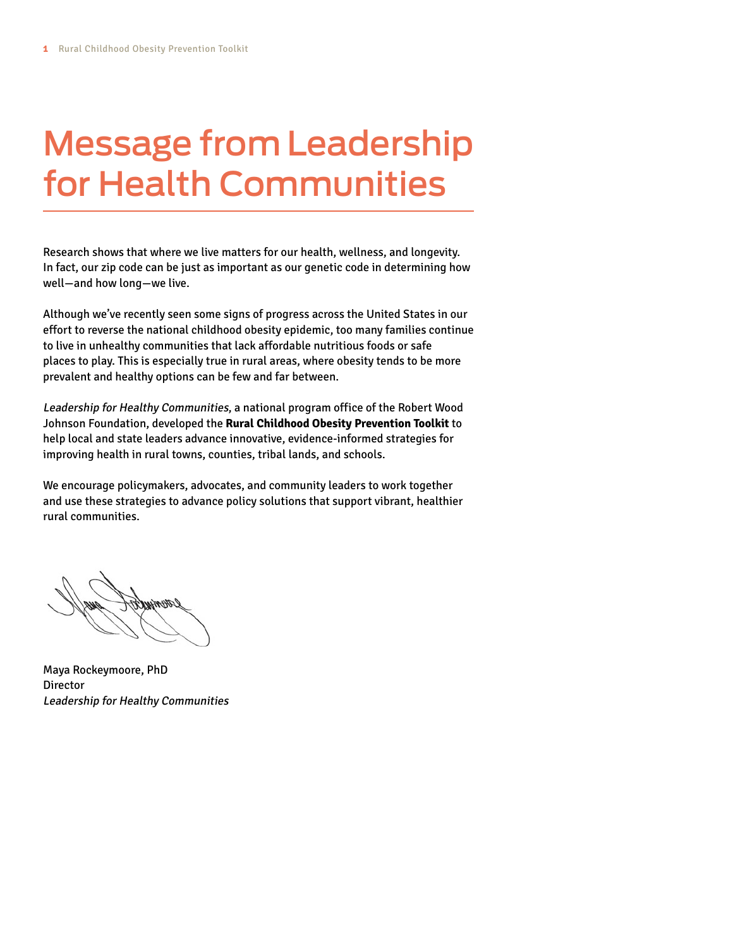# Message from Leadership for Health Communities

Research shows that where we live matters for our health, wellness, and longevity. In fact, our zip code can be just as important as our genetic code in determining how well—and how long—we live.

Although we've recently seen some signs of progress across the United States in our effort to reverse the national childhood obesity epidemic, too many families continue to live in unhealthy communities that lack affordable nutritious foods or safe places to play. This is especially true in rural areas, where obesity tends to be more prevalent and healthy options can be few and far between.

Leadership for Healthy Communities, a national program office of the Robert Wood Johnson Foundation, developed the **Rural Childhood Obesity Prevention Toolkit** to help local and state leaders advance innovative, evidence-informed strategies for improving health in rural towns, counties, tribal lands, and schools.

We encourage policymakers, advocates, and community leaders to work together and use these strategies to advance policy solutions that support vibrant, healthier rural communities.

Maya Rockeymoore, PhD Director Leadership for Healthy Communities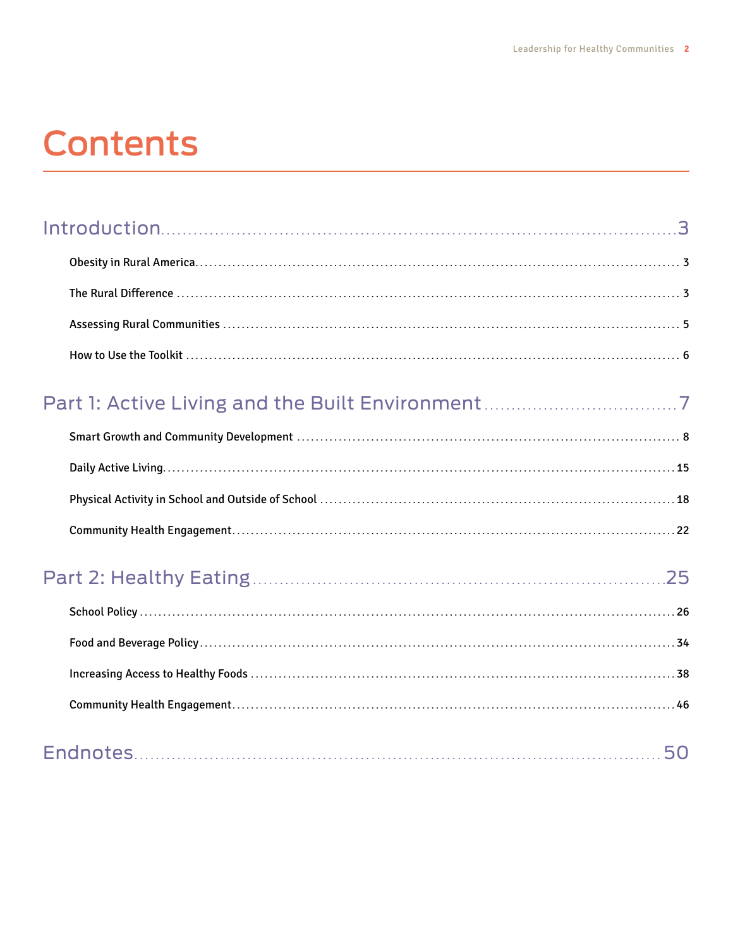# **Contents**

## Part 1: Active Living and the Built Environment . . . . . . . . . . . . . . . . . . . . . . . . . . . . . . . . . . . . 7

## Part 2: Healthy Eating . . . . . . . . . . . . . . . . . . . . . . . . . . . . . . . . . . . . . . . . . . . . . . . . . . . . . . . . . . . . . . . . . . . . . . . . . . . . 25

|--|--|--|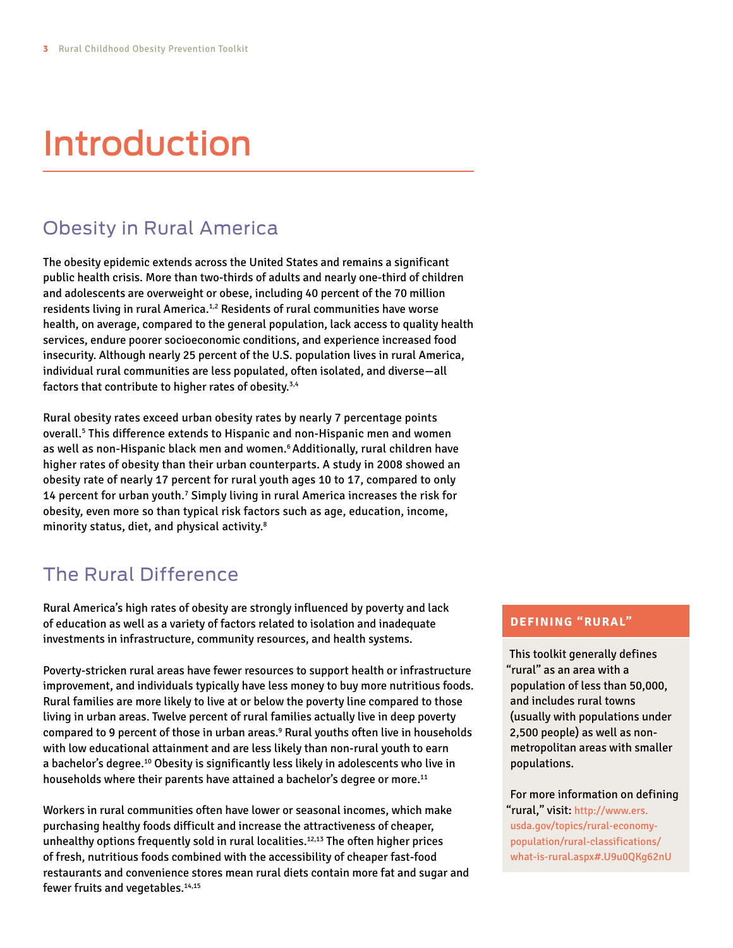# Introduction

## Obesity in Rural America

The obesity epidemic extends across the United States and remains a significant public health crisis. More than two-thirds of adults and nearly one-third of children and adolescents are overweight or obese, including 40 percent of the 70 million residents living in rural America.<sup>1,2</sup> Residents of rural communities have worse health, on average, compared to the general population, lack access to quality health services, endure poorer socioeconomic conditions, and experience increased food insecurity. Although nearly 25 percent of the U.S. population lives in rural America, individual rural communities are less populated, often isolated, and diverse—all factors that contribute to higher rates of obesity.3,4

Rural obesity rates exceed urban obesity rates by nearly 7 percentage points overall.5 This difference extends to Hispanic and non-Hispanic men and women as well as non-Hispanic black men and women.<sup>6</sup> Additionally, rural children have higher rates of obesity than their urban counterparts. A study in 2008 showed an obesity rate of nearly 17 percent for rural youth ages 10 to 17, compared to only 14 percent for urban youth.7 Simply living in rural America increases the risk for obesity, even more so than typical risk factors such as age, education, income, minority status, diet, and physical activity.8

## The Rural Difference

Rural America's high rates of obesity are strongly influenced by poverty and lack of education as well as a variety of factors related to isolation and inadequate investments in infrastructure, community resources, and health systems.

Poverty-stricken rural areas have fewer resources to support health or infrastructure improvement, and individuals typically have less money to buy more nutritious foods. Rural families are more likely to live at or below the poverty line compared to those living in urban areas. Twelve percent of rural families actually live in deep poverty compared to 9 percent of those in urban areas.<sup>9</sup> Rural youths often live in households with low educational attainment and are less likely than non-rural youth to earn a bachelor's degree.10 Obesity is significantly less likely in adolescents who live in households where their parents have attained a bachelor's degree or more.<sup>11</sup>

Workers in rural communities often have lower or seasonal incomes, which make purchasing healthy foods difficult and increase the attractiveness of cheaper, unhealthy options frequently sold in rural localities.<sup>12,13</sup> The often higher prices of fresh, nutritious foods combined with the accessibility of cheaper fast-food restaurants and convenience stores mean rural diets contain more fat and sugar and fewer fruits and vegetables.<sup>14,15</sup>

#### **DEFINING "RURAL"**

This toolkit generally defines "rural" as an area with a population of less than 50,000, and includes rural towns (usually with populations under 2,500 people) as well as nonmetropolitan areas with smaller populations.

For more information on defining "rural," visit: [http://www.ers.](http://www.ers.usda.gov/topics/rural-economy-population/rural-classifications/what-is-rural.aspx) [usda.gov/topics/rural-economy](http://www.ers.usda.gov/topics/rural-economy-population/rural-classifications/what-is-rural.aspx)[population/rural-classifications/](http://www.ers.usda.gov/topics/rural-economy-population/rural-classifications/what-is-rural.aspx) [what-is-rural.aspx](http://www.ers.usda.gov/topics/rural-economy-population/rural-classifications/what-is-rural.aspx)#.U9u0QKg62nU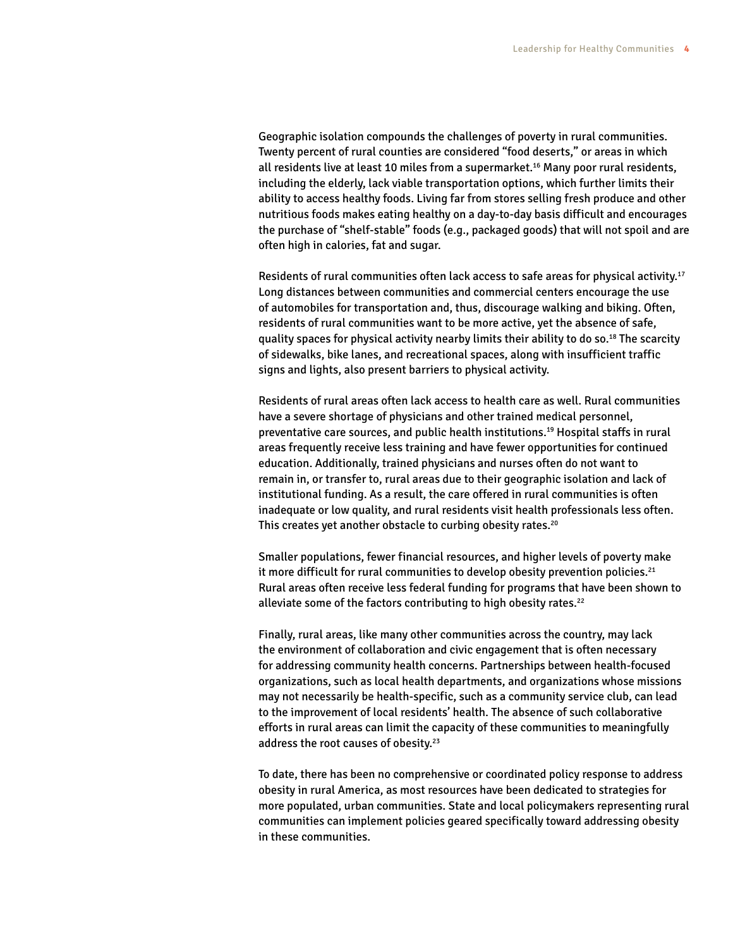Geographic isolation compounds the challenges of poverty in rural communities. Twenty percent of rural counties are considered "food deserts," or areas in which all residents live at least 10 miles from a supermarket.16 Many poor rural residents, including the elderly, lack viable transportation options, which further limits their ability to access healthy foods. Living far from stores selling fresh produce and other nutritious foods makes eating healthy on a day-to-day basis difficult and encourages the purchase of "shelf-stable" foods (e.g., packaged goods) that will not spoil and are often high in calories, fat and sugar.

Residents of rural communities often lack access to safe areas for physical activity.<sup>17</sup> Long distances between communities and commercial centers encourage the use of automobiles for transportation and, thus, discourage walking and biking. Often, residents of rural communities want to be more active, yet the absence of safe, quality spaces for physical activity nearby limits their ability to do so.<sup>18</sup> The scarcity of sidewalks, bike lanes, and recreational spaces, along with insufficient traffic signs and lights, also present barriers to physical activity.

Residents of rural areas often lack access to health care as well. Rural communities have a severe shortage of physicians and other trained medical personnel, preventative care sources, and public health institutions.19 Hospital staffs in rural areas frequently receive less training and have fewer opportunities for continued education. Additionally, trained physicians and nurses often do not want to remain in, or transfer to, rural areas due to their geographic isolation and lack of institutional funding. As a result, the care offered in rural communities is often inadequate or low quality, and rural residents visit health professionals less often. This creates yet another obstacle to curbing obesity rates.<sup>20</sup>

Smaller populations, fewer financial resources, and higher levels of poverty make it more difficult for rural communities to develop obesity prevention policies. $21$ Rural areas often receive less federal funding for programs that have been shown to alleviate some of the factors contributing to high obesity rates.<sup>22</sup>

Finally, rural areas, like many other communities across the country, may lack the environment of collaboration and civic engagement that is often necessary for addressing community health concerns. Partnerships between health-focused organizations, such as local health departments, and organizations whose missions may not necessarily be health-specific, such as a community service club, can lead to the improvement of local residents' health. The absence of such collaborative efforts in rural areas can limit the capacity of these communities to meaningfully address the root causes of obesity.<sup>23</sup>

To date, there has been no comprehensive or coordinated policy response to address obesity in rural America, as most resources have been dedicated to strategies for more populated, urban communities. State and local policymakers representing rural communities can implement policies geared specifically toward addressing obesity in these communities.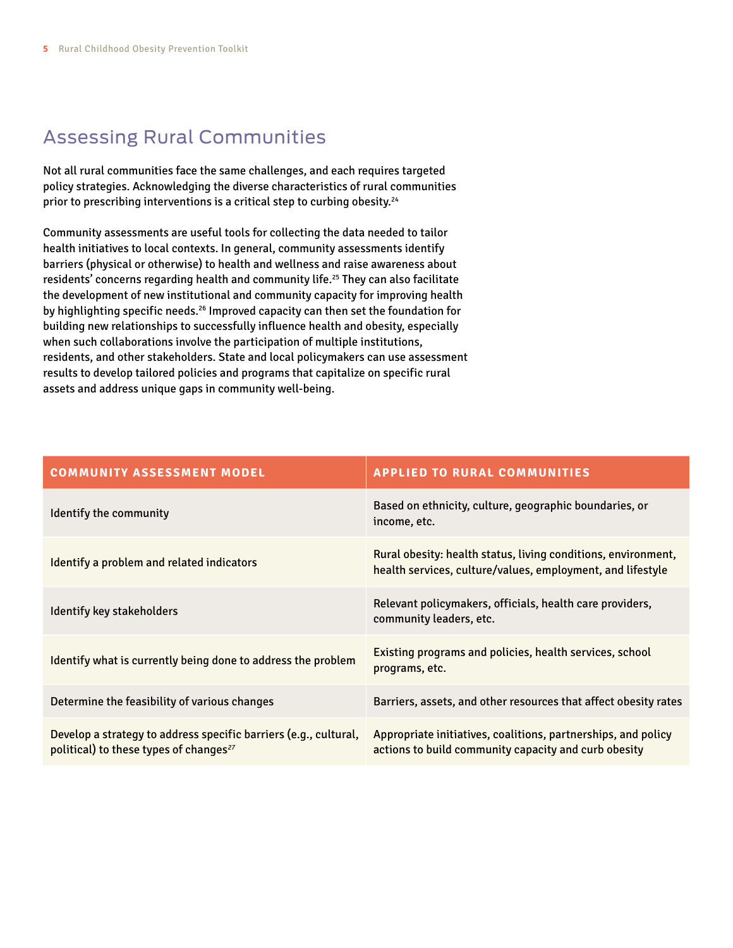## Assessing Rural Communities

Not all rural communities face the same challenges, and each requires targeted policy strategies. Acknowledging the diverse characteristics of rural communities prior to prescribing interventions is a critical step to curbing obesity.<sup>24</sup>

Community assessments are useful tools for collecting the data needed to tailor health initiatives to local contexts. In general, community assessments identify barriers (physical or otherwise) to health and wellness and raise awareness about residents' concerns regarding health and community life.<sup>25</sup> They can also facilitate the development of new institutional and community capacity for improving health by highlighting specific needs.<sup>26</sup> Improved capacity can then set the foundation for building new relationships to successfully influence health and obesity, especially when such collaborations involve the participation of multiple institutions, residents, and other stakeholders. State and local policymakers can use assessment results to develop tailored policies and programs that capitalize on specific rural assets and address unique gaps in community well-being.

| <b>COMMUNITY ASSESSMENT MODEL</b>                                                                                      | <b>APPLIED TO RURAL COMMUNITIES</b>                                                                                         |
|------------------------------------------------------------------------------------------------------------------------|-----------------------------------------------------------------------------------------------------------------------------|
| Identify the community                                                                                                 | Based on ethnicity, culture, geographic boundaries, or<br>income, etc.                                                      |
| Identify a problem and related indicators                                                                              | Rural obesity: health status, living conditions, environment,<br>health services, culture/values, employment, and lifestyle |
| Identify key stakeholders                                                                                              | Relevant policymakers, officials, health care providers,<br>community leaders, etc.                                         |
| Identify what is currently being done to address the problem                                                           | Existing programs and policies, health services, school<br>programs, etc.                                                   |
| Determine the feasibility of various changes                                                                           | Barriers, assets, and other resources that affect obesity rates                                                             |
| Develop a strategy to address specific barriers (e.g., cultural,<br>political) to these types of changes <sup>27</sup> | Appropriate initiatives, coalitions, partnerships, and policy<br>actions to build community capacity and curb obesity       |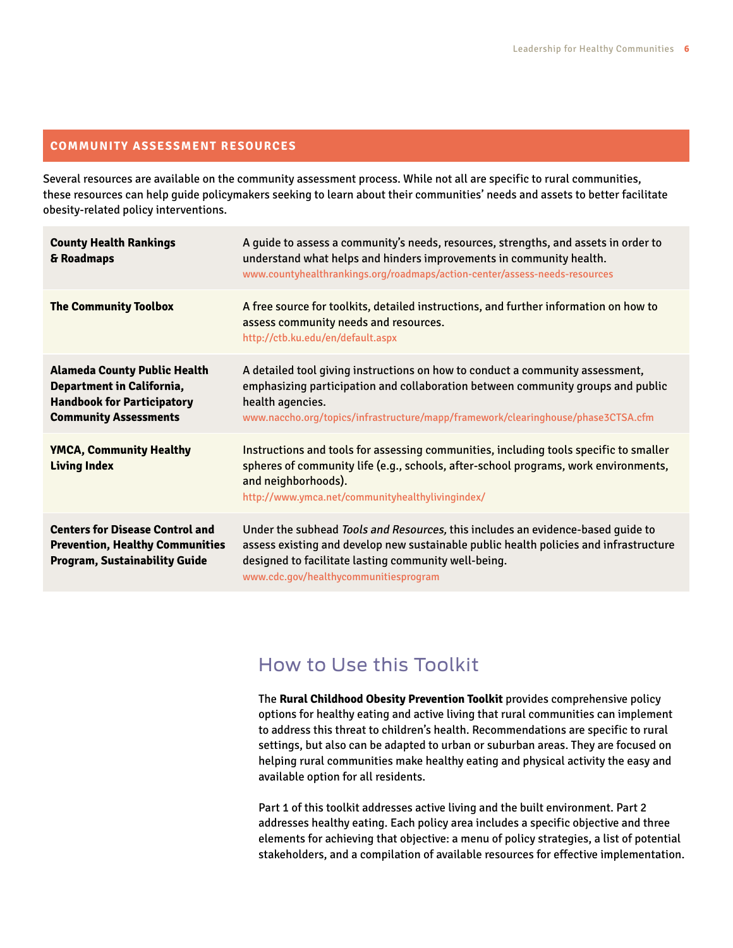#### **COMMUNITY ASSESSMENT RESOURCES**

Several resources are available on the community assessment process. While not all are specific to rural communities, these resources can help guide policymakers seeking to learn about their communities' needs and assets to better facilitate obesity-related policy interventions.

| <b>County Health Rankings</b><br>& Roadmaps                                                                                                  | A guide to assess a community's needs, resources, strengths, and assets in order to<br>understand what helps and hinders improvements in community health.<br>www.countyhealthrankings.org/roadmaps/action-center/assess-needs-resources                                  |
|----------------------------------------------------------------------------------------------------------------------------------------------|---------------------------------------------------------------------------------------------------------------------------------------------------------------------------------------------------------------------------------------------------------------------------|
| <b>The Community Toolbox</b>                                                                                                                 | A free source for toolkits, detailed instructions, and further information on how to<br>assess community needs and resources.<br>http://ctb.ku.edu/en/default.aspx                                                                                                        |
| <b>Alameda County Public Health</b><br><b>Department in California,</b><br><b>Handbook for Participatory</b><br><b>Community Assessments</b> | A detailed tool giving instructions on how to conduct a community assessment,<br>emphasizing participation and collaboration between community groups and public<br>health agencies.<br>www.naccho.org/topics/infrastructure/mapp/framework/clearinghouse/phase3CTSA.cfm  |
| <b>YMCA, Community Healthy</b><br><b>Living Index</b>                                                                                        | Instructions and tools for assessing communities, including tools specific to smaller<br>spheres of community life (e.g., schools, after-school programs, work environments,<br>and neighborhoods).<br>http://www.ymca.net/communityhealthylivingindex/                   |
| <b>Centers for Disease Control and</b><br><b>Prevention, Healthy Communities</b><br><b>Program, Sustainability Guide</b>                     | Under the subhead Tools and Resources, this includes an evidence-based quide to<br>assess existing and develop new sustainable public health policies and infrastructure<br>designed to facilitate lasting community well-being.<br>www.cdc.gov/healthycommunitiesprogram |

## How to Use this Toolkit

The **Rural Childhood Obesity Prevention Toolkit** provides comprehensive policy options for healthy eating and active living that rural communities can implement to address this threat to children's health. Recommendations are specific to rural settings, but also can be adapted to urban or suburban areas. They are focused on helping rural communities make healthy eating and physical activity the easy and available option for all residents.

Part 1 of this toolkit addresses active living and the built environment. Part 2 addresses healthy eating. Each policy area includes a specific objective and three elements for achieving that objective: a menu of policy strategies, a list of potential stakeholders, and a compilation of available resources for effective implementation.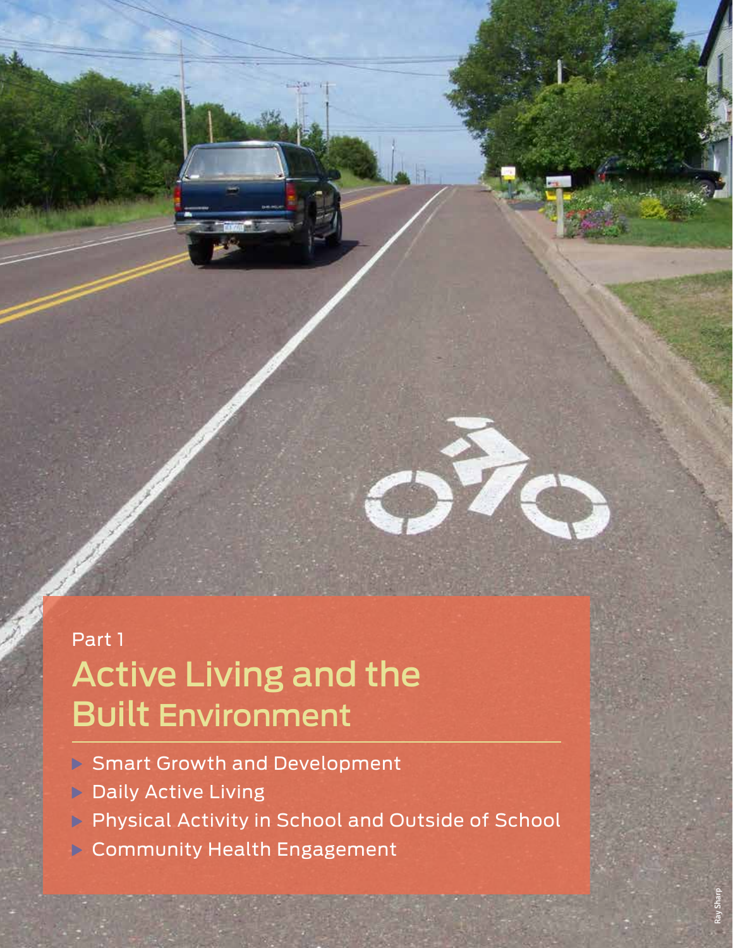## Part 1 Active Living and the Built Environment

- **B** Smart Growth and Development
- **Daily Active Living**

**7** Part 1: Active Living and the Built Environment

**Physical Activity in School and Outside of School** 

Ray Sharp

**Community Health Engagement**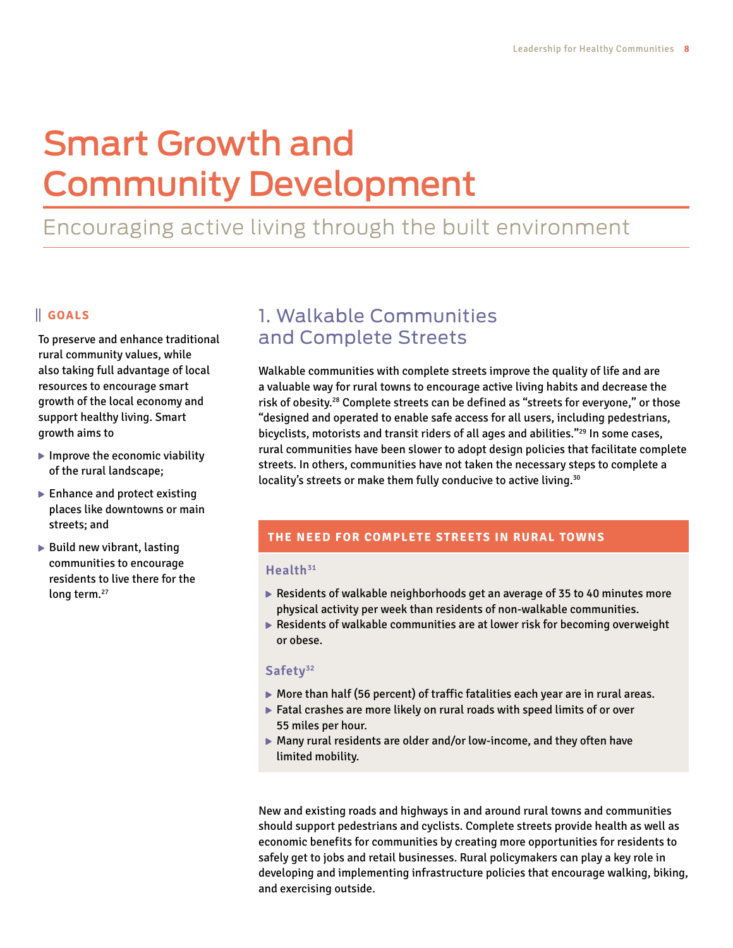# Smart Growth and Community Development

## Encouraging active living through the built environment

#### **GOALS**

To preserve and enhance traditional rural community values, while also taking full advantage of local resources to encourage smart growth of the local economy and support healthy living. Smart growth aims to

- $\blacktriangleright$  Improve the economic viability of the rural landscape;
- ▶ Enhance and protect existing places like downtowns or main streets; and
- $\blacktriangleright$  Build new vibrant, lasting communities to encourage residents to live there for the long term.<sup>27</sup>

## 1. Walkable Communities and Complete Streets

Walkable communities with complete streets improve the quality of life and are a valuable way for rural towns to encourage active living habits and decrease the risk of obesity.<sup>28</sup> Complete streets can be defined as "streets for everyone," or those "designed and operated to enable safe access for all users, including pedestrians, bicyclists, motorists and transit riders of all ages and abilities."<sup>29</sup> In some cases, rural communities have been slower to adopt design policies that facilitate complete streets. In others, communities have not taken the necessary steps to complete a locality's streets or make them fully conducive to active living.<sup>30</sup>

#### **THE NEED FOR COMPLETE STREETS IN RURAL TOWNS**

#### **Health31**

- $\blacktriangleright$  Residents of walkable neighborhoods get an average of 35 to 40 minutes more physical activity per week than residents of non-walkable communities.
- Residents of walkable communities are at lower risk for becoming overweight or obese.

#### **Safety32**

- $\blacktriangleright$  More than half (56 percent) of traffic fatalities each year are in rural areas.
- Fatal crashes are more likely on rural roads with speed limits of or over 55 miles per hour.
- Many rural residents are older and/or low-income, and they often have limited mobility.

New and existing roads and highways in and around rural towns and communities should support pedestrians and cyclists. Complete streets provide health as well as economic benefits for communities by creating more opportunities for residents to safely get to jobs and retail businesses. Rural policymakers can play a key role in developing and implementing infrastructure policies that encourage walking, biking, and exercising outside.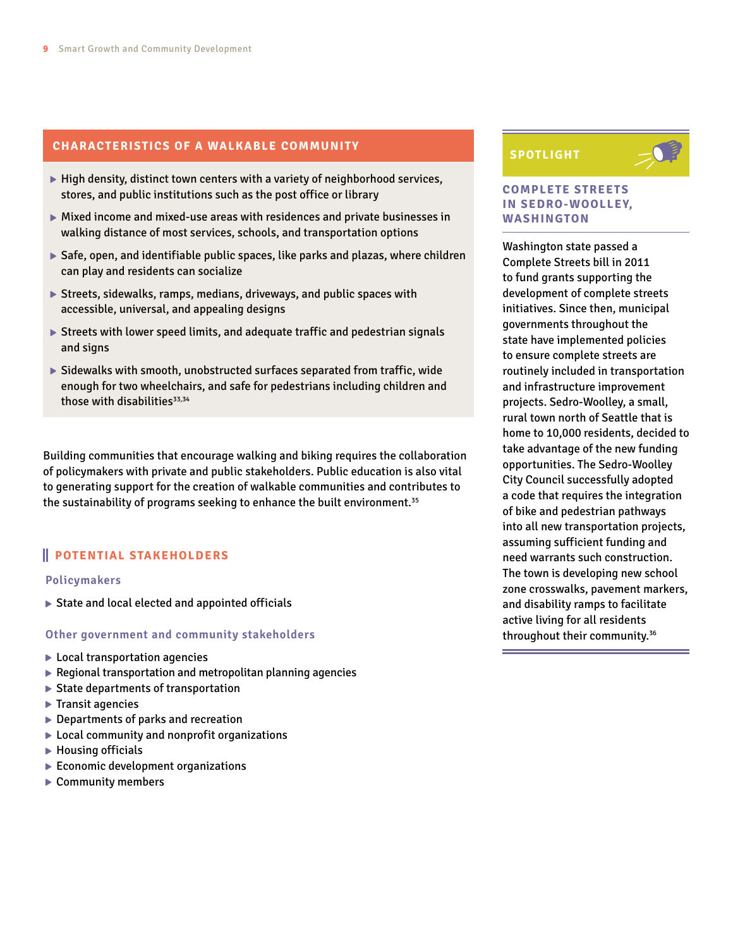#### **CHARACTERISTICS OF A WALKABLE COMMUNITY**

- $\blacktriangleright$  High density, distinct town centers with a variety of neighborhood services, stores, and public institutions such as the post office or library
- Mixed income and mixed-use areas with residences and private businesses in walking distance of most services, schools, and transportation options
- Safe, open, and identifiable public spaces, like parks and plazas, where children can play and residents can socialize
- Streets, sidewalks, ramps, medians, driveways, and public spaces with accessible, universal, and appealing designs
- Streets with lower speed limits, and adequate traffic and pedestrian signals and signs
- $\triangleright$  Sidewalks with smooth, unobstructed surfaces separated from traffic, wide enough for two wheelchairs, and safe for pedestrians including children and those with disabilities<sup>33,34</sup>

Building communities that encourage walking and biking requires the collaboration of policymakers with private and public stakeholders. Public education is also vital to generating support for the creation of walkable communities and contributes to the sustainability of programs seeking to enhance the built environment.35

#### **POTENTIAL STAKEHOLDERS**

#### **Policymakers**

 $\triangleright$  State and local elected and appointed officials

#### **Other government and community stakeholders**

- ► Local transportation agencies
- $\blacktriangleright$  Regional transportation and metropolitan planning agencies
- $\triangleright$  State departments of transportation
- $\blacktriangleright$  Transit agencies
- ▶ Departments of parks and recreation
- ▶ Local community and nonprofit organizations
- $\blacktriangleright$  Housing officials
- $\blacktriangleright$  Economic development organizations
- ▶ Community members

#### **SPOTLIGHT**



#### **COMPLETE STREETS IN SEDRO-WOOLLEY, WASHINGTON**

Washington state passed a Complete Streets bill in 2011 to fund grants supporting the development of complete streets initiatives. Since then, municipal governments throughout the state have implemented policies to ensure complete streets are routinely included in transportation and infrastructure improvement projects. Sedro-Woolley, a small, rural town north of Seattle that is home to 10,000 residents, decided to take advantage of the new funding opportunities. The Sedro-Woolley City Council successfully adopted a code that requires the integration of bike and pedestrian pathways into all new transportation projects, assuming sufficient funding and need warrants such construction. The town is developing new school zone crosswalks, pavement markers, and disability ramps to facilitate active living for all residents throughout their community.36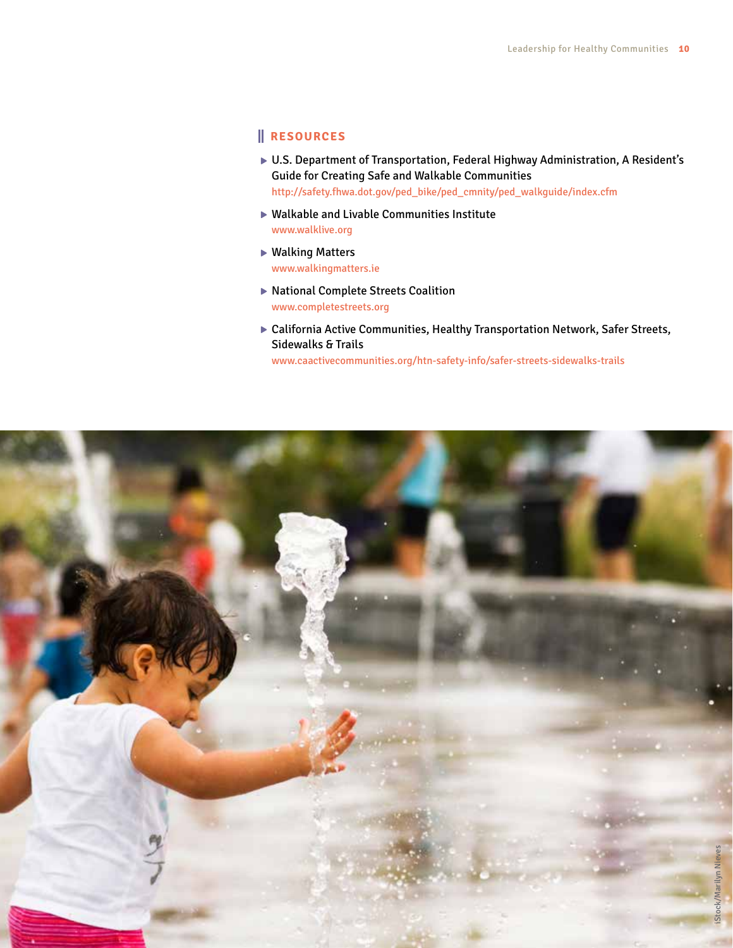#### **RESOURCES**

- ▶ U.S. Department of Transportation, Federal Highway Administration, A Resident's Guide for Creating Safe and Walkable Communities [http://safety.fhwa.dot.gov/ped\\_bike/ped\\_cmnity/ped\\_walkguide/index.cfm](http://safety.fhwa.dot.gov/ped_bike/ped_cmnity/ped_walkguide/index.cfm)
- Walkable and Livable Communities Institute <www.walklive.org>
- ▶ Walking Matters <www.walkingmatters.ie>
- ▶ National Complete Streets Coalition <www.completestreets.org>
- California Active Communities, Healthy Transportation Network, Safer Streets, Sidewalks & Trails

[www.caactivecommunities.org/htn-safety-info/safer-](www.caactivecommunities.org/htn-safety-info/safer)streets-sidewalks-trails

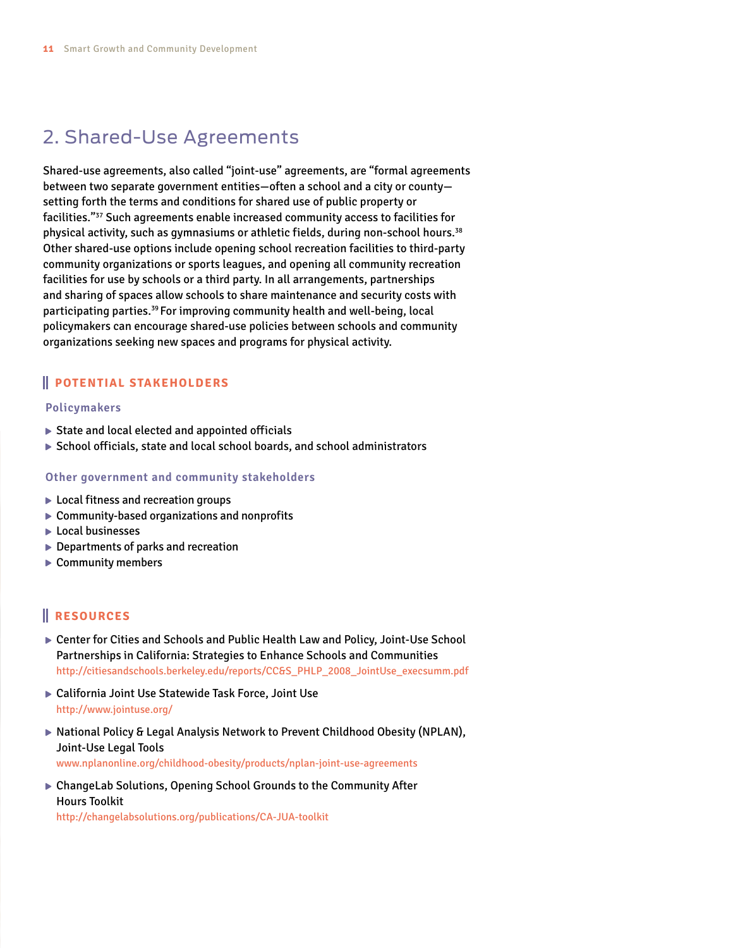## 2. Shared-Use Agreements

Shared-use agreements, also called "joint-use" agreements, are "formal agreements between two separate government entities—often a school and a city or county setting forth the terms and conditions for shared use of public property or facilities."37 Such agreements enable increased community access to facilities for physical activity, such as gymnasiums or athletic fields, during non-school hours.38 Other shared-use options include opening school recreation facilities to third-party community organizations or sports leagues, and opening all community recreation facilities for use by schools or a third party. In all arrangements, partnerships and sharing of spaces allow schools to share maintenance and security costs with participating parties.<sup>39</sup> For improving community health and well-being, local policymakers can encourage shared-use policies between schools and community organizations seeking new spaces and programs for physical activity.

#### **POTENTIAL STAKEHOLDERS**

#### **Policymakers**

- $\triangleright$  State and local elected and appointed officials
- ▶ School officials, state and local school boards, and school administrators

#### **Other government and community stakeholders**

- ▶ Local fitness and recreation groups
- ▶ Community-based organizations and nonprofits
- $\blacktriangleright$  Local businesses
- ▶ Departments of parks and recreation
- ▶ Community members

#### **RESOURCES**

- Center for Cities and Schools and Public Health Law and Policy, Joint-Use School Partnerships in California: Strategies to Enhance Schools and Communities <http://citiesandschools.berkeley.edu/reports/CC>&[S\\_PHLP\\_2008\\_JointUse\\_execsumm.pdf](S_PHLP_2008_JointUse_execsumm.pdf)
- ▶ California Joint Use Statewide Task Force, Joint Use [http://www.jointuse.org/](http://www.jointuse.org)
- ▶ National Policy & Legal Analysis Network to Prevent Childhood Obesity (NPLAN), Joint-Use Legal Tools <www.nplanonline.org/childhood-obesity/products/nplan>-joint-use-agreements
- ▶ ChangeLab Solutions, Opening School Grounds to the Community After Hours Toolkit

<http://changelabsolutions.org/publications/CA>-JUA-toolkit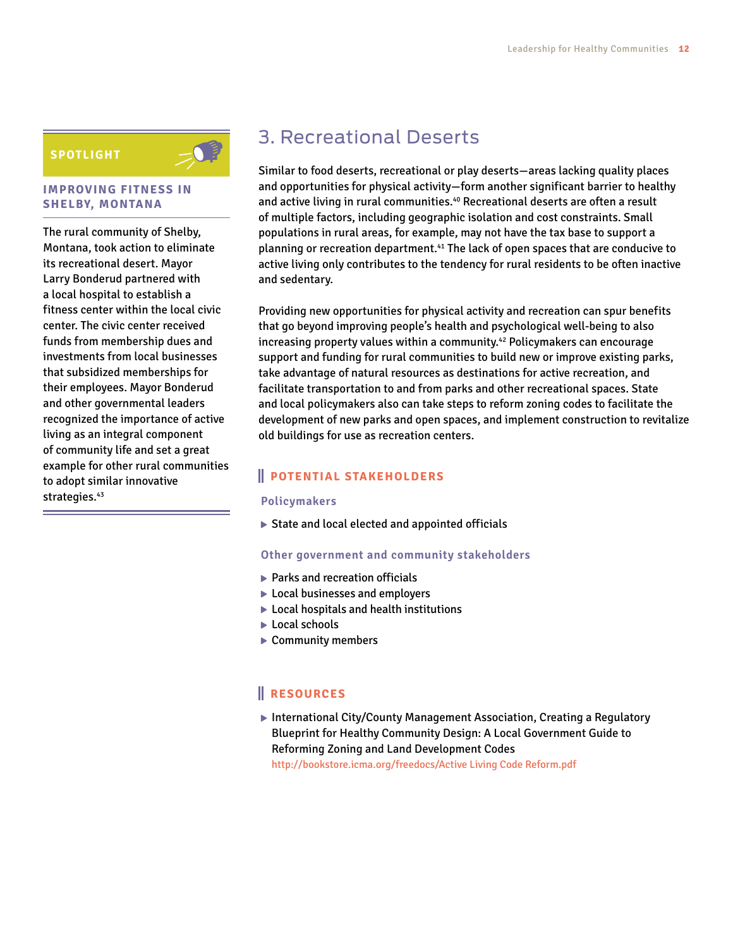#### **SPOTLIGHT**



The rural community of Shelby, Montana, took action to eliminate its recreational desert. Mayor Larry Bonderud partnered with a local hospital to establish a fitness center within the local civic center. The civic center received funds from membership dues and investments from local businesses that subsidized memberships for their employees. Mayor Bonderud and other governmental leaders recognized the importance of active living as an integral component of community life and set a great example for other rural communities to adopt similar innovative strategies.<sup>43</sup>

## 3. Recreational Deserts

Similar to food deserts, recreational or play deserts—areas lacking quality places and opportunities for physical activity—form another significant barrier to healthy and active living in rural communities.<sup>40</sup> Recreational deserts are often a result of multiple factors, including geographic isolation and cost constraints. Small populations in rural areas, for example, may not have the tax base to support a planning or recreation department.41 The lack of open spaces that are conducive to active living only contributes to the tendency for rural residents to be often inactive and sedentary.

Providing new opportunities for physical activity and recreation can spur benefits that go beyond improving people's health and psychological well-being to also increasing property values within a community.<sup>42</sup> Policymakers can encourage support and funding for rural communities to build new or improve existing parks, take advantage of natural resources as destinations for active recreation, and facilitate transportation to and from parks and other recreational spaces. State and local policymakers also can take steps to reform zoning codes to facilitate the development of new parks and open spaces, and implement construction to revitalize old buildings for use as recreation centers.

#### **POTENTIAL STAKEHOLDERS**

#### **Policymakers**

 $\triangleright$  State and local elected and appointed officials

#### **Other government and community stakeholders**

- ▶ Parks and recreation officials
- ▶ Local businesses and employers
- ▶ Local hospitals and health institutions
- ▶ Local schools
- ▶ Community members

#### **RESOURCES**

▶ International City/County Management Association, Creating a Regulatory Blueprint for Healthy Community Design: A Local Government Guide to Reforming Zoning and Land Development Codes <http://bookstore.icma.org/freedocs/Active> Living Code <Reform.pdf>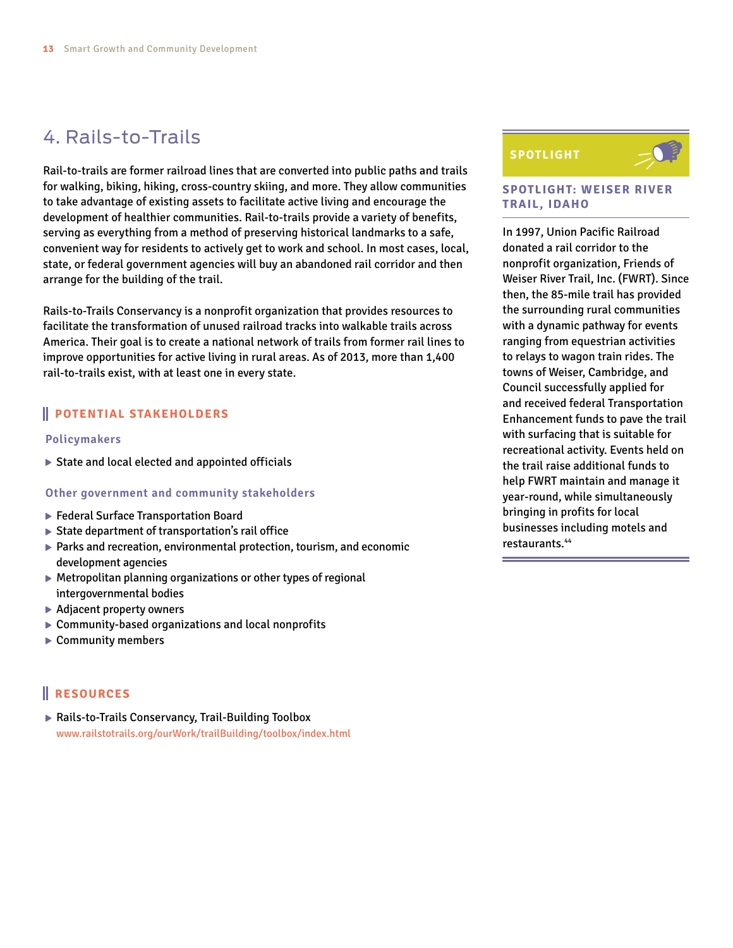## 4. Rails-to-Trails

Rail-to-trails are former railroad lines that are converted into public paths and trails for walking, biking, hiking, cross-country skiing, and more. They allow communities to take advantage of existing assets to facilitate active living and encourage the development of healthier communities. Rail-to-trails provide a variety of benefits, serving as everything from a method of preserving historical landmarks to a safe, convenient way for residents to actively get to work and school. In most cases, local, state, or federal government agencies will buy an abandoned rail corridor and then arrange for the building of the trail.

Rails-to-Trails Conservancy is a nonprofit organization that provides resources to facilitate the transformation of unused railroad tracks into walkable trails across America. Their goal is to create a national network of trails from former rail lines to improve opportunities for active living in rural areas. As of 2013, more than 1,400 rail-to-trails exist, with at least one in every state.

#### **POTENTIAL STAKEHOLDERS**

#### **Policymakers**

 $\triangleright$  State and local elected and appointed officials

#### **Other government and community stakeholders**

- ▶ Federal Surface Transportation Board
- ▶ State department of transportation's rail office
- Parks and recreation, environmental protection, tourism, and economic development agencies
- Metropolitan planning organizations or other types of regional intergovernmental bodies
- ▶ Adjacent property owners
- Community-based organizations and local nonprofits
- ▶ Community members

#### **RESOURCES**

▶ Rails-to-Trails Conservancy, Trail-Building Toolbox <www.railstotrails.org/ourWork/trailBuilding/toolbox/index.html>

#### **SPOTLIGHT**



#### **SPOTLIGHT: WEISER RIVER TRAIL, IDAHO**

In 1997, Union Pacific Railroad donated a rail corridor to the nonprofit organization, Friends of Weiser River Trail, Inc. (FWRT). Since then, the 85-mile trail has provided the surrounding rural communities with a dynamic pathway for events ranging from equestrian activities to relays to wagon train rides. The towns of Weiser, Cambridge, and Council successfully applied for and received federal Transportation Enhancement funds to pave the trail with surfacing that is suitable for recreational activity. Events held on the trail raise additional funds to help FWRT maintain and manage it year-round, while simultaneously bringing in profits for local businesses including motels and restaurants.44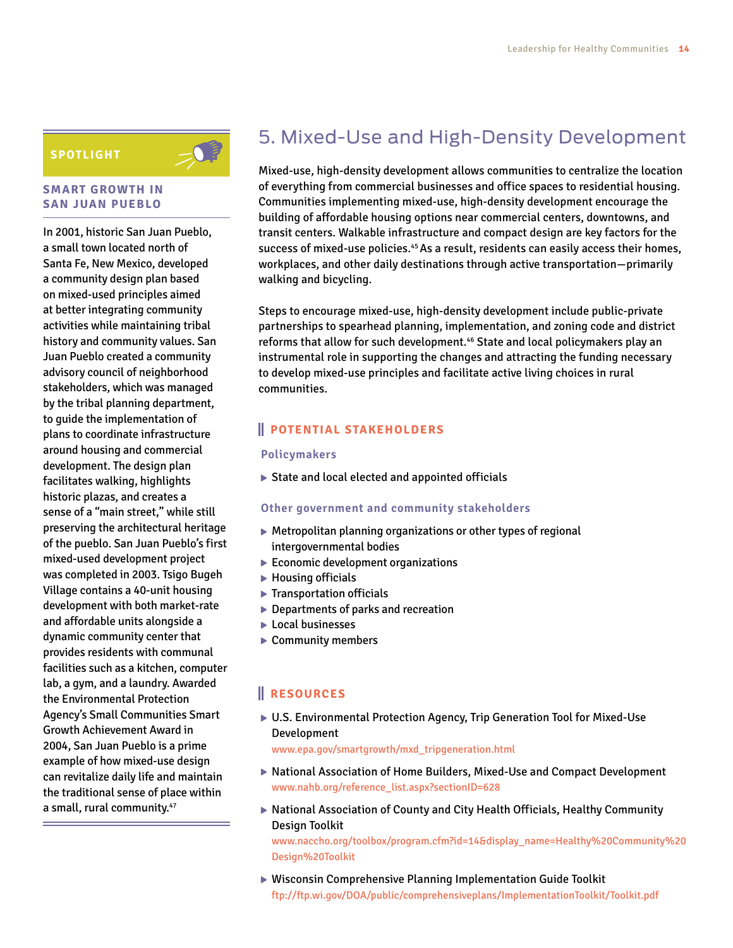#### **SPOTLIGHT**

#### **SMART GROWTH IN SAN JUAN PUEBLO**

In 2001, historic San Juan Pueblo, a small town located north of Santa Fe, New Mexico, developed a community design plan based on mixed-used principles aimed at better integrating community activities while maintaining tribal history and community values. San Juan Pueblo created a community advisory council of neighborhood stakeholders, which was managed by the tribal planning department, to guide the implementation of plans to coordinate infrastructure around housing and commercial development. The design plan facilitates walking, highlights historic plazas, and creates a sense of a "main street," while still preserving the architectural heritage of the pueblo. San Juan Pueblo's first mixed-used development project was completed in 2003. Tsigo Bugeh Village contains a 40-unit housing development with both market-rate and affordable units alongside a dynamic community center that provides residents with communal facilities such as a kitchen, computer lab, a gym, and a laundry. Awarded the Environmental Protection Agency's Small Communities Smart Growth Achievement Award in 2004, San Juan Pueblo is a prime example of how mixed-use design can revitalize daily life and maintain the traditional sense of place within a small, rural community.<sup>47</sup>

## 5. Mixed-Use and High-Density Development

Mixed-use, high-density development allows communities to centralize the location of everything from commercial businesses and office spaces to residential housing. Communities implementing mixed-use, high-density development encourage the building of affordable housing options near commercial centers, downtowns, and transit centers. Walkable infrastructure and compact design are key factors for the success of mixed-use policies.<sup>45</sup> As a result, residents can easily access their homes, workplaces, and other daily destinations through active transportation—primarily walking and bicycling.

Steps to encourage mixed-use, high-density development include public-private partnerships to spearhead planning, implementation, and zoning code and district reforms that allow for such development.<sup>46</sup> State and local policymakers play an instrumental role in supporting the changes and attracting the funding necessary to develop mixed-use principles and facilitate active living choices in rural communities.

#### **POTENTIAL STAKEHOLDERS**

#### **Policymakers**

 $\triangleright$  State and local elected and appointed officials

#### **Other government and community stakeholders**

- Metropolitan planning organizations or other types of regional intergovernmental bodies
- $\blacktriangleright$  Economic development organizations
- $\blacktriangleright$  Housing officials
- **F** Transportation officials
- ▶ Departments of parks and recreation
- **Local businesses**
- ▶ Community members

#### **RESOURCES**

▶ U.S. Environmental Protection Agency, Trip Generation Tool for Mixed-Use Development

[www.epa.gov/smartgrowth/mxd\\_tripgeneration.html](www.epa.gov/smartgrowth/mxd_tripgeneration.html)

- National Association of Home Builders, Mixed-Use and Compact Development [www.nahb.org/reference\\_list.aspx?](www.nahb.org/reference_list.aspx)sectionID=628
- National Association of County and City Health Officials, Healthy Community Design Toolkit

[www.naccho.org/toolbox/program.cfm?](www.naccho.org/toolbox/program.cfm)id=14&display\_name=Healthy%20Community%20 Design%20Toolkit

Wisconsin Comprehensive Planning Implementation Guide Toolkit <ftp://ftp.wi.gov/DOA/public/comprehensiveplans/ImplementationToolkit/Toolkit.pdf>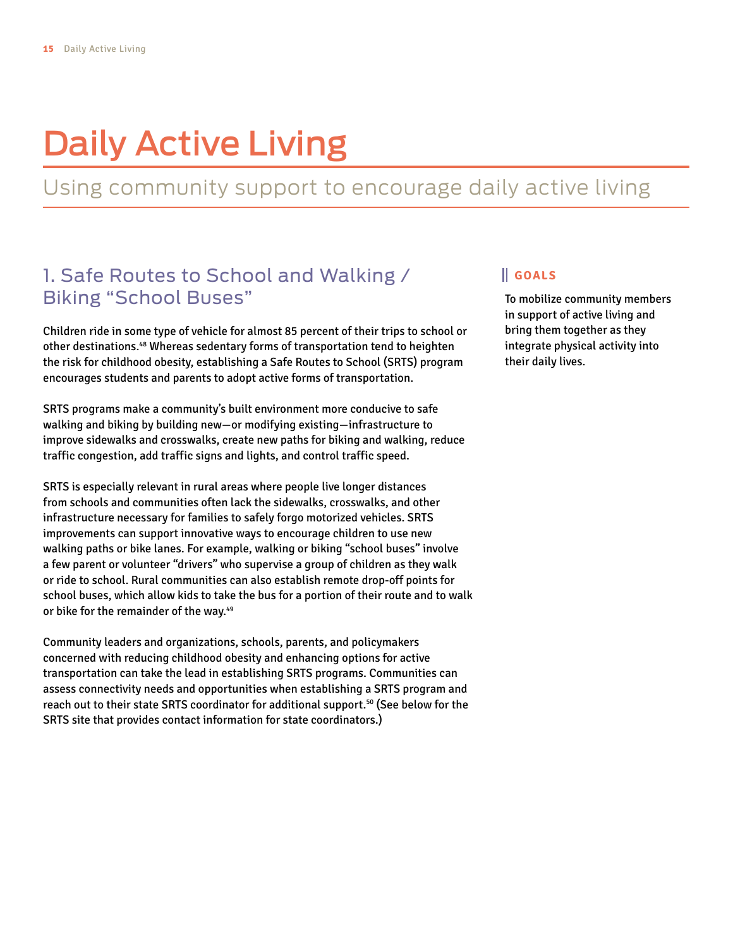# Daily Active Living

## Using community support to encourage daily active living

### 1. Safe Routes to School and Walking / Biking "School Buses"

Children ride in some type of vehicle for almost 85 percent of their trips to school or other destinations.48 Whereas sedentary forms of transportation tend to heighten the risk for childhood obesity, establishing a Safe Routes to School (SRTS) program encourages students and parents to adopt active forms of transportation.

SRTS programs make a community's built environment more conducive to safe walking and biking by building new—or modifying existing—infrastructure to improve sidewalks and crosswalks, create new paths for biking and walking, reduce traffic congestion, add traffic signs and lights, and control traffic speed.

SRTS is especially relevant in rural areas where people live longer distances from schools and communities often lack the sidewalks, crosswalks, and other infrastructure necessary for families to safely forgo motorized vehicles. SRTS improvements can support innovative ways to encourage children to use new walking paths or bike lanes. For example, walking or biking "school buses" involve a few parent or volunteer "drivers" who supervise a group of children as they walk or ride to school. Rural communities can also establish remote drop-off points for school buses, which allow kids to take the bus for a portion of their route and to walk or bike for the remainder of the way.<sup>49</sup>

Community leaders and organizations, schools, parents, and policymakers concerned with reducing childhood obesity and enhancing options for active transportation can take the lead in establishing SRTS programs. Communities can assess connectivity needs and opportunities when establishing a SRTS program and reach out to their state SRTS coordinator for additional support.50 (See below for the SRTS site that provides contact information for state coordinators.)

#### **GOALS**

To mobilize community members in support of active living and bring them together as they integrate physical activity into their daily lives.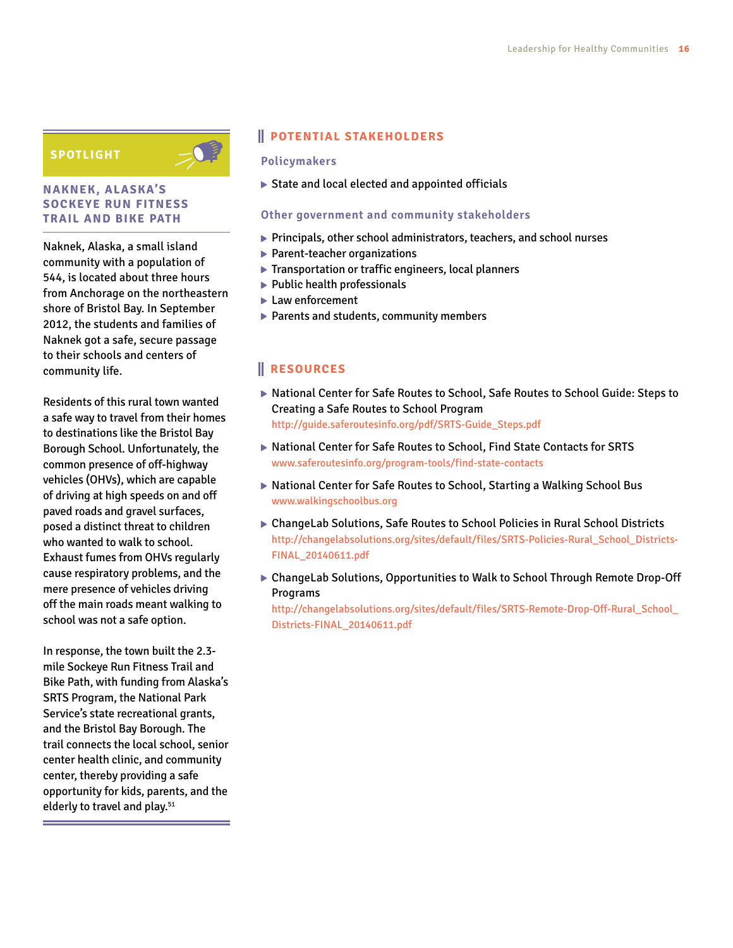#### **SPOTLIGHT**



#### **NAKNEK, ALASKA'S SOCKEYE RUN FITNESS TRAIL AND BIKE PATH**

Naknek, Alaska, a small island community with a population of 544, is located about three hours from Anchorage on the northeastern shore of Bristol Bay. In September 2012, the students and families of Naknek got a safe, secure passage to their schools and centers of community life.

Residents of this rural town wanted a safe way to travel from their homes to destinations like the Bristol Bay Borough School. Unfortunately, the common presence of off-highway vehicles (OHVs), which are capable of driving at high speeds on and off paved roads and gravel surfaces, posed a distinct threat to children who wanted to walk to school. Exhaust fumes from OHVs regularly cause respiratory problems, and the mere presence of vehicles driving off the main roads meant walking to school was not a safe option.

In response, the town built the 2.3 mile Sockeye Run Fitness Trail and Bike Path, with funding from Alaska's SRTS Program, the National Park Service's state recreational grants, and the Bristol Bay Borough. The trail connects the local school, senior center health clinic, and community center, thereby providing a safe opportunity for kids, parents, and the elderly to travel and play.<sup>51</sup>

#### **POTENTIAL STAKEHOLDERS**

#### **Policymakers**

State and local elected and appointed officials

#### **Other government and community stakeholders**

- Principals, other school administrators, teachers, and school nurses
- ▶ Parent-teacher organizations
- Transportation or traffic engineers, local planners
- $\blacktriangleright$  Public health professionals
- ► Law enforcement
- ▶ Parents and students, community members

#### **RESOURCES**

- ▶ National Center for Safe Routes to School, Safe Routes to School Guide: Steps to Creating a Safe Routes to School Program [http://guide.saferoutesinfo.org/pdf/SRTS-Guide\\_Steps.pdf](http://guide.saferoutesinfo.org/pdf/SRTS-Guide_Steps.pdf)
- ▶ National Center for Safe Routes to School, Find State Contacts for SRTS [www.saferoutesinfo.org/program-tools/find-](www.saferoutesinfo.org/program-tools/find)state-contacts
- ▶ National Center for Safe Routes to School, Starting a Walking School Bus <www.walkingschoolbus.org>
- ▶ ChangeLab Solutions, Safe Routes to School Policies in Rural School Districts [http://changelabsolutions.org/sites/default/files/SRTS-Policies-Rural\\_School\\_Districts-](http://changelabsolutions.org/sites/default/files/SRTS-Policies-Rural_School_Districts-FINAL_20140611.pdf)[FINAL\\_20140611.pdf](http://changelabsolutions.org/sites/default/files/SRTS-Policies-Rural_School_Districts-FINAL_20140611.pdf)
- ChangeLab Solutions, Opportunities to Walk to School Through Remote Drop-Off Programs

[http://changelabsolutions.org/sites/default/files/SRTS-Remote-Drop-Off-Rural\\_School\\_](http://changelabsolutions.org/sites/default/files/SRTS-Remote-Drop-Off-Rural_School_Districts-FINAL_20140611.pdf) [Districts-FINAL\\_20140611.pdf](http://changelabsolutions.org/sites/default/files/SRTS-Remote-Drop-Off-Rural_School_Districts-FINAL_20140611.pdf)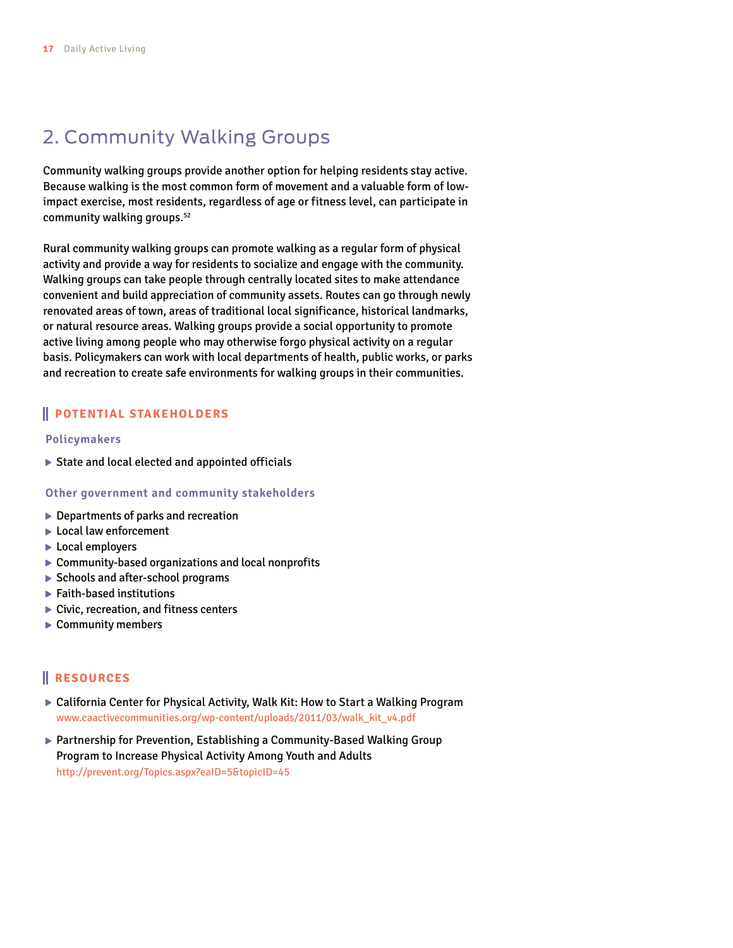## 2. Community Walking Groups

Community walking groups provide another option for helping residents stay active. Because walking is the most common form of movement and a valuable form of lowimpact exercise, most residents, regardless of age or fitness level, can participate in community walking groups.<sup>52</sup>

Rural community walking groups can promote walking as a regular form of physical activity and provide a way for residents to socialize and engage with the community. Walking groups can take people through centrally located sites to make attendance convenient and build appreciation of community assets. Routes can go through newly renovated areas of town, areas of traditional local significance, historical landmarks, or natural resource areas. Walking groups provide a social opportunity to promote active living among people who may otherwise forgo physical activity on a regular basis. Policymakers can work with local departments of health, public works, or parks and recreation to create safe environments for walking groups in their communities.

#### **POTENTIAL STAKEHOLDERS**

#### **Policymakers**

 $\triangleright$  State and local elected and appointed officials

#### **Other government and community stakeholders**

- ▶ Departments of parks and recreation
- ▶ Local law enforcement
- ► Local employers
- ▶ Community-based organizations and local nonprofits
- ▶ Schools and after-school programs
- Faith-based institutions
- ▶ Civic, recreation, and fitness centers
- ▶ Community members

- ▶ California Center for Physical Activity, Walk Kit: How to Start a Walking Program [www.caactivecommunities.org/wp-content/uploads/2011/03/walk\\_kit\\_v4.pdf](www.caactivecommunities.org/wp-content/uploads/2011/03/walk_kit_v4.pdf)
- ▶ Partnership for Prevention, Establishing a Community-Based Walking Group Program to Increase Physical Activity Among Youth and Adults <http://prevent.org/Topics.aspx?eaID=5&topicID=45>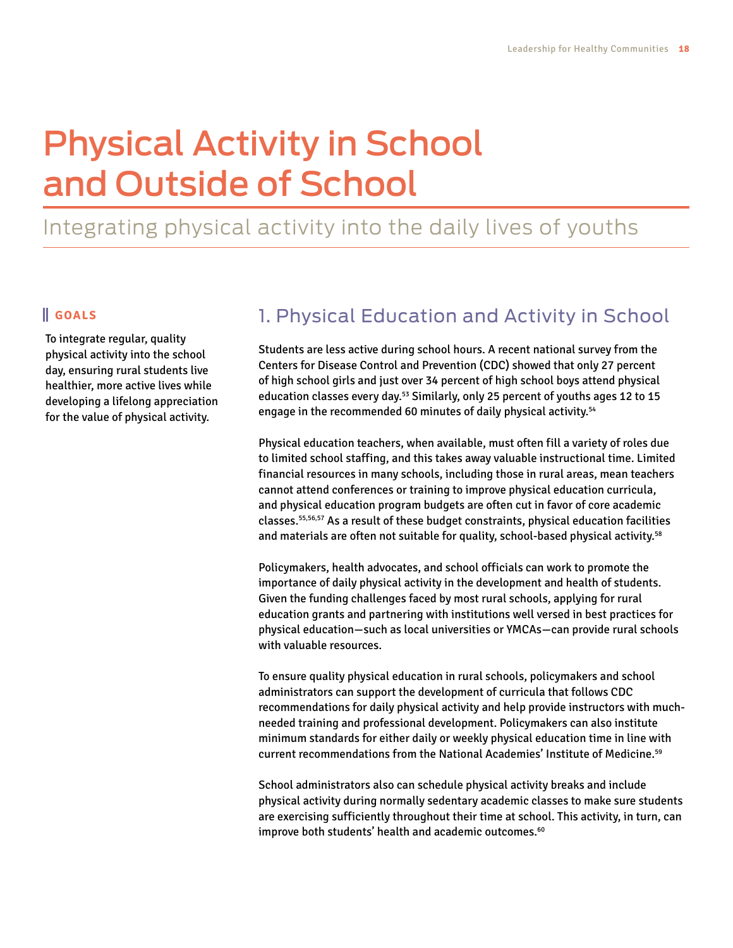# Physical Activity in School and Outside of School

## Integrating physical activity into the daily lives of youths

#### **GOALS**

To integrate regular, quality physical activity into the school day, ensuring rural students live healthier, more active lives while developing a lifelong appreciation for the value of physical activity.

## 1. Physical Education and Activity in School

Students are less active during school hours. A recent national survey from the Centers for Disease Control and Prevention (CDC) showed that only 27 percent of high school girls and just over 34 percent of high school boys attend physical education classes every day.<sup>53</sup> Similarly, only 25 percent of youths ages 12 to 15 engage in the recommended 60 minutes of daily physical activity.<sup>54</sup>

Physical education teachers, when available, must often fill a variety of roles due to limited school staffing, and this takes away valuable instructional time. Limited financial resources in many schools, including those in rural areas, mean teachers cannot attend conferences or training to improve physical education curricula, and physical education program budgets are often cut in favor of core academic classes.55,56,57 As a result of these budget constraints, physical education facilities and materials are often not suitable for quality, school-based physical activity.<sup>58</sup>

Policymakers, health advocates, and school officials can work to promote the importance of daily physical activity in the development and health of students. Given the funding challenges faced by most rural schools, applying for rural education grants and partnering with institutions well versed in best practices for physical education—such as local universities or YMCAs—can provide rural schools with valuable resources.

To ensure quality physical education in rural schools, policymakers and school administrators can support the development of curricula that follows CDC recommendations for daily physical activity and help provide instructors with muchneeded training and professional development. Policymakers can also institute minimum standards for either daily or weekly physical education time in line with current recommendations from the National Academies' Institute of Medicine.59

School administrators also can schedule physical activity breaks and include physical activity during normally sedentary academic classes to make sure students are exercising sufficiently throughout their time at school. This activity, in turn, can improve both students' health and academic outcomes.<sup>60</sup>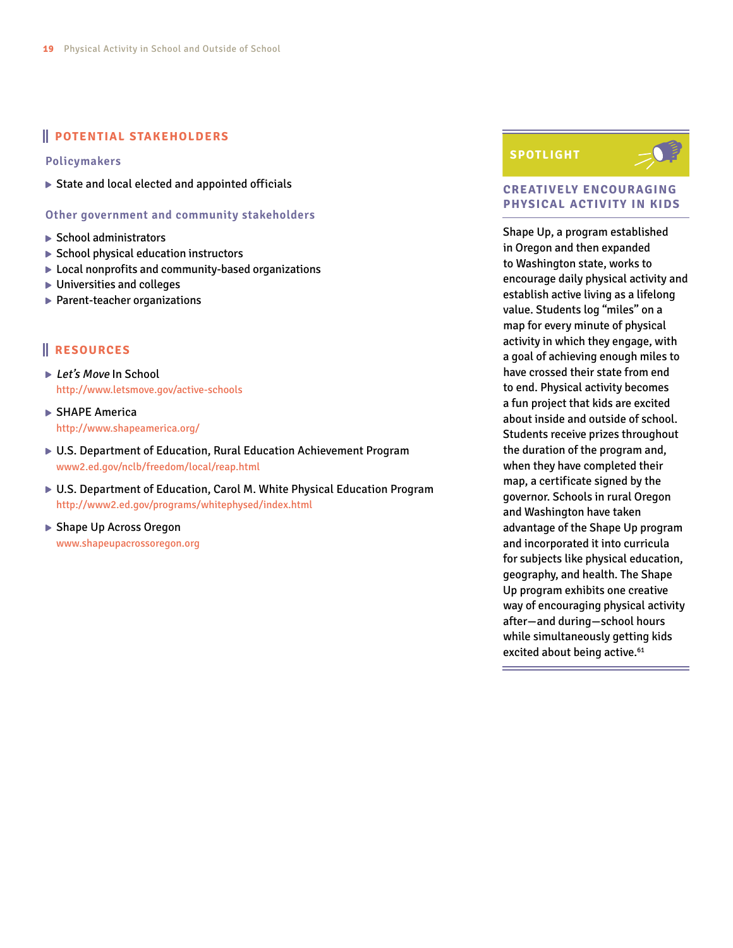#### **POTENTIAL STAKEHOLDERS**

**Policymakers**

State and local elected and appointed officials

**Other government and community stakeholders**

- $\blacktriangleright$  School administrators
- $\triangleright$  School physical education instructors
- ▶ Local nonprofits and community-based organizations
- ▶ Universities and colleges
- ▶ Parent-teacher organizations

#### **RESOURCES**

- ► Let's Move In School <http://www.letsmove.gov/active>-schools
- ▶ SHAPE America <http://www.shapeamerica.org>/
- U.S. Department of Education, Rural Education Achievement Program <www2.ed.gov/nclb/freedom/local/reap.html>
- U.S. Department of Education, Carol M. White Physical Education Program <http://www2.ed.gov/programs/whitephysed/index.html>
- ▶ Shape Up Across Oregon <www.shapeupacrossoregon.org>

#### **SPOTLIGHT**



#### **CREATIVELY ENCOURAGING PHYSICAL ACTIVITY IN KIDS**

Shape Up, a program established in Oregon and then expanded to Washington state, works to encourage daily physical activity and establish active living as a lifelong value. Students log "miles" on a map for every minute of physical activity in which they engage, with a goal of achieving enough miles to have crossed their state from end to end. Physical activity becomes a fun project that kids are excited about inside and outside of school. Students receive prizes throughout the duration of the program and, when they have completed their map, a certificate signed by the governor. Schools in rural Oregon and Washington have taken advantage of the Shape Up program and incorporated it into curricula for subjects like physical education, geography, and health. The Shape Up program exhibits one creative way of encouraging physical activity after—and during—school hours while simultaneously getting kids excited about being active.<sup>61</sup>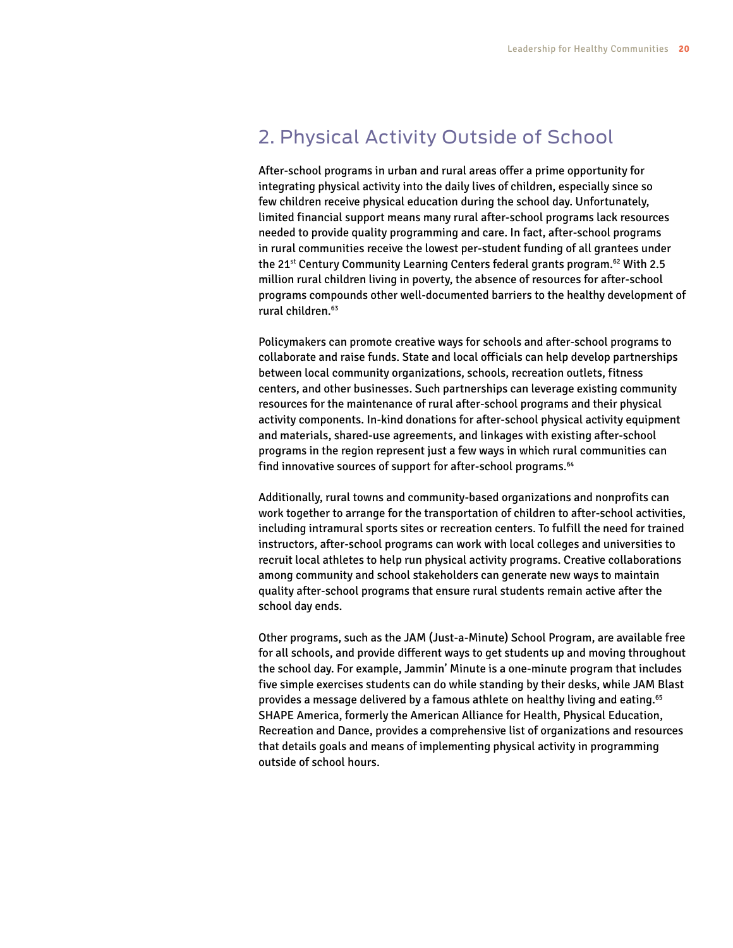## 2. Physical Activity Outside of School

After-school programs in urban and rural areas offer a prime opportunity for integrating physical activity into the daily lives of children, especially since so few children receive physical education during the school day. Unfortunately, limited financial support means many rural after-school programs lack resources needed to provide quality programming and care. In fact, after-school programs in rural communities receive the lowest per-student funding of all grantees under the 21<sup>st</sup> Century Community Learning Centers federal grants program.<sup>62</sup> With 2.5 million rural children living in poverty, the absence of resources for after-school programs compounds other well-documented barriers to the healthy development of rural children.<sup>63</sup>

Policymakers can promote creative ways for schools and after-school programs to collaborate and raise funds. State and local officials can help develop partnerships between local community organizations, schools, recreation outlets, fitness centers, and other businesses. Such partnerships can leverage existing community resources for the maintenance of rural after-school programs and their physical activity components. In-kind donations for after-school physical activity equipment and materials, shared-use agreements, and linkages with existing after-school programs in the region represent just a few ways in which rural communities can find innovative sources of support for after-school programs.<sup>64</sup>

Additionally, rural towns and community-based organizations and nonprofits can work together to arrange for the transportation of children to after-school activities, including intramural sports sites or recreation centers. To fulfill the need for trained instructors, after-school programs can work with local colleges and universities to recruit local athletes to help run physical activity programs. Creative collaborations among community and school stakeholders can generate new ways to maintain quality after-school programs that ensure rural students remain active after the school day ends.

Other programs, such as the JAM (Just-a-Minute) School Program, are available free for all schools, and provide different ways to get students up and moving throughout the school day. For example, Jammin' Minute is a one-minute program that includes five simple exercises students can do while standing by their desks, while JAM Blast provides a message delivered by a famous athlete on healthy living and eating.65 SHAPE America, formerly the American Alliance for Health, Physical Education, Recreation and Dance, provides a comprehensive list of organizations and resources that details goals and means of implementing physical activity in programming outside of school hours.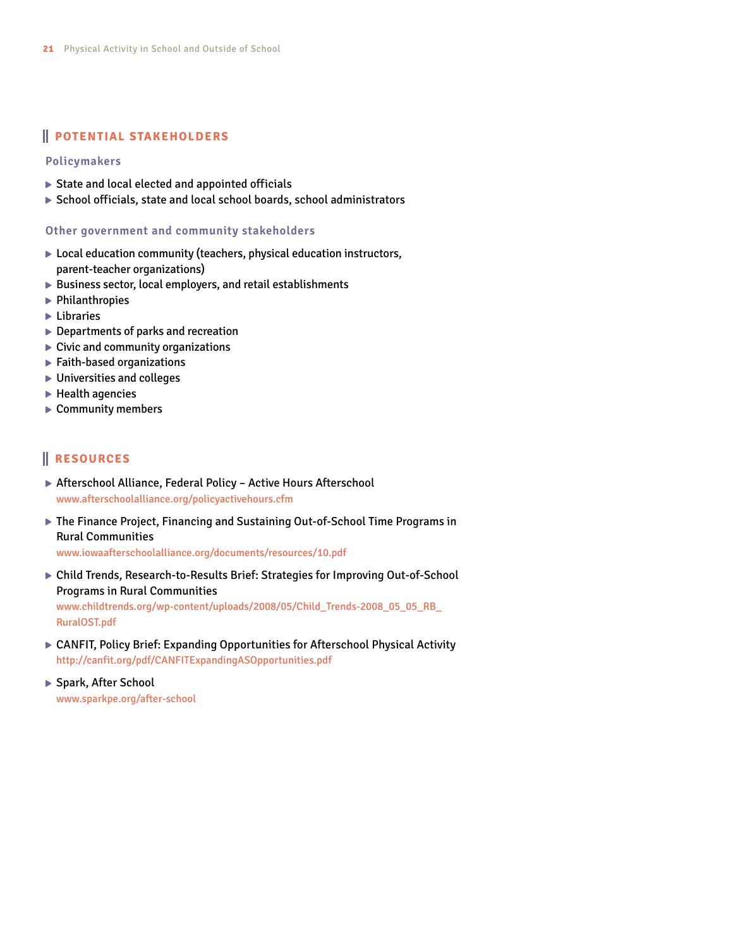#### **POTENTIAL STAKEHOLDERS**

#### **Policymakers**

- State and local elected and appointed officials
- School officials, state and local school boards, school administrators

#### **Other government and community stakeholders**

- ▶ Local education community (teachers, physical education instructors, parent-teacher organizations)
- $\triangleright$  Business sector, local employers, and retail establishments
- $\blacktriangleright$  Philanthropies
- **Libraries**
- ▶ Departments of parks and recreation
- $\blacktriangleright$  Civic and community organizations
- Faith-based organizations
- ▶ Universities and colleges
- $\blacktriangleright$  Health agencies
- ▶ Community members

#### **RESOURCES**

- ▶ Afterschool Alliance, Federal Policy Active Hours Afterschool <www.afterschoolalliance.org/policyactivehours.cfm>
- ▶ The Finance Project, Financing and Sustaining Out-of-School Time Programs in Rural Communities

<www.iowaafterschoolalliance.org/documents/resources/10.pdf>

Child Trends, Research-to-Results Brief: Strategies for Improving Out-of-School Programs in Rural Communities [www.childtrends.org/wp-content/uploads/2008/05/Child\\_Trends-2008\\_05\\_05\\_RB\\_](www.childtrends.org/wp-content/uploads/2008/05/Child_Trends-2008_05_05_RB_RuralOST.pdf)

[RuralOST.pdf](www.childtrends.org/wp-content/uploads/2008/05/Child_Trends-2008_05_05_RB_RuralOST.pdf)

- ▶ CANFIT, Policy Brief: Expanding Opportunities for Afterschool Physical Activity <http://canfit.org/pdf/CANFITExpandingASOpportunities.pdf>
- ▶ Spark, After School [www.sparkpe.org/after-](www.sparkpe.org/after)school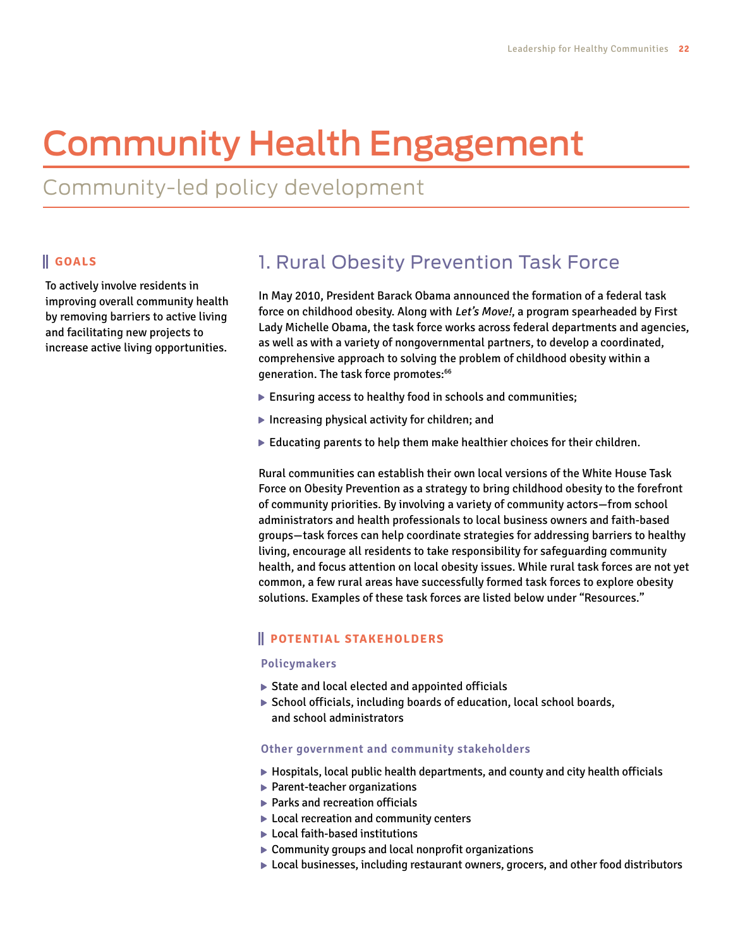# Community Health Engagement

Community-led policy development

#### **GOALS**

To actively involve residents in improving overall community health by removing barriers to active living and facilitating new projects to increase active living opportunities.

## 1. Rural Obesity Prevention Task Force

In May 2010, President Barack Obama announced the formation of a federal task force on childhood obesity. Along with Let's Move!, a program spearheaded by First Lady Michelle Obama, the task force works across federal departments and agencies, as well as with a variety of nongovernmental partners, to develop a coordinated, comprehensive approach to solving the problem of childhood obesity within a generation. The task force promotes:<sup>66</sup>

- Ensuring access to healthy food in schools and communities;
- Increasing physical activity for children; and
- $\blacktriangleright$  Educating parents to help them make healthier choices for their children.

Rural communities can establish their own local versions of the White House Task Force on Obesity Prevention as a strategy to bring childhood obesity to the forefront of community priorities. By involving a variety of community actors—from school administrators and health professionals to local business owners and faith-based groups—task forces can help coordinate strategies for addressing barriers to healthy living, encourage all residents to take responsibility for safeguarding community health, and focus attention on local obesity issues. While rural task forces are not yet common, a few rural areas have successfully formed task forces to explore obesity solutions. Examples of these task forces are listed below under "Resources."

#### **POTENTIAL STAKEHOLDERS**

#### **Policymakers**

- ▶ State and local elected and appointed officials
- ▶ School officials, including boards of education, local school boards, and school administrators

#### **Other government and community stakeholders**

- $\blacktriangleright$  Hospitals, local public health departments, and county and city health officials
- ▶ Parent-teacher organizations
- ▶ Parks and recreation officials
- ▶ Local recreation and community centers
- ▶ Local faith-based institutions
- ▶ Community groups and local nonprofit organizations
- Local businesses, including restaurant owners, grocers, and other food distributors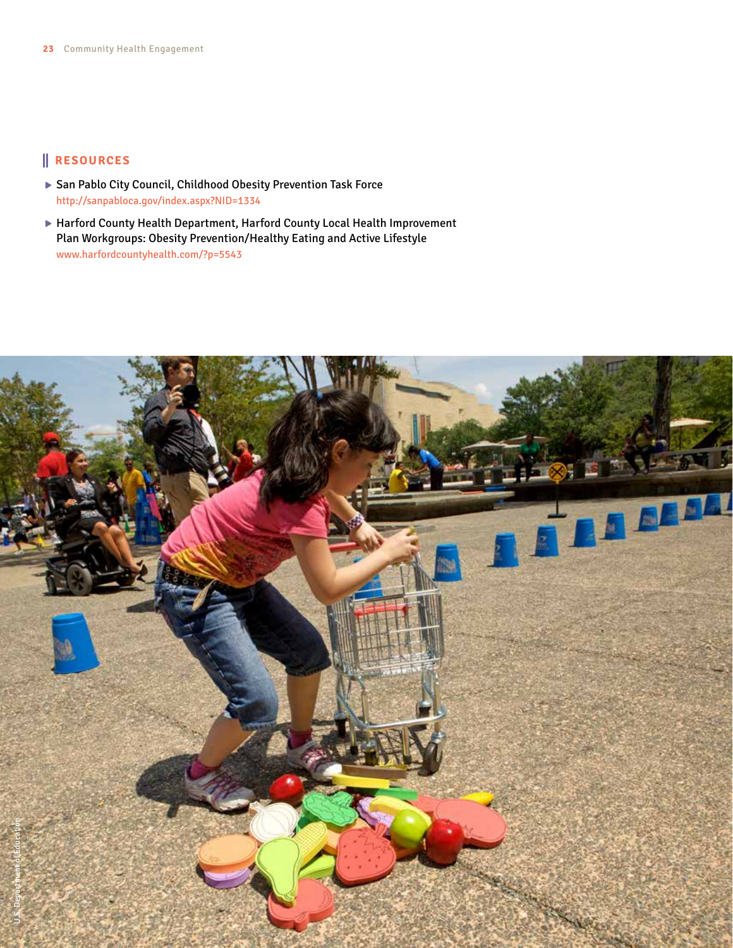- ▶ San Pablo City Council, Childhood Obesity Prevention Task Force <http://sanpabloca.gov/index.aspx?NID=1334>
- Harford County Health Department, Harford County Local Health Improvement Plan Workgroups: Obesity Prevention/Healthy Eating and Active Lifestyle <www.harfordcountyhealth.com>/?p=5543

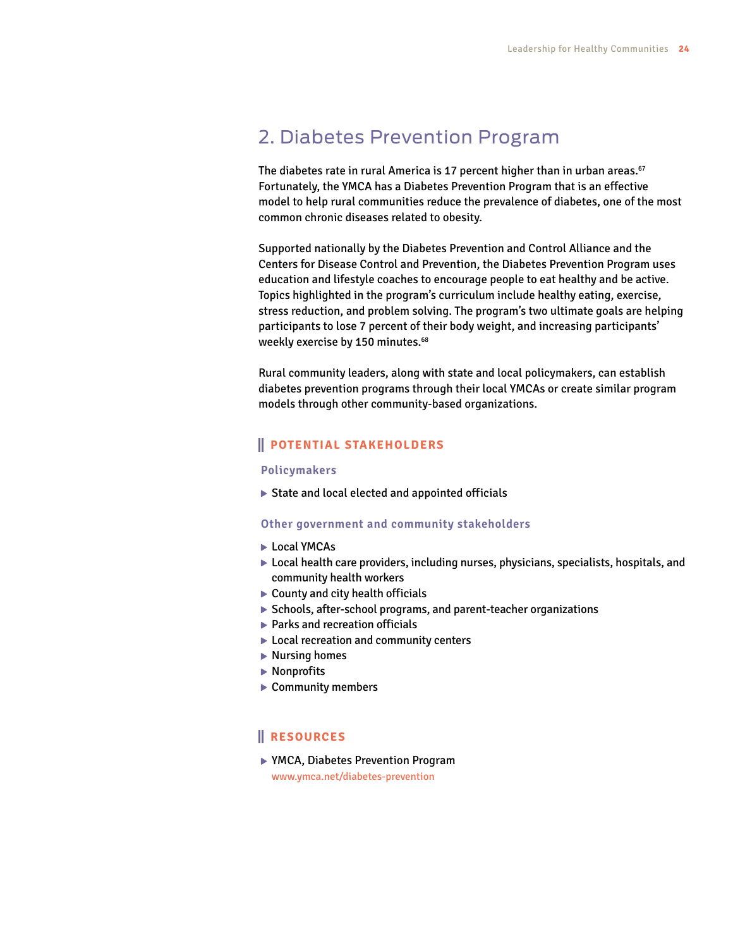## 2. Diabetes Prevention Program

The diabetes rate in rural America is 17 percent higher than in urban areas.<sup>67</sup> Fortunately, the YMCA has a Diabetes Prevention Program that is an effective model to help rural communities reduce the prevalence of diabetes, one of the most common chronic diseases related to obesity.

Supported nationally by the Diabetes Prevention and Control Alliance and the Centers for Disease Control and Prevention, the Diabetes Prevention Program uses education and lifestyle coaches to encourage people to eat healthy and be active. Topics highlighted in the program's curriculum include healthy eating, exercise, stress reduction, and problem solving. The program's two ultimate goals are helping participants to lose 7 percent of their body weight, and increasing participants' weekly exercise by 150 minutes.<sup>68</sup>

Rural community leaders, along with state and local policymakers, can establish diabetes prevention programs through their local YMCAs or create similar program models through other community-based organizations.

#### **POTENTIAL STAKEHOLDERS**

#### **Policymakers**

State and local elected and appointed officials

#### **Other government and community stakeholders**

- ► Local YMCAs
- $\triangleright$  Local health care providers, including nurses, physicians, specialists, hospitals, and community health workers
- ▶ County and city health officials
- ▶ Schools, after-school programs, and parent-teacher organizations
- ▶ Parks and recreation officials
- ▶ Local recreation and community centers
- ▶ Nursing homes
- ▶ Nonprofits
- ▶ Community members

#### **RESOURCES**

▶ YMCA, Diabetes Prevention Program <www.ymca.net/diabetes>-prevention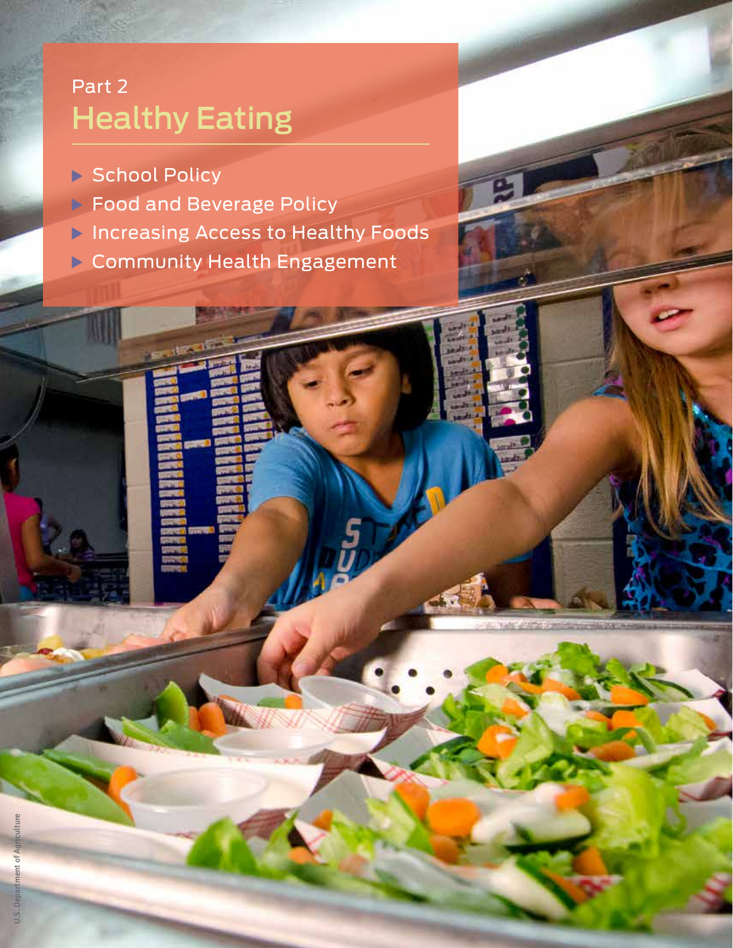## Part 2 Healthy Eating

- ▶ School Policy
- ▶ Food and Beverage Policy
- **Increasing Access to Healthy Foods**
- Community Health Engagement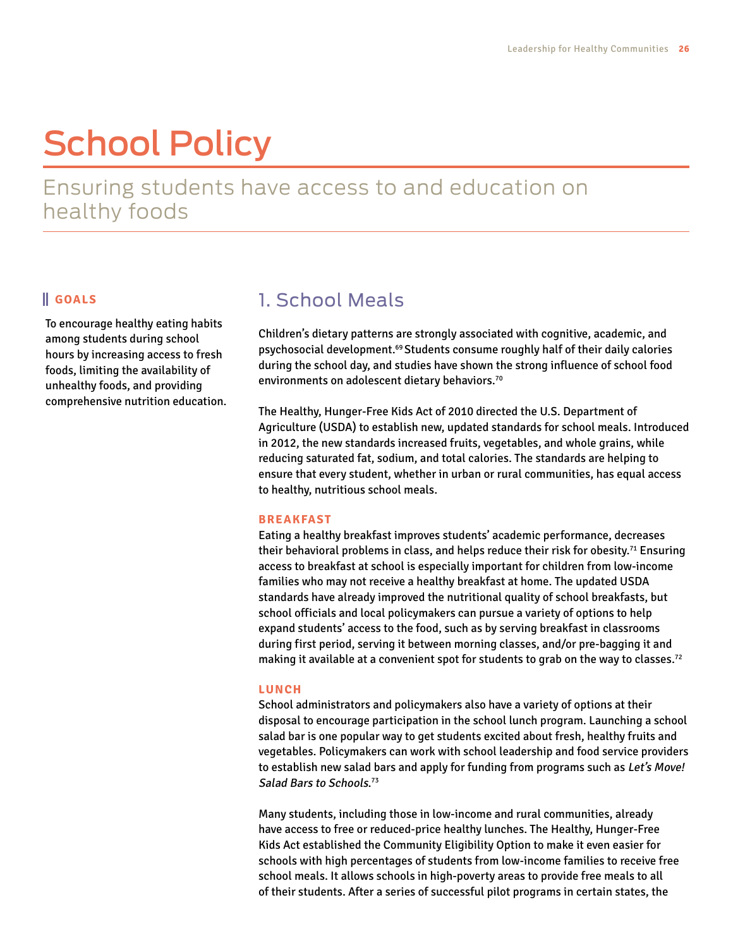# School Policy

Ensuring students have access to and education on healthy foods

#### **GOALS**

To encourage healthy eating habits among students during school hours by increasing access to fresh foods, limiting the availability of unhealthy foods, and providing comprehensive nutrition education.

## 1. School Meals

Children's dietary patterns are strongly associated with cognitive, academic, and psychosocial development.<sup>69</sup> Students consume roughly half of their daily calories during the school day, and studies have shown the strong influence of school food environments on adolescent dietary behaviors.<sup>70</sup>

The Healthy, Hunger-Free Kids Act of 2010 directed the U.S. Department of Agriculture (USDA) to establish new, updated standards for school meals. Introduced in 2012, the new standards increased fruits, vegetables, and whole grains, while reducing saturated fat, sodium, and total calories. The standards are helping to ensure that every student, whether in urban or rural communities, has equal access to healthy, nutritious school meals.

#### **BREAKFAST**

Eating a healthy breakfast improves students' academic performance, decreases their behavioral problems in class, and helps reduce their risk for obesity.<sup>71</sup> Ensuring access to breakfast at school is especially important for children from low-income families who may not receive a healthy breakfast at home. The updated USDA standards have already improved the nutritional quality of school breakfasts, but school officials and local policymakers can pursue a variety of options to help expand students' access to the food, such as by serving breakfast in classrooms during first period, serving it between morning classes, and/or pre-bagging it and making it available at a convenient spot for students to grab on the way to classes.<sup>72</sup>

#### **LUNCH**

School administrators and policymakers also have a variety of options at their disposal to encourage participation in the school lunch program. Launching a school salad bar is one popular way to get students excited about fresh, healthy fruits and vegetables. Policymakers can work with school leadership and food service providers to establish new salad bars and apply for funding from programs such as Let's Move! Salad Bars to Schools. 73

Many students, including those in low-income and rural communities, already have access to free or reduced-price healthy lunches. The Healthy, Hunger-Free Kids Act established the Community Eligibility Option to make it even easier for schools with high percentages of students from low-income families to receive free school meals. It allows schools in high-poverty areas to provide free meals to all of their students. After a series of successful pilot programs in certain states, the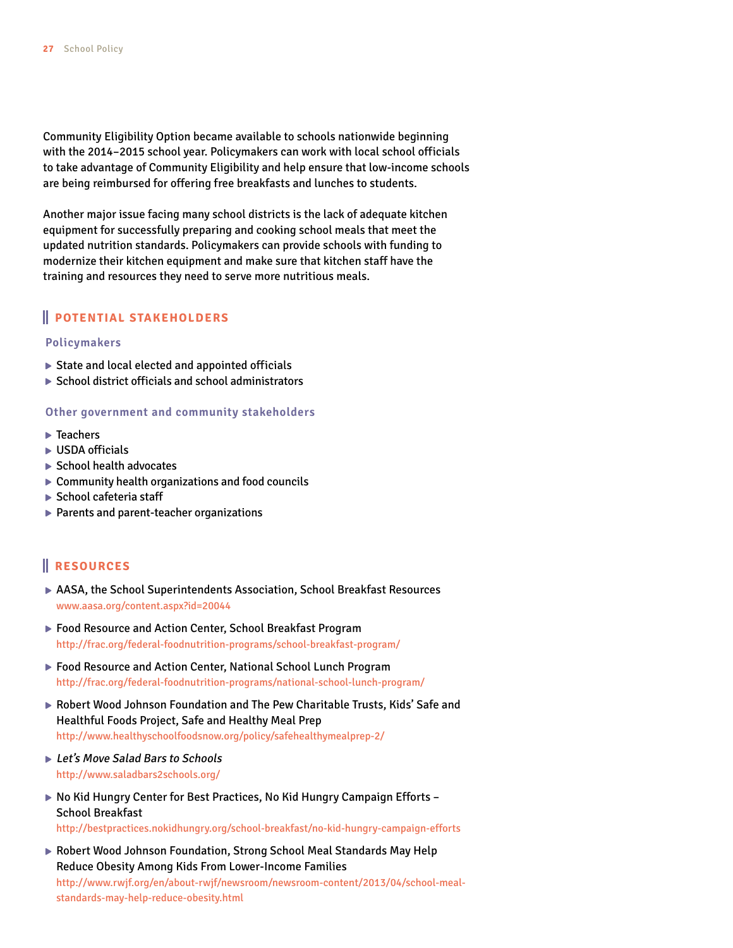Community Eligibility Option became available to schools nationwide beginning with the 2014–2015 school year. Policymakers can work with local school officials to take advantage of Community Eligibility and help ensure that low-income schools are being reimbursed for offering free breakfasts and lunches to students.

Another major issue facing many school districts is the lack of adequate kitchen equipment for successfully preparing and cooking school meals that meet the updated nutrition standards. Policymakers can provide schools with funding to modernize their kitchen equipment and make sure that kitchen staff have the training and resources they need to serve more nutritious meals.

#### **POTENTIAL STAKEHOLDERS**

#### **Policymakers**

- $\triangleright$  State and local elected and appointed officials
- $\triangleright$  School district officials and school administrators

#### **Other government and community stakeholders**

- ▶ Teachers
- **► USDA officials**
- School health advocates
- $\triangleright$  Community health organizations and food councils
- $\blacktriangleright$  School cafeteria staff
- ▶ Parents and parent-teacher organizations

- AASA, the School Superintendents Association, School Breakfast Resources [www.aasa.org/content.aspx?](www.aasa.org/content.aspx)id=20044
- ▶ Food Resource and Action Center, School Breakfast Program <http://frac.org/federal-foodnutrition-programs/school>-breakfast-program/
- ▶ Food Resource and Action Center, National School Lunch Program [http://frac.org/federal-foodnutrition-programs/national-](http://frac.org/federal-foodnutrition-programs/national)school-lunch-program/
- Robert Wood Johnson Foundation and The Pew Charitable Trusts, Kids' Safe and Healthful Foods Project, Safe and Healthy Meal Prep [http://www.healthyschoolfoodsnow.org/policy/safehealthymealprep-](http://www.healthyschoolfoodsnow.org/policy/safehealthymealprep)2/
- ▶ Let's Move Salad Bars to Schools <http://www.saladbars2schools.org>/
- ▶ No Kid Hungry Center for Best Practices, No Kid Hungry Campaign Efforts -School Breakfast <http://bestpractices.nokidhungry.org/school-breakfast/no>-kid-hungry-campaign-efforts
- ▶ Robert Wood Johnson Foundation, Strong School Meal Standards May Help Reduce Obesity Among Kids From Lower-Income Families [http://www.rwjf.org/en/about-rwjf/newsroom/newsroom-content/2013/04/school-meal](http://www.rwjf.org/en/about-rwjf/newsroom/newsroom-content/2013/04/school-meal-standards-may-help-reduce-obesity.html)[standards-may-help-reduce-obesity.html](http://www.rwjf.org/en/about-rwjf/newsroom/newsroom-content/2013/04/school-meal-standards-may-help-reduce-obesity.html)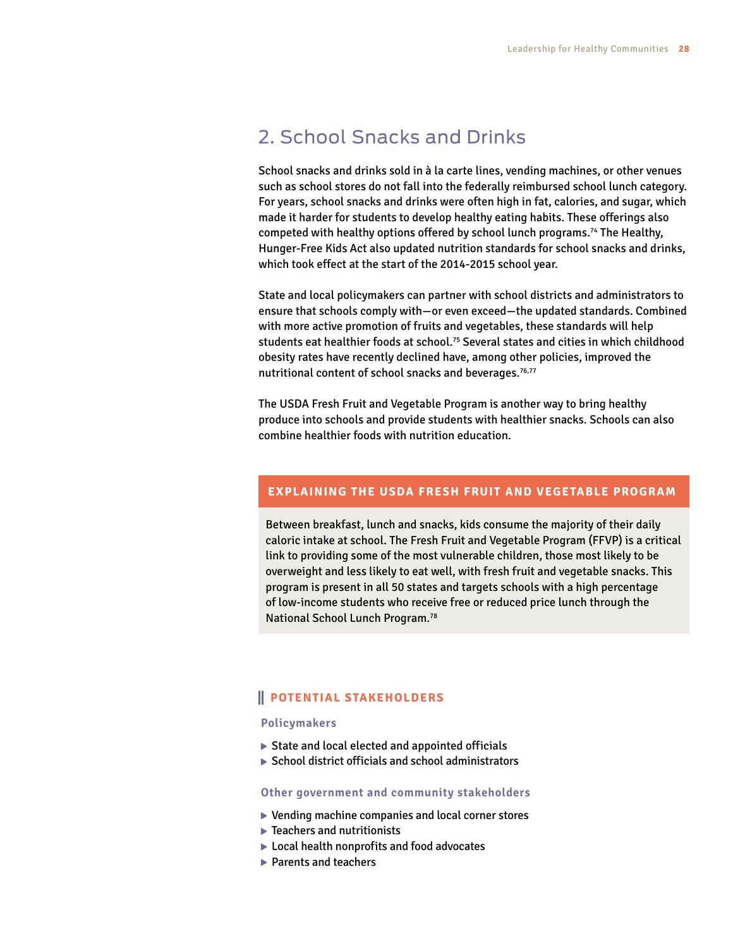## 2. School Snacks and Drinks

School snacks and drinks sold in à la carte lines, vending machines, or other venues such as school stores do not fall into the federally reimbursed school lunch category. For years, school snacks and drinks were often high in fat, calories, and sugar, which made it harder for students to develop healthy eating habits. These offerings also competed with healthy options offered by school lunch programs.74 The Healthy, Hunger-Free Kids Act also updated nutrition standards for school snacks and drinks, which took effect at the start of the 2014-2015 school year.

State and local policymakers can partner with school districts and administrators to ensure that schools comply with—or even exceed—the updated standards. Combined with more active promotion of fruits and vegetables, these standards will help students eat healthier foods at school.<sup>75</sup> Several states and cities in which childhood obesity rates have recently declined have, among other policies, improved the nutritional content of school snacks and beverages.<sup>76,77</sup>

The USDA Fresh Fruit and Vegetable Program is another way to bring healthy produce into schools and provide students with healthier snacks. Schools can also combine healthier foods with nutrition education.

#### **EXPLAINING THE USDA FRESH FRUIT AND VEGETABLE PROGRAM**

Between breakfast, lunch and snacks, kids consume the majority of their daily caloric intake at school. The Fresh Fruit and Vegetable Program (FFVP) is a critical link to providing some of the most vulnerable children, those most likely to be overweight and less likely to eat well, with fresh fruit and vegetable snacks. This program is present in all 50 states and targets schools with a high percentage of low-income students who receive free or reduced price lunch through the National School Lunch Program.78

#### **POTENTIAL STAKEHOLDERS**

#### **Policymakers**

- $\triangleright$  State and local elected and appointed officials
- $\triangleright$  School district officials and school administrators

#### **Other government and community stakeholders**

- ▶ Vending machine companies and local corner stores
- ▶ Teachers and nutritionists
- ▶ Local health nonprofits and food advocates
- ▶ Parents and teachers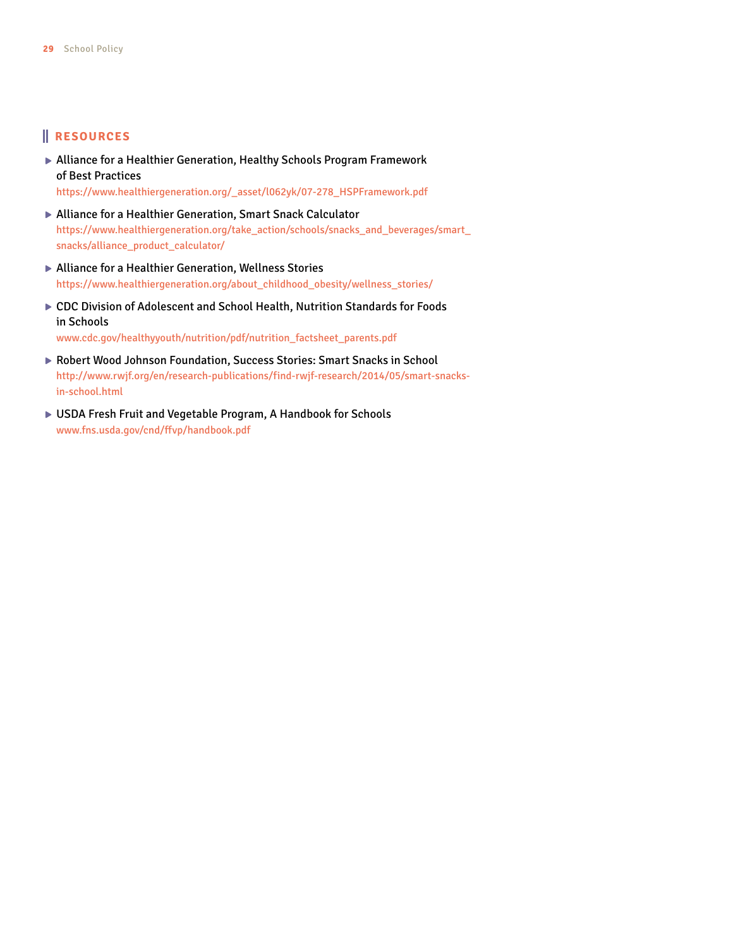#### **RESOURCES**

- Alliance for a Healthier Generation, Healthy Schools Program Framework of Best Practices [https://www.healthiergeneration.org/\\_asset/l062yk/07-278\\_HSPFramework.pdf](https://www.healthiergeneration.org/_asset/l062yk/07-278_HSPFramework.pdf)
- Alliance for a Healthier Generation, Smart Snack Calculator [https://www.healthiergeneration.org/take\\_action/schools/snacks\\_and\\_beverages/smart\\_](https://www.healthiergeneration.org/take_action/schools/snacks_and_beverages/smart_snacks/alliance_product_calculator) [snacks/alliance\\_product\\_calculator](https://www.healthiergeneration.org/take_action/schools/snacks_and_beverages/smart_snacks/alliance_product_calculator)/
- ▶ Alliance for a Healthier Generation, Wellness Stories [https://www.healthiergeneration.org/about\\_childhood\\_obesity/wellness\\_stories](https://www.healthiergeneration.org/about_childhood_obesity/wellness_stories)/
- CDC Division of Adolescent and School Health, Nutrition Standards for Foods in Schools

[www.cdc.gov/healthyyouth/nutrition/pdf/nutrition\\_factsheet\\_parents.pdf](www.cdc.gov/healthyyouth/nutrition/pdf/nutrition_factsheet_parents.pdf)

- Robert Wood Johnson Foundation, Success Stories: Smart Snacks in School [http://www.rwjf.org/en/research-publications/find-rwjf-research/2014/05/smart-snacks](http://www.rwjf.org/en/research-publications/find-rwjf-research/2014/05/smart-snacks-in-school.html)[in-school.html](http://www.rwjf.org/en/research-publications/find-rwjf-research/2014/05/smart-snacks-in-school.html)
- USDA Fresh Fruit and Vegetable Program, A Handbook for Schools <www.fns.usda.gov/cnd/ffvp/handbook.pdf>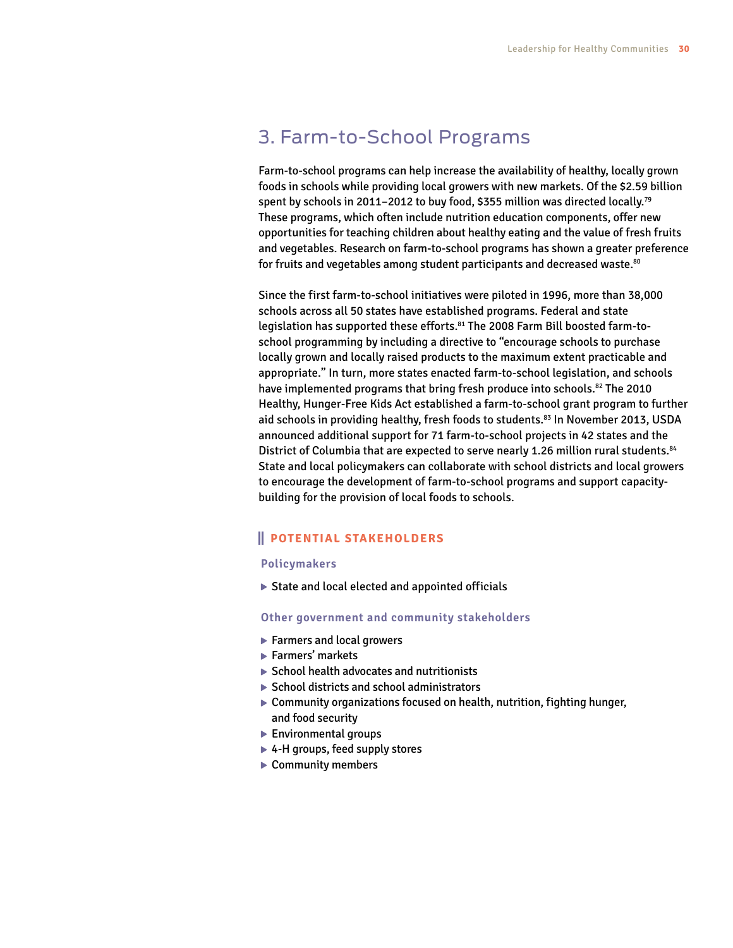### 3. Farm-to-School Programs

Farm-to-school programs can help increase the availability of healthy, locally grown foods in schools while providing local growers with new markets. Of the \$2.59 billion spent by schools in 2011–2012 to buy food, \$355 million was directed locally.79 These programs, which often include nutrition education components, offer new opportunities for teaching children about healthy eating and the value of fresh fruits and vegetables. Research on farm-to-school programs has shown a greater preference for fruits and vegetables among student participants and decreased waste.<sup>80</sup>

Since the first farm-to-school initiatives were piloted in 1996, more than 38,000 schools across all 50 states have established programs. Federal and state legislation has supported these efforts.81 The 2008 Farm Bill boosted farm-toschool programming by including a directive to "encourage schools to purchase locally grown and locally raised products to the maximum extent practicable and appropriate." In turn, more states enacted farm-to-school legislation, and schools have implemented programs that bring fresh produce into schools.<sup>82</sup> The 2010 Healthy, Hunger-Free Kids Act established a farm-to-school grant program to further aid schools in providing healthy, fresh foods to students.<sup>83</sup> In November 2013, USDA announced additional support for 71 farm-to-school projects in 42 states and the District of Columbia that are expected to serve nearly 1.26 million rural students.<sup>84</sup> State and local policymakers can collaborate with school districts and local growers to encourage the development of farm-to-school programs and support capacitybuilding for the provision of local foods to schools.

#### **POTENTIAL STAKEHOLDERS**

#### **Policymakers**

State and local elected and appointed officials

#### **Other government and community stakeholders**

- ▶ Farmers and local growers
- ▶ Farmers' markets
- $\triangleright$  School health advocates and nutritionists
- $\triangleright$  School districts and school administrators
- Community organizations focused on health, nutrition, fighting hunger, and food security
- **Environmental groups**
- ▶ 4-H groups, feed supply stores
- ▶ Community members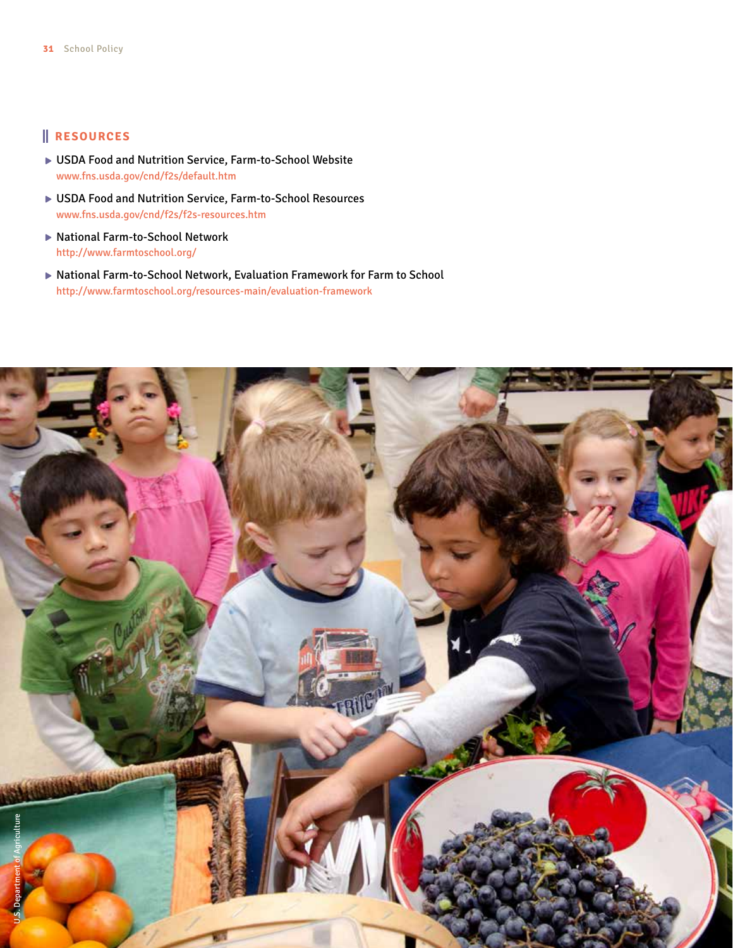- USDA Food and Nutrition Service, Farm-to-School Website <www.fns.usda.gov/cnd/f2s/default.htm>
- USDA Food and Nutrition Service, Farm-to-School Resources <www.fns.usda.gov/cnd/f2s/f2s-resources.htm>
- ▶ National Farm-to-School Network <http://www.farmtoschool.org>/
- National Farm-to-School Network, Evaluation Framework for Farm to School [http://www.farmtoschool.org/resources-main/evaluation-](http://www.farmtoschool.org/resources-main/evaluation)framework

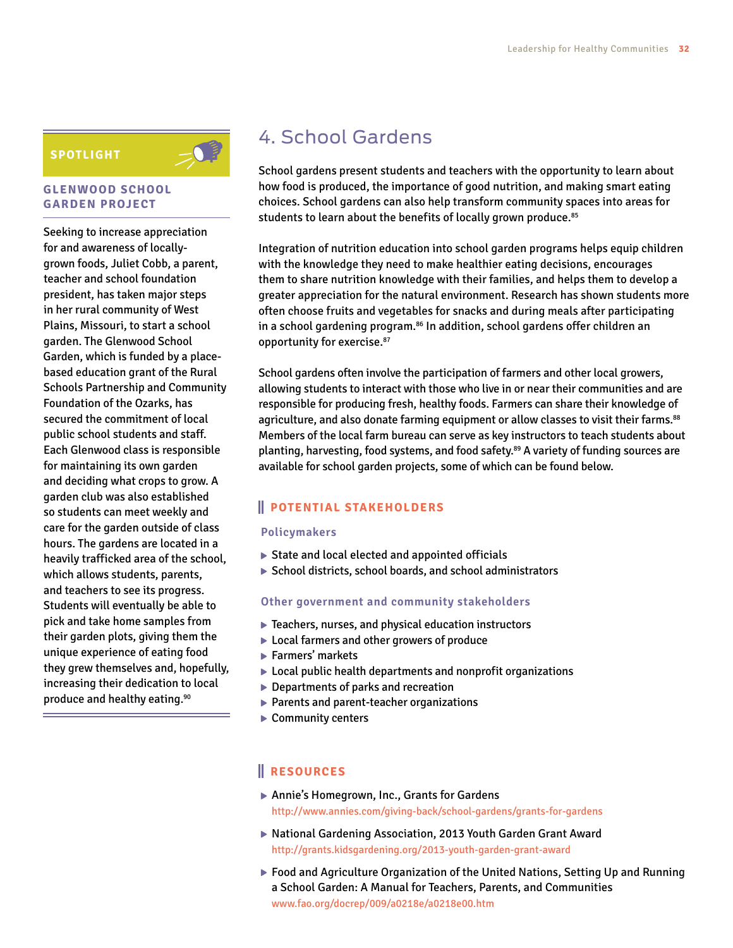#### **SPOTLIGHT**

#### **GLENWOOD SCHOOL GARDEN PROJECT**

Seeking to increase appreciation for and awareness of locallygrown foods, Juliet Cobb, a parent, teacher and school foundation president, has taken major steps in her rural community of West Plains, Missouri, to start a school garden. The Glenwood School Garden, which is funded by a placebased education grant of the Rural Schools Partnership and Community Foundation of the Ozarks, has secured the commitment of local public school students and staff. Each Glenwood class is responsible for maintaining its own garden and deciding what crops to grow. A garden club was also established so students can meet weekly and care for the garden outside of class hours. The gardens are located in a heavily trafficked area of the school, which allows students, parents, and teachers to see its progress. Students will eventually be able to pick and take home samples from their garden plots, giving them the unique experience of eating food they grew themselves and, hopefully, increasing their dedication to local produce and healthy eating.<sup>90</sup>

## 4. School Gardens

School gardens present students and teachers with the opportunity to learn about how food is produced, the importance of good nutrition, and making smart eating choices. School gardens can also help transform community spaces into areas for students to learn about the benefits of locally grown produce.<sup>85</sup>

Integration of nutrition education into school garden programs helps equip children with the knowledge they need to make healthier eating decisions, encourages them to share nutrition knowledge with their families, and helps them to develop a greater appreciation for the natural environment. Research has shown students more often choose fruits and vegetables for snacks and during meals after participating in a school gardening program.<sup>86</sup> In addition, school gardens offer children an opportunity for exercise.<sup>87</sup>

School gardens often involve the participation of farmers and other local growers, allowing students to interact with those who live in or near their communities and are responsible for producing fresh, healthy foods. Farmers can share their knowledge of agriculture, and also donate farming equipment or allow classes to visit their farms.<sup>88</sup> Members of the local farm bureau can serve as key instructors to teach students about planting, harvesting, food systems, and food safety.89 A variety of funding sources are available for school garden projects, some of which can be found below.

#### **POTENTIAL STAKEHOLDERS**

#### **Policymakers**

- $\triangleright$  State and local elected and appointed officials
- ▶ School districts, school boards, and school administrators

#### **Other government and community stakeholders**

- Teachers, nurses, and physical education instructors
- ▶ Local farmers and other growers of produce
- ▶ Farmers' markets
- ▶ Local public health departments and nonprofit organizations
- ▶ Departments of parks and recreation
- ▶ Parents and parent-teacher organizations
- ▶ Community centers

- ▶ Annie's Homegrown, Inc., Grants for Gardens [http://www.annies.com/giving-back/school-gardens/grants-](http://www.annies.com/giving-back/school-gardens/grants)for-gardens
- ▶ National Gardening Association, 2013 Youth Garden Grant Award [http://grants.kidsgardening.org/2013-](http://grants.kidsgardening.org/2013)youth-garden-grant-award
- Food and Agriculture Organization of the United Nations, Setting Up and Running a School Garden: A Manual for Teachers, Parents, and Communities [www.fao.org/docrep/009/a0218e/a0218e00.htm](http://www.fao.org/docrep/009/a0218e/a0218e00.htm)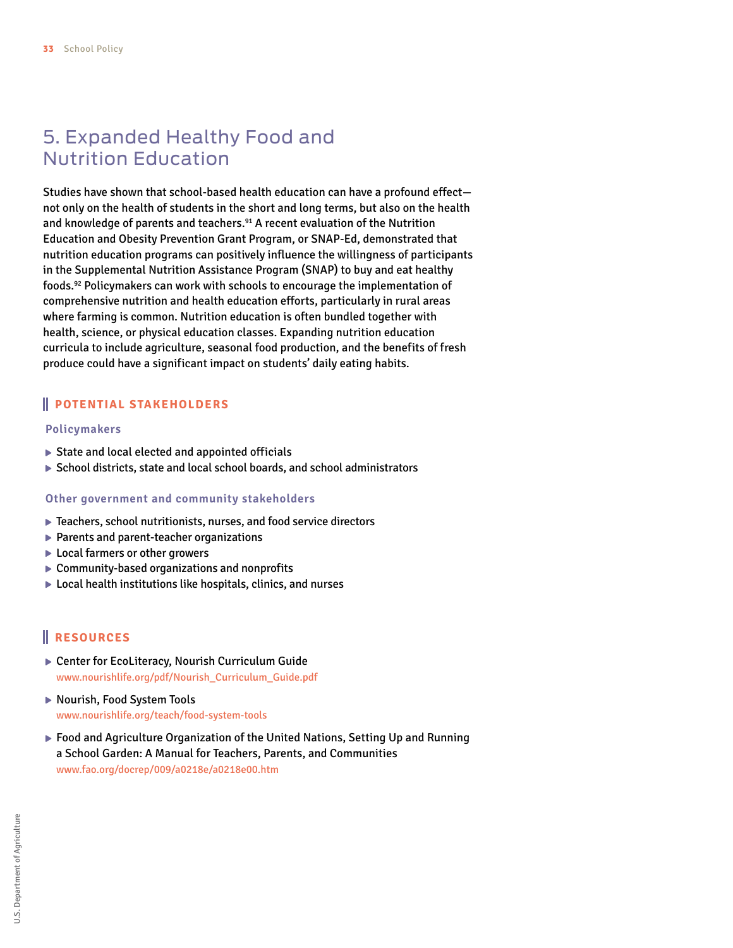## 5. Expanded Healthy Food and Nutrition Education

Studies have shown that school-based health education can have a profound effect not only on the health of students in the short and long terms, but also on the health and knowledge of parents and teachers.<sup>91</sup> A recent evaluation of the Nutrition Education and Obesity Prevention Grant Program, or SNAP-Ed, demonstrated that nutrition education programs can positively influence the willingness of participants in the Supplemental Nutrition Assistance Program (SNAP) to buy and eat healthy foods.92 Policymakers can work with schools to encourage the implementation of comprehensive nutrition and health education efforts, particularly in rural areas where farming is common. Nutrition education is often bundled together with health, science, or physical education classes. Expanding nutrition education curricula to include agriculture, seasonal food production, and the benefits of fresh produce could have a significant impact on students' daily eating habits.

#### **POTENTIAL STAKEHOLDERS**

#### **Policymakers**

- $\triangleright$  State and local elected and appointed officials
- School districts, state and local school boards, and school administrators

#### **Other government and community stakeholders**

- ▶ Teachers, school nutritionists, nurses, and food service directors
- $\blacktriangleright$  Parents and parent-teacher organizations
- ▶ Local farmers or other growers
- ▶ Community-based organizations and nonprofits
- ▶ Local health institutions like hospitals, clinics, and nurses

- Center for EcoLiteracy, Nourish Curriculum Guide [www.nourishlife.org/pdf/Nourish\\_Curriculum\\_Guide.pdf](www.nourishlife.org/pdf/Nourish_Curriculum_Guide.pdf)
- ▶ Nourish, Food System Tools <www.nourishlife.org/teach/food>-system-tools
- Food and Agriculture Organization of the United Nations, Setting Up and Running a School Garden: A Manual for Teachers, Parents, and Communities [www.fao.org/docrep/009/a0218e/a0218e00.htm](http://www.fao.org/docrep/009/a0218e/a0218e00.htm)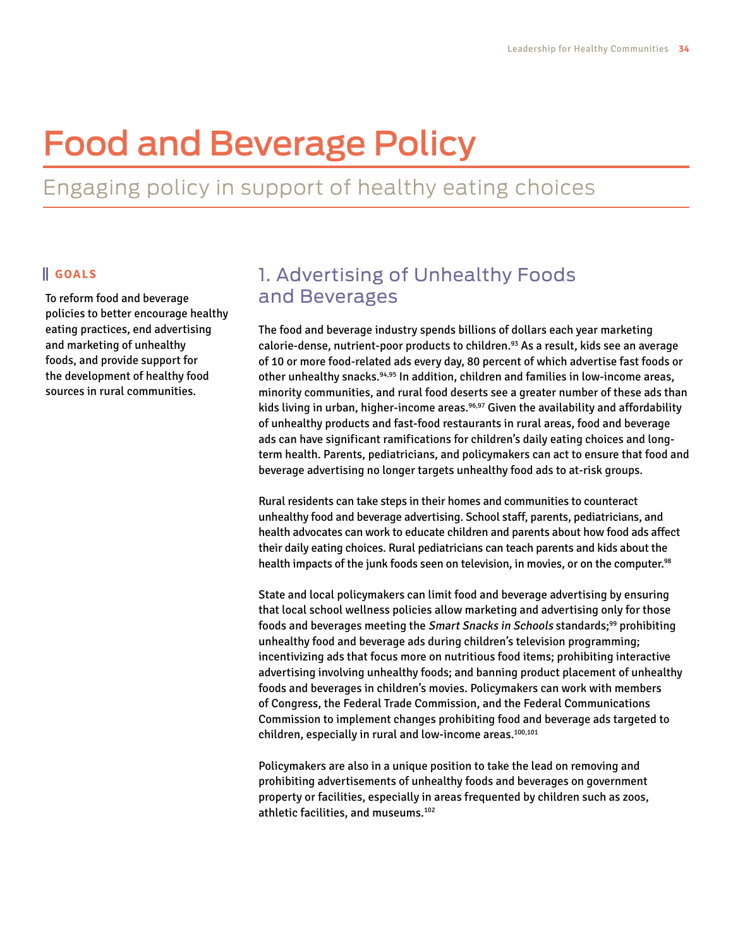# Food and Beverage Policy

## Engaging policy in support of healthy eating choices

#### **GOALS**

To reform food and beverage policies to better encourage healthy eating practices, end advertising and marketing of unhealthy foods, and provide support for the development of healthy food sources in rural communities.

## 1. Advertising of Unhealthy Foods and Beverages

The food and beverage industry spends billions of dollars each year marketing calorie-dense, nutrient-poor products to children.<sup>93</sup> As a result, kids see an average of 10 or more food-related ads every day, 80 percent of which advertise fast foods or other unhealthy snacks.94,95 In addition, children and families in low-income areas, minority communities, and rural food deserts see a greater number of these ads than kids living in urban, higher-income areas.<sup>96,97</sup> Given the availability and affordability of unhealthy products and fast-food restaurants in rural areas, food and beverage ads can have significant ramifications for children's daily eating choices and longterm health. Parents, pediatricians, and policymakers can act to ensure that food and beverage advertising no longer targets unhealthy food ads to at-risk groups.

Rural residents can take steps in their homes and communities to counteract unhealthy food and beverage advertising. School staff, parents, pediatricians, and health advocates can work to educate children and parents about how food ads affect their daily eating choices. Rural pediatricians can teach parents and kids about the health impacts of the junk foods seen on television, in movies, or on the computer.<sup>98</sup>

State and local policymakers can limit food and beverage advertising by ensuring that local school wellness policies allow marketing and advertising only for those foods and beverages meeting the Smart Snacks in Schools standards;<sup>99</sup> prohibiting unhealthy food and beverage ads during children's television programming; incentivizing ads that focus more on nutritious food items; prohibiting interactive advertising involving unhealthy foods; and banning product placement of unhealthy foods and beverages in children's movies. Policymakers can work with members of Congress, the Federal Trade Commission, and the Federal Communications Commission to implement changes prohibiting food and beverage ads targeted to children, especially in rural and low-income areas.<sup>100,101</sup>

Policymakers are also in a unique position to take the lead on removing and prohibiting advertisements of unhealthy foods and beverages on government property or facilities, especially in areas frequented by children such as zoos, athletic facilities, and museums.<sup>102</sup>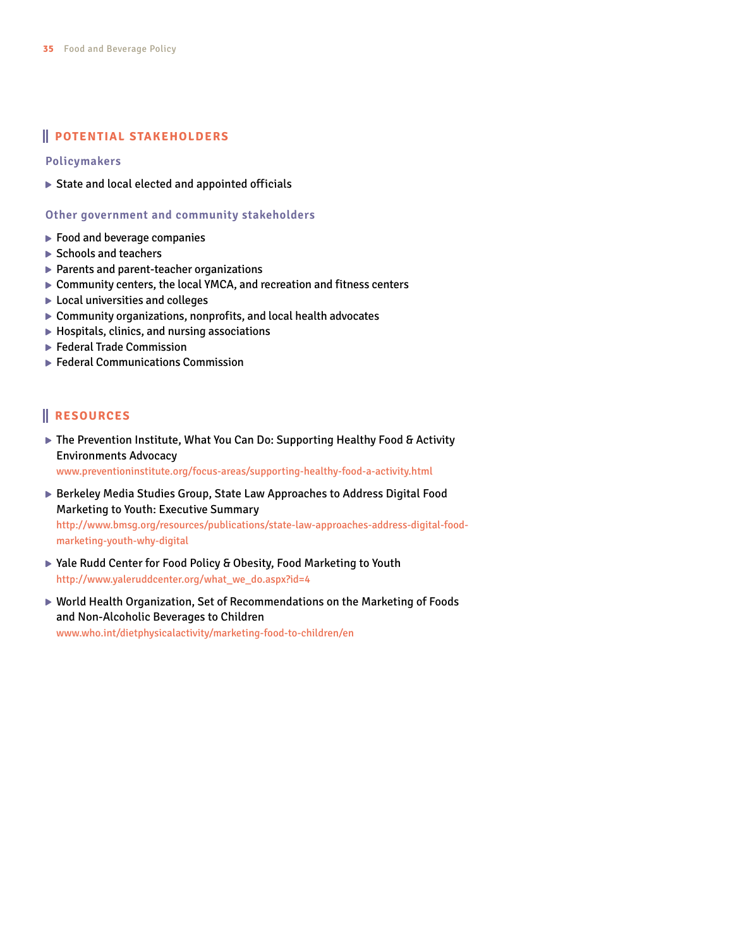#### **POTENTIAL STAKEHOLDERS**

**Policymakers**

State and local elected and appointed officials

**Other government and community stakeholders**

- ▶ Food and beverage companies
- ▶ Schools and teachers
- ▶ Parents and parent-teacher organizations
- Community centers, the local YMCA, and recreation and fitness centers
- ▶ Local universities and colleges
- Community organizations, nonprofits, and local health advocates
- $\blacktriangleright$  Hospitals, clinics, and nursing associations
- ▶ Federal Trade Commission
- ▶ Federal Communications Commission

#### **RESOURCES**

▶ The Prevention Institute, What You Can Do: Supporting Healthy Food & Activity Environments Advocacy

<www.preventioninstitute.org/focus-areas/supporting-healthy-food-a-activity.html>

- ▶ Berkeley Media Studies Group, State Law Approaches to Address Digital Food Marketing to Youth: Executive Summary [http://www.bmsg.org/resources/publications/state-](http://www.bmsg.org/resources/publications/state)law-approaches-address-digital-foodmarketing-youth-why-digital
- ▶ Yale Rudd Center for Food Policy & Obesity, Food Marketing to Youth [http://www.yaleruddcenter.org/what\\_we\\_do.aspx?id=4](http://www.yaleruddcenter.org/what_we_do.aspx?id=4)
- World Health Organization, Set of Recommendations on the Marketing of Foods and Non-Alcoholic Beverages to Children <www.who.int/dietphysicalactivity/marketing-food-to-children/en>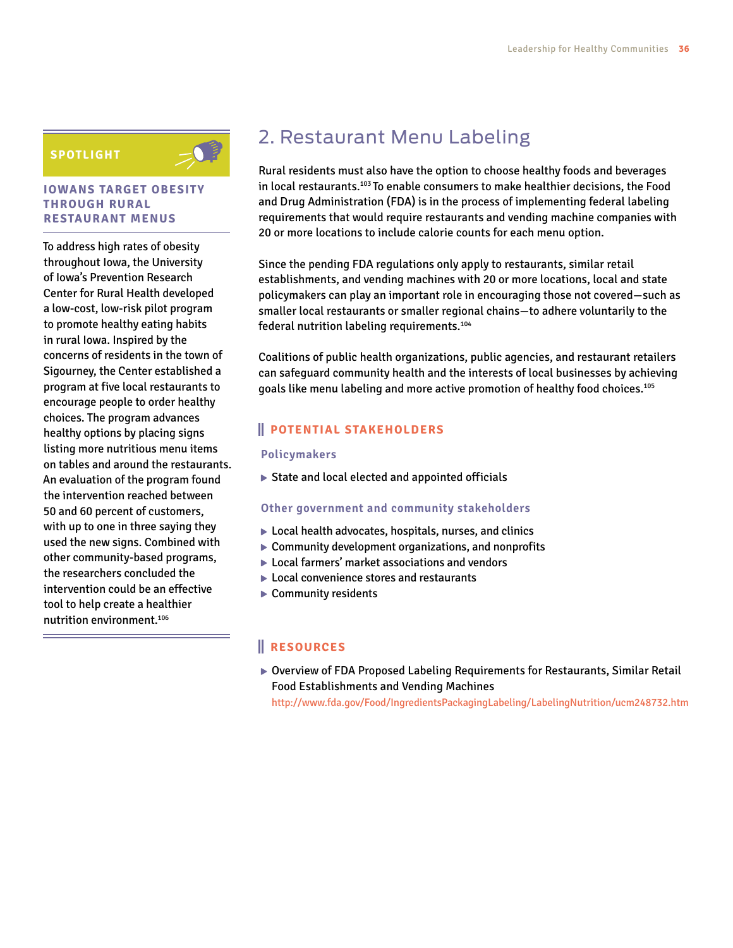#### **SPOTLIGHT**



#### **IOWANS TARGET OBESITY THROUGH RURAL RESTAURANT MENUS**

To address high rates of obesity throughout Iowa, the University of Iowa's Prevention Research Center for Rural Health developed a low-cost, low-risk pilot program to promote healthy eating habits in rural Iowa. Inspired by the concerns of residents in the town of Sigourney, the Center established a program at five local restaurants to encourage people to order healthy choices. The program advances healthy options by placing signs listing more nutritious menu items on tables and around the restaurants. An evaluation of the program found the intervention reached between 50 and 60 percent of customers, with up to one in three saying they used the new signs. Combined with other community-based programs, the researchers concluded the intervention could be an effective tool to help create a healthier nutrition environment.106

## 2. Restaurant Menu Labeling

Rural residents must also have the option to choose healthy foods and beverages in local restaurants.103 To enable consumers to make healthier decisions, the Food and Drug Administration (FDA) is in the process of implementing federal labeling requirements that would require restaurants and vending machine companies with 20 or more locations to include calorie counts for each menu option.

Since the pending FDA regulations only apply to restaurants, similar retail establishments, and vending machines with 20 or more locations, local and state policymakers can play an important role in encouraging those not covered—such as smaller local restaurants or smaller regional chains—to adhere voluntarily to the federal nutrition labeling requirements.104

Coalitions of public health organizations, public agencies, and restaurant retailers can safeguard community health and the interests of local businesses by achieving goals like menu labeling and more active promotion of healthy food choices.105

#### **POTENTIAL STAKEHOLDERS**

#### **Policymakers**

 $\triangleright$  State and local elected and appointed officials

#### **Other government and community stakeholders**

- ▶ Local health advocates, hospitals, nurses, and clinics
- Community development organizations, and nonprofits
- ▶ Local farmers' market associations and vendors
- ▶ Local convenience stores and restaurants
- ▶ Community residents

#### **RESOURCES**

Overview of FDA Proposed Labeling Requirements for Restaurants, Similar Retail Food Establishments and Vending Machines

<http://www.fda.gov/Food/IngredientsPackagingLabeling/LabelingNutrition/ucm248732.htm>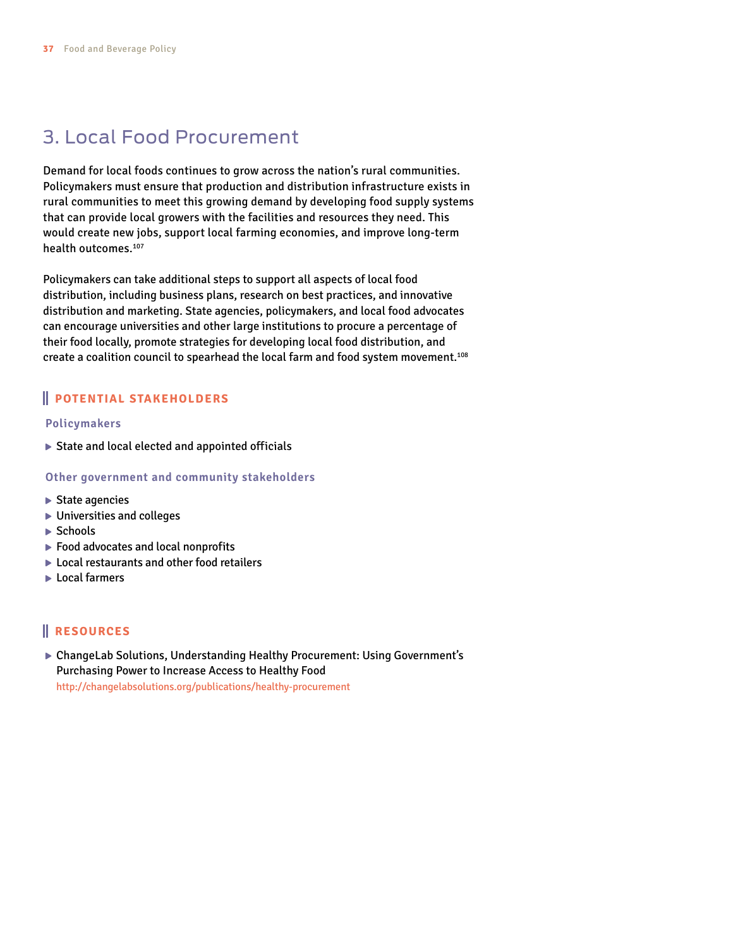## 3. Local Food Procurement

Demand for local foods continues to grow across the nation's rural communities. Policymakers must ensure that production and distribution infrastructure exists in rural communities to meet this growing demand by developing food supply systems that can provide local growers with the facilities and resources they need. This would create new jobs, support local farming economies, and improve long-term health outcomes.107

Policymakers can take additional steps to support all aspects of local food distribution, including business plans, research on best practices, and innovative distribution and marketing. State agencies, policymakers, and local food advocates can encourage universities and other large institutions to procure a percentage of their food locally, promote strategies for developing local food distribution, and create a coalition council to spearhead the local farm and food system movement.108

#### **POTENTIAL STAKEHOLDERS**

#### **Policymakers**

State and local elected and appointed officials

#### **Other government and community stakeholders**

- ▶ State agencies
- Universities and colleges
- $\blacktriangleright$  Schools
- ▶ Food advocates and local nonprofits
- ▶ Local restaurants and other food retailers
- ▶ Local farmers

#### **RESOURCES**

▶ ChangeLab Solutions, Understanding Healthy Procurement: Using Government's Purchasing Power to Increase Access to Healthy Food <http://changelabsolutions.org/publications/healthy>-procurement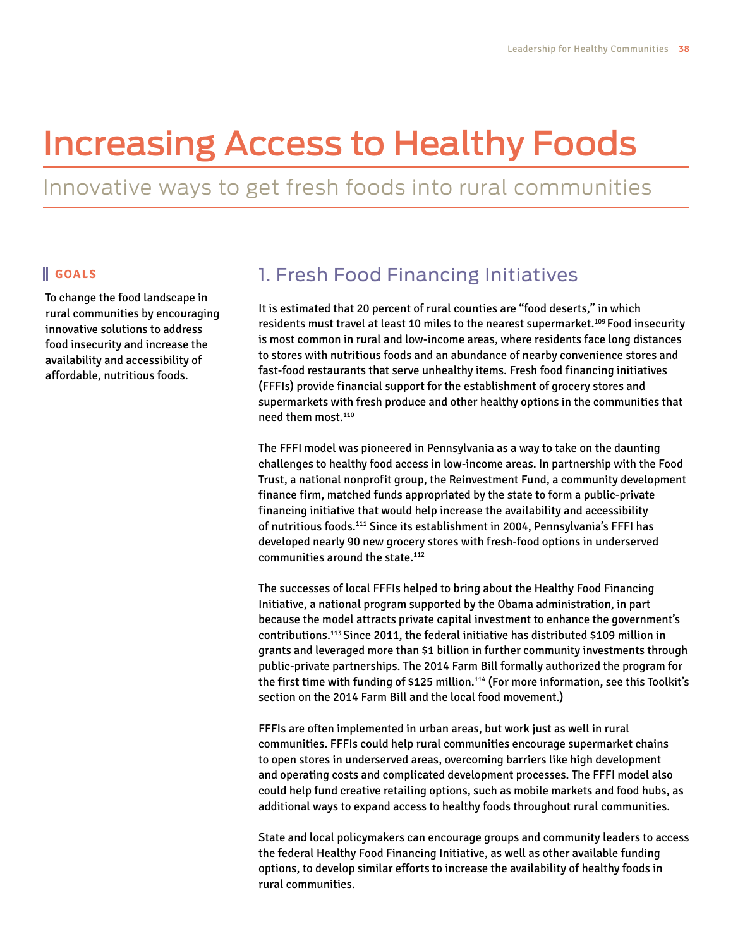# Increasing Access to Healthy Foods

Innovative ways to get fresh foods into rural communities

#### **GOALS**

To change the food landscape in rural communities by encouraging innovative solutions to address food insecurity and increase the availability and accessibility of affordable, nutritious foods.

## 1. Fresh Food Financing Initiatives

It is estimated that 20 percent of rural counties are "food deserts," in which residents must travel at least 10 miles to the nearest supermarket.109 Food insecurity is most common in rural and low-income areas, where residents face long distances to stores with nutritious foods and an abundance of nearby convenience stores and fast-food restaurants that serve unhealthy items. Fresh food financing initiatives (FFFIs) provide financial support for the establishment of grocery stores and supermarkets with fresh produce and other healthy options in the communities that need them most.110

The FFFI model was pioneered in Pennsylvania as a way to take on the daunting challenges to healthy food access in low-income areas. In partnership with the Food Trust, a national nonprofit group, the Reinvestment Fund, a community development finance firm, matched funds appropriated by the state to form a public-private financing initiative that would help increase the availability and accessibility of nutritious foods.111 Since its establishment in 2004, Pennsylvania's FFFI has developed nearly 90 new grocery stores with fresh-food options in underserved communities around the state.112

The successes of local FFFIs helped to bring about the Healthy Food Financing Initiative, a national program supported by the Obama administration, in part because the model attracts private capital investment to enhance the government's contributions.113 Since 2011, the federal initiative has distributed \$109 million in grants and leveraged more than \$1 billion in further community investments through public-private partnerships. The 2014 Farm Bill formally authorized the program for the first time with funding of \$125 million.<sup>114</sup> (For more information, see this Toolkit's section on the 2014 Farm Bill and the local food movement.)

FFFIs are often implemented in urban areas, but work just as well in rural communities. FFFIs could help rural communities encourage supermarket chains to open stores in underserved areas, overcoming barriers like high development and operating costs and complicated development processes. The FFFI model also could help fund creative retailing options, such as mobile markets and food hubs, as additional ways to expand access to healthy foods throughout rural communities.

State and local policymakers can encourage groups and community leaders to access the federal Healthy Food Financing Initiative, as well as other available funding options, to develop similar efforts to increase the availability of healthy foods in rural communities.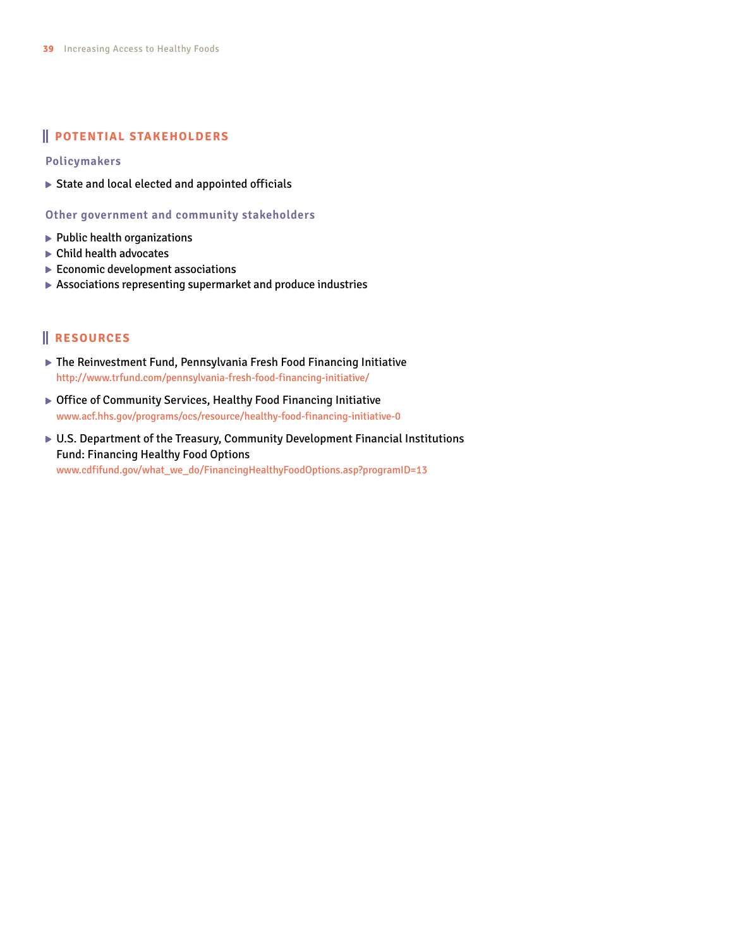#### **POTENTIAL STAKEHOLDERS**

**Policymakers**

State and local elected and appointed officials

**Other government and community stakeholders**

- $\blacktriangleright$  Public health organizations
- ▶ Child health advocates
- $\blacktriangleright$  Economic development associations
- Associations representing supermarket and produce industries

- The Reinvestment Fund, Pennsylvania Fresh Food Financing Initiative [http://www.trfund.com/pennsylvania-](http://www.trfund.com/pennsylvania)fresh-food-financing-initiative/
- ▶ Office of Community Services, Healthy Food Financing Initiative <www.acf.hhs.gov/programs/ocs/resource/healthy>-food-financing-initiative-0
- U.S. Department of the Treasury, Community Development Financial Institutions Fund: Financing Healthy Food Options [www.cdfifund.gov/what\\_we\\_do/FinancingHealthyFoodOptions.asp?](www.cdfifund.gov/what_we_do/FinancingHealthyFoodOptions.asp)programID=13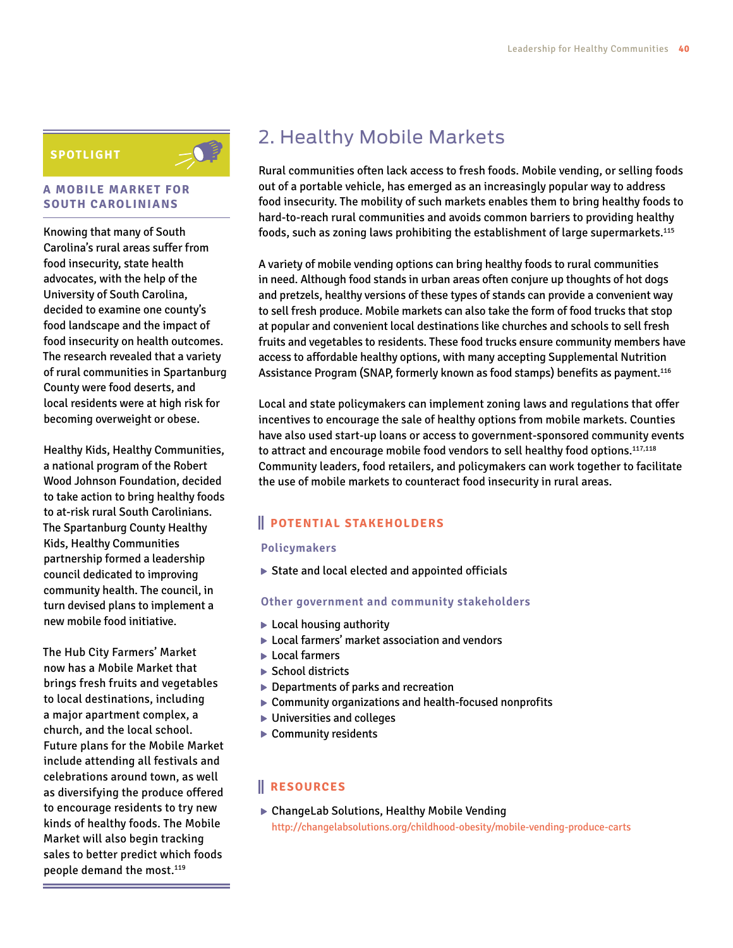#### **SPOTLIGHT**

#### **A MOBILE MARKET FOR SOUTH CAROLINIANS**

Knowing that many of South Carolina's rural areas suffer from food insecurity, state health advocates, with the help of the University of South Carolina, decided to examine one county's food landscape and the impact of food insecurity on health outcomes. The research revealed that a variety of rural communities in Spartanburg County were food deserts, and local residents were at high risk for becoming overweight or obese.

Healthy Kids, Healthy Communities, a national program of the Robert Wood Johnson Foundation, decided to take action to bring healthy foods to at-risk rural South Carolinians. The Spartanburg County Healthy Kids, Healthy Communities partnership formed a leadership council dedicated to improving community health. The council, in turn devised plans to implement a new mobile food initiative.

The Hub City Farmers' Market now has a Mobile Market that brings fresh fruits and vegetables to local destinations, including a major apartment complex, a church, and the local school. Future plans for the Mobile Market include attending all festivals and celebrations around town, as well as diversifying the produce offered to encourage residents to try new kinds of healthy foods. The Mobile Market will also begin tracking sales to better predict which foods people demand the most.<sup>119</sup>

## 2. Healthy Mobile Markets

Rural communities often lack access to fresh foods. Mobile vending, or selling foods out of a portable vehicle, has emerged as an increasingly popular way to address food insecurity. The mobility of such markets enables them to bring healthy foods to hard-to-reach rural communities and avoids common barriers to providing healthy foods, such as zoning laws prohibiting the establishment of large supermarkets.115

A variety of mobile vending options can bring healthy foods to rural communities in need. Although food stands in urban areas often conjure up thoughts of hot dogs and pretzels, healthy versions of these types of stands can provide a convenient way to sell fresh produce. Mobile markets can also take the form of food trucks that stop at popular and convenient local destinations like churches and schools to sell fresh fruits and vegetables to residents. These food trucks ensure community members have access to affordable healthy options, with many accepting Supplemental Nutrition Assistance Program (SNAP, formerly known as food stamps) benefits as payment.116

Local and state policymakers can implement zoning laws and regulations that offer incentives to encourage the sale of healthy options from mobile markets. Counties have also used start-up loans or access to government-sponsored community events to attract and encourage mobile food vendors to sell healthy food options.<sup>117,118</sup> Community leaders, food retailers, and policymakers can work together to facilitate the use of mobile markets to counteract food insecurity in rural areas.

#### **POTENTIAL STAKEHOLDERS**

#### **Policymakers**

▶ State and local elected and appointed officials

#### **Other government and community stakeholders**

- ► Local housing authority
- ▶ Local farmers' market association and vendors
- ► Local farmers
- $\blacktriangleright$  School districts
- ▶ Departments of parks and recreation
- Community organizations and health-focused nonprofits
- ▶ Universities and colleges
- ▶ Community residents

#### **RESOURCES**

▶ ChangeLab Solutions, Healthy Mobile Vending <http://changelabsolutions.org/childhood-obesity/mobile>-vending-produce-carts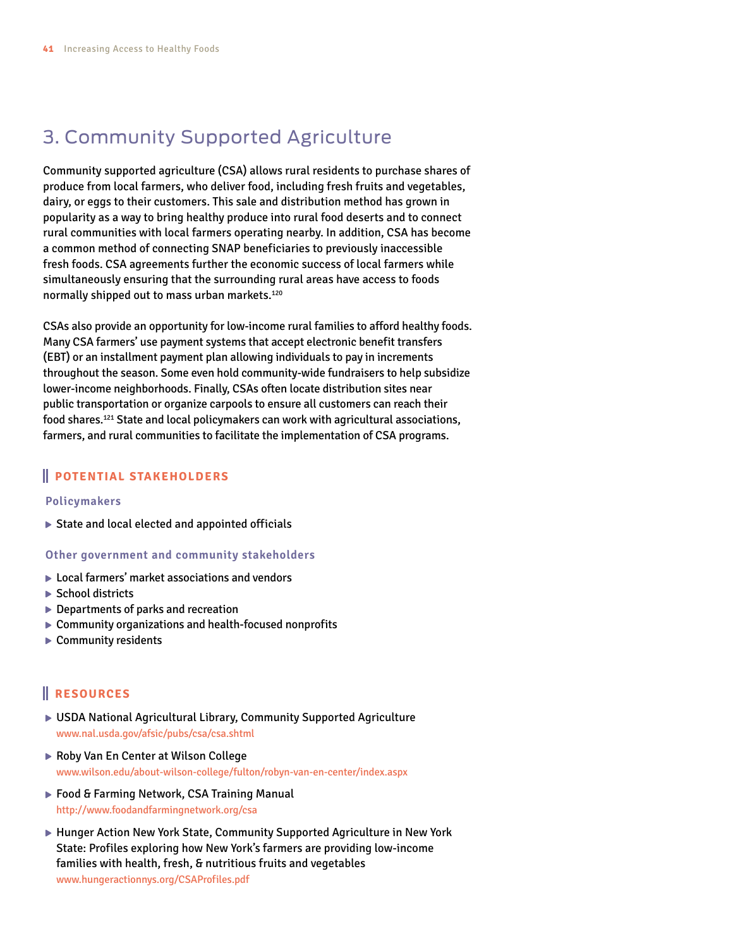## 3. Community Supported Agriculture

Community supported agriculture (CSA) allows rural residents to purchase shares of produce from local farmers, who deliver food, including fresh fruits and vegetables, dairy, or eggs to their customers. This sale and distribution method has grown in popularity as a way to bring healthy produce into rural food deserts and to connect rural communities with local farmers operating nearby. In addition, CSA has become a common method of connecting SNAP beneficiaries to previously inaccessible fresh foods. CSA agreements further the economic success of local farmers while simultaneously ensuring that the surrounding rural areas have access to foods normally shipped out to mass urban markets.120

CSAs also provide an opportunity for low-income rural families to afford healthy foods. Many CSA farmers' use payment systems that accept electronic benefit transfers (EBT) or an installment payment plan allowing individuals to pay in increments throughout the season. Some even hold community-wide fundraisers to help subsidize lower-income neighborhoods. Finally, CSAs often locate distribution sites near public transportation or organize carpools to ensure all customers can reach their food shares.121 State and local policymakers can work with agricultural associations, farmers, and rural communities to facilitate the implementation of CSA programs.

#### **POTENTIAL STAKEHOLDERS**

#### **Policymakers**

 $\triangleright$  State and local elected and appointed officials

#### **Other government and community stakeholders**

- ▶ Local farmers' market associations and vendors
- ▶ School districts
- ▶ Departments of parks and recreation
- Community organizations and health-focused nonprofits
- ▶ Community residents

- USDA National Agricultural Library, Community Supported Agriculture <www.nal.usda.gov/afsic/pubs/csa/csa.shtml>
- ▶ Roby Van En Center at Wilson College <www.wilson.edu/about-wilson-college/fulton/robyn-van-en-center/index.aspx>
- ▶ Food & Farming Network, CSA Training Manual <http://www.foodandfarmingnetwork.org/csa>
- ► Hunger Action New York State, Community Supported Agriculture in New York State: Profiles exploring how New York's farmers are providing low-income families with health, fresh, & nutritious fruits and vegetables <www.hungeractionnys.org/CSAProfiles.pdf>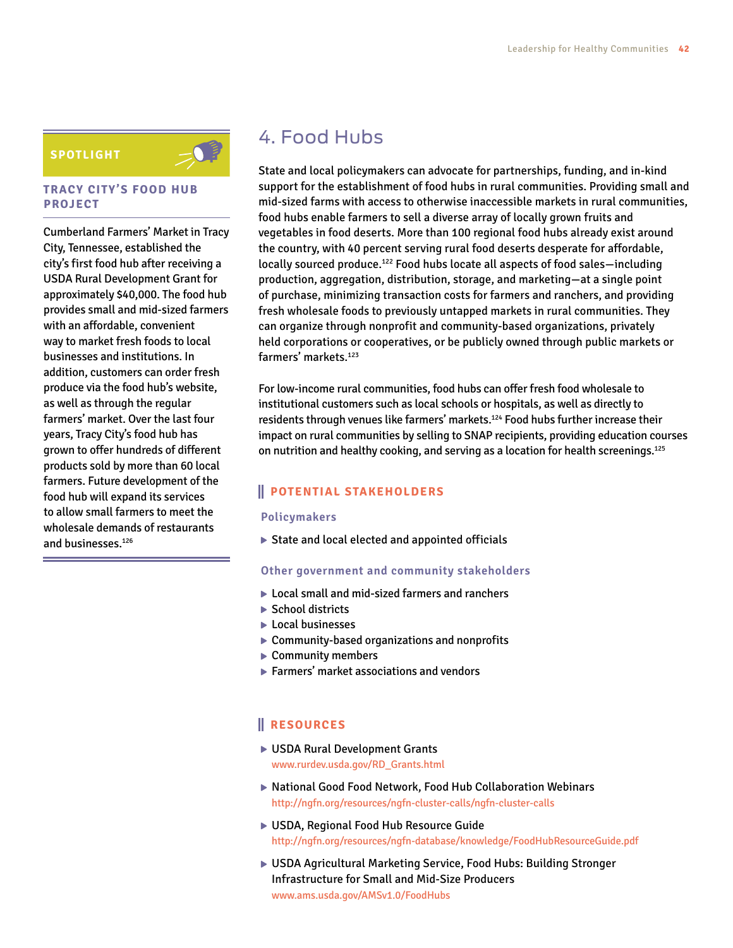#### **SPOTLIGHT**



#### **TRACY CITY'S FOOD HUB PROJECT**

Cumberland Farmers' Market in Tracy City, Tennessee, established the city's first food hub after receiving a USDA Rural Development Grant for approximately \$40,000. The food hub provides small and mid-sized farmers with an affordable, convenient way to market fresh foods to local businesses and institutions. In addition, customers can order fresh produce via the food hub's website, as well as through the regular farmers' market. Over the last four years, Tracy City's food hub has grown to offer hundreds of different products sold by more than 60 local farmers. Future development of the food hub will expand its services to allow small farmers to meet the wholesale demands of restaurants and businesses.126

### 4. Food Hubs

State and local policymakers can advocate for partnerships, funding, and in-kind support for the establishment of food hubs in rural communities. Providing small and mid-sized farms with access to otherwise inaccessible markets in rural communities, food hubs enable farmers to sell a diverse array of locally grown fruits and vegetables in food deserts. More than 100 regional food hubs already exist around the country, with 40 percent serving rural food deserts desperate for affordable, locally sourced produce.<sup>122</sup> Food hubs locate all aspects of food sales-including production, aggregation, distribution, storage, and marketing—at a single point of purchase, minimizing transaction costs for farmers and ranchers, and providing fresh wholesale foods to previously untapped markets in rural communities. They can organize through nonprofit and community-based organizations, privately held corporations or cooperatives, or be publicly owned through public markets or farmers' markets.<sup>123</sup>

For low-income rural communities, food hubs can offer fresh food wholesale to institutional customers such as local schools or hospitals, as well as directly to residents through venues like farmers' markets.<sup>124</sup> Food hubs further increase their impact on rural communities by selling to SNAP recipients, providing education courses on nutrition and healthy cooking, and serving as a location for health screenings.125

#### **POTENTIAL STAKEHOLDERS**

#### **Policymakers**

▶ State and local elected and appointed officials

#### **Other government and community stakeholders**

- ▶ Local small and mid-sized farmers and ranchers
- ▶ School districts
- **Local businesses**
- ▶ Community-based organizations and nonprofits
- ▶ Community members
- Farmers' market associations and vendors

- ▶ USDA Rural Development Grants [www.rurdev.usda.gov/RD\\_Grants.html](www.rurdev.usda.gov/RD_Grants.html)
- National Good Food Network, Food Hub Collaboration Webinars [http://ngfn.org/resources/ngfn-cluster-calls/ngfn-](http://ngfn.org/resources/ngfn-cluster-calls/ngfn)cluster-calls
- USDA, Regional Food Hub Resource Guide <http://ngfn.org/resources/ngfn-database/knowledge/FoodHubResourceGuide.pdf>
- USDA Agricultural Marketing Service, Food Hubs: Building Stronger Infrastructure for Small and Mid-Size Producers <www.ams.usda.gov/AMSv1.0/FoodHubs>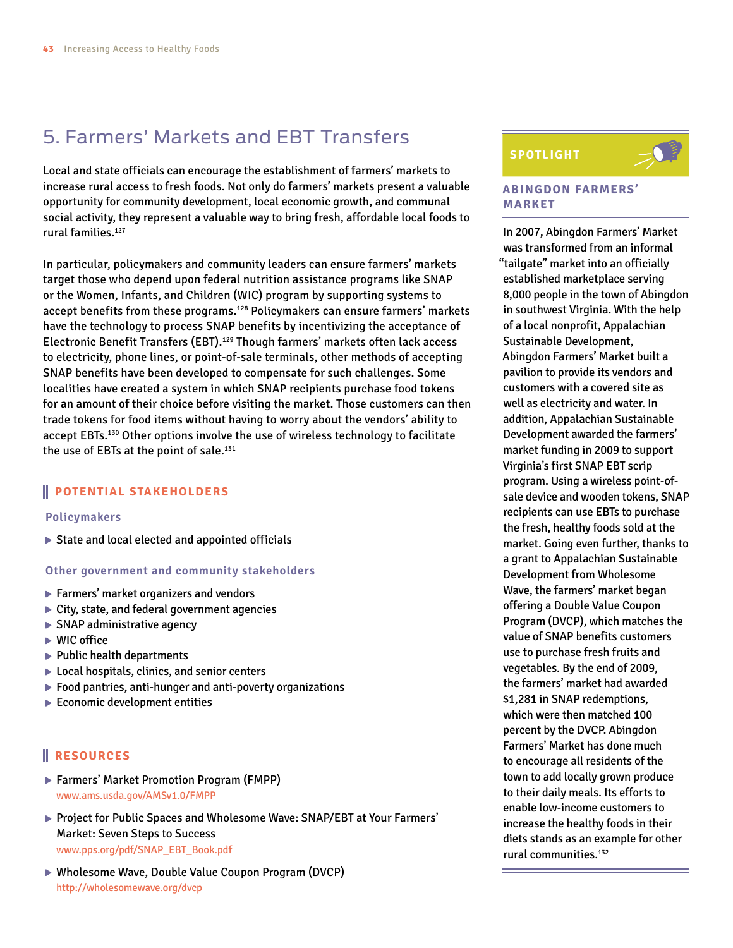## 5. Farmers' Markets and EBT Transfers

Local and state officials can encourage the establishment of farmers' markets to increase rural access to fresh foods. Not only do farmers' markets present a valuable opportunity for community development, local economic growth, and communal social activity, they represent a valuable way to bring fresh, affordable local foods to rural families.<sup>127</sup>

In particular, policymakers and community leaders can ensure farmers' markets target those who depend upon federal nutrition assistance programs like SNAP or the Women, Infants, and Children (WIC) program by supporting systems to accept benefits from these programs.<sup>128</sup> Policymakers can ensure farmers' markets have the technology to process SNAP benefits by incentivizing the acceptance of Electronic Benefit Transfers (EBT).<sup>129</sup> Though farmers' markets often lack access to electricity, phone lines, or point-of-sale terminals, other methods of accepting SNAP benefits have been developed to compensate for such challenges. Some localities have created a system in which SNAP recipients purchase food tokens for an amount of their choice before visiting the market. Those customers can then trade tokens for food items without having to worry about the vendors' ability to accept EBTs.<sup>130</sup> Other options involve the use of wireless technology to facilitate the use of EBTs at the point of sale.<sup>131</sup>

#### **POTENTIAL STAKEHOLDERS**

#### **Policymakers**

State and local elected and appointed officials

#### **Other government and community stakeholders**

- ▶ Farmers' market organizers and vendors
- ▶ City, state, and federal government agencies
- ▶ SNAP administrative agency
- ▶ WIC office
- $\blacktriangleright$  Public health departments
- ▶ Local hospitals, clinics, and senior centers
- $\blacktriangleright$  Food pantries, anti-hunger and anti-poverty organizations
- $\blacktriangleright$  Economic development entities

#### **RESOURCES**

- ▶ Farmers' Market Promotion Program (FMPP) <www.ams.usda.gov/AMSv1.0/FMPP>
- ▶ Project for Public Spaces and Wholesome Wave: SNAP/EBT at Your Farmers' Market: Seven Steps to Success [www.pps.org/pdf/SNAP\\_EBT\\_Book.pdf](www.pps.org/pdf/SNAP_EBT_Book.pdf)
- ▶ Wholesome Wave, Double Value Coupon Program (DVCP) <http://wholesomewave.org/dvcp>

### **SPOTLIGHT**



#### **ABINGDON FARMERS' MARKET**

In 2007, Abingdon Farmers' Market was transformed from an informal "tailgate" market into an officially established marketplace serving 8,000 people in the town of Abingdon in southwest Virginia. With the help of a local nonprofit, Appalachian Sustainable Development, Abingdon Farmers' Market built a pavilion to provide its vendors and customers with a covered site as well as electricity and water. In addition, Appalachian Sustainable Development awarded the farmers' market funding in 2009 to support Virginia's first SNAP EBT scrip program. Using a wireless point-ofsale device and wooden tokens, SNAP recipients can use EBTs to purchase the fresh, healthy foods sold at the market. Going even further, thanks to a grant to Appalachian Sustainable Development from Wholesome Wave, the farmers' market began offering a Double Value Coupon Program (DVCP), which matches the value of SNAP benefits customers use to purchase fresh fruits and vegetables. By the end of 2009, the farmers' market had awarded \$1,281 in SNAP redemptions, which were then matched 100 percent by the DVCP. Abingdon Farmers' Market has done much to encourage all residents of the town to add locally grown produce to their daily meals. Its efforts to enable low-income customers to increase the healthy foods in their diets stands as an example for other rural communities.132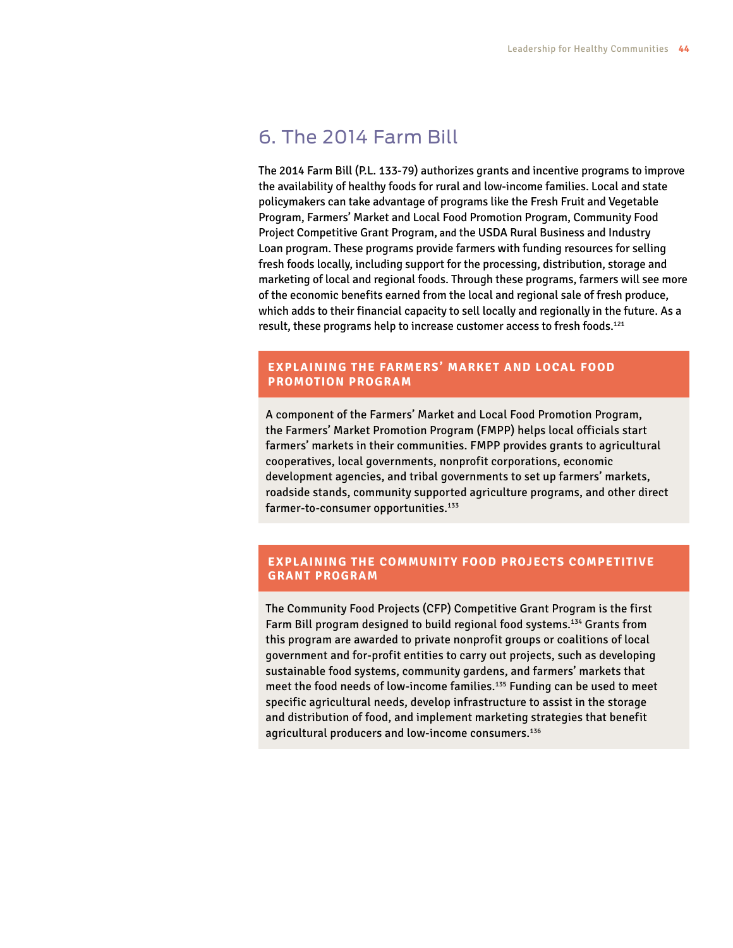### 6. The 2014 Farm Bill

The 2014 Farm Bill (P.L. 133-79) authorizes grants and incentive programs to improve the availability of healthy foods for rural and low-income families. Local and state policymakers can take advantage of programs like the Fresh Fruit and Vegetable Program, Farmers' Market and Local Food Promotion Program, Community Food Project Competitive Grant Program, and the USDA Rural Business and Industry Loan program. These programs provide farmers with funding resources for selling fresh foods locally, including support for the processing, distribution, storage and marketing of local and regional foods. Through these programs, farmers will see more of the economic benefits earned from the local and regional sale of fresh produce, which adds to their financial capacity to sell locally and regionally in the future. As a result, these programs help to increase customer access to fresh foods.<sup>121</sup>

#### **EXPLAINING THE FARMERS' MARKET AND LOCAL FOOD PROMOTION PROGRAM**

A component of the Farmers' Market and Local Food Promotion Program, the Farmers' Market Promotion Program (FMPP) helps local officials start farmers' markets in their communities. FMPP provides grants to agricultural cooperatives, local governments, nonprofit corporations, economic development agencies, and tribal governments to set up farmers' markets, roadside stands, community supported agriculture programs, and other direct farmer-to-consumer opportunities.<sup>133</sup>

#### **EXPLAINING THE COMMUNITY FOOD PROJECTS COMPETITIVE GRANT PROGRAM**

The Community Food Projects (CFP) Competitive Grant Program is the first Farm Bill program designed to build regional food systems.<sup>134</sup> Grants from this program are awarded to private nonprofit groups or coalitions of local government and for-profit entities to carry out projects, such as developing sustainable food systems, community gardens, and farmers' markets that meet the food needs of low-income families.135 Funding can be used to meet specific agricultural needs, develop infrastructure to assist in the storage and distribution of food, and implement marketing strategies that benefit agricultural producers and low-income consumers.<sup>136</sup>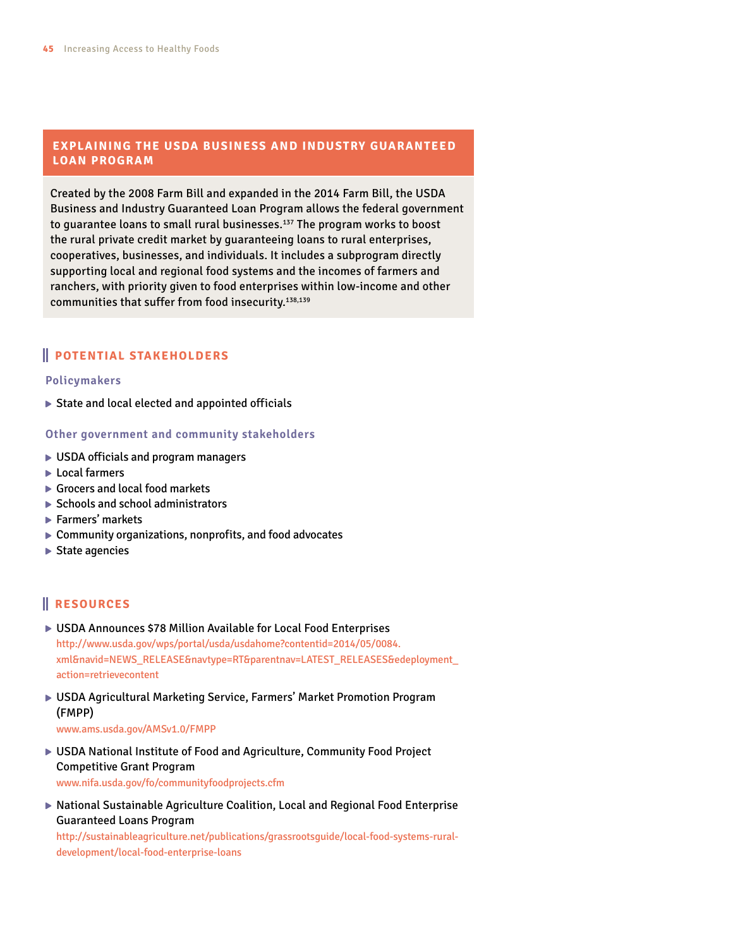#### **EXPLAINING THE USDA BUSINESS AND INDUSTRY GUARANTEED LOAN PROGRAM**

Created by the 2008 Farm Bill and expanded in the 2014 Farm Bill, the USDA Business and Industry Guaranteed Loan Program allows the federal government to guarantee loans to small rural businesses.<sup>137</sup> The program works to boost the rural private credit market by guaranteeing loans to rural enterprises, cooperatives, businesses, and individuals. It includes a subprogram directly supporting local and regional food systems and the incomes of farmers and ranchers, with priority given to food enterprises within low-income and other communities that suffer from food insecurity.<sup>138,139</sup>

#### **POTENTIAL STAKEHOLDERS**

#### **Policymakers**

 $\triangleright$  State and local elected and appointed officials

**Other government and community stakeholders**

- ▶ USDA officials and program managers
- ► Local farmers
- Grocers and local food markets
- $\triangleright$  Schools and school administrators
- ▶ Farmers' markets
- ▶ Community organizations, nonprofits, and food advocates
- ▶ State agencies

#### **RESOURCES**

- ▶ USDA Announces \$78 Million Available for Local Food Enterprises <http://www.usda.gov/wps/portal/usda/usdahome?contentid=2014>/05/[0084.](0084.xml) [xml&](0084.xml)navid=NEWS\_RELEASE&navtype=RT&parentnav=LATEST\_RELEASES&edeployment\_ action=retrievecontent
- USDA Agricultural Marketing Service, Farmers' Market Promotion Program (FMPP)

<www.ams.usda.gov/AMSv1.0/FMPP>

- USDA National Institute of Food and Agriculture, Community Food Project Competitive Grant Program <www.nifa.usda.gov/fo/communityfoodprojects.cfm>
- ▶ National Sustainable Agriculture Coalition, Local and Regional Food Enterprise Guaranteed Loans Program

[http://sustainableagriculture.net/publications/grassrootsguide/local-food-systems-rural](http://sustainableagriculture.net/publications/grassrootsguide/local-food-systems-rural-development/local)[development/local](http://sustainableagriculture.net/publications/grassrootsguide/local-food-systems-rural-development/local)-food-enterprise-loans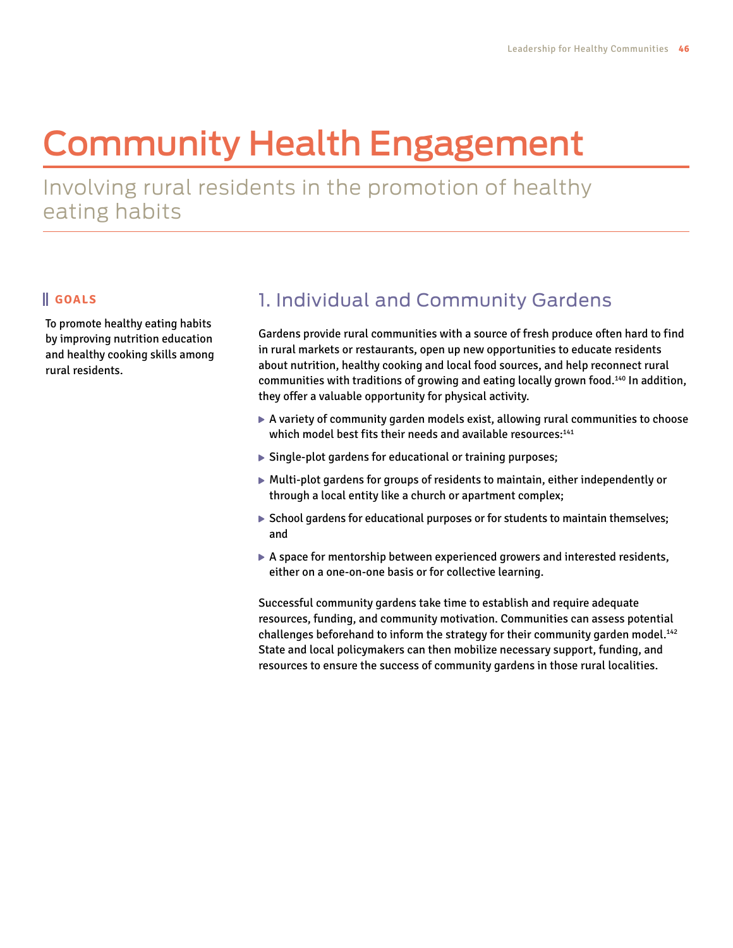# Community Health Engagement

Involving rural residents in the promotion of healthy eating habits

#### **GOALS**

To promote healthy eating habits by improving nutrition education and healthy cooking skills among rural residents.

## 1. Individual and Community Gardens

Gardens provide rural communities with a source of fresh produce often hard to find in rural markets or restaurants, open up new opportunities to educate residents about nutrition, healthy cooking and local food sources, and help reconnect rural communities with traditions of growing and eating locally grown food.<sup>140</sup> In addition, they offer a valuable opportunity for physical activity.

- $\triangleright$  A variety of community garden models exist, allowing rural communities to choose which model best fits their needs and available resources:<sup>141</sup>
- ▶ Single-plot gardens for educational or training purposes;
- Multi-plot gardens for groups of residents to maintain, either independently or through a local entity like a church or apartment complex;
- $\triangleright$  School gardens for educational purposes or for students to maintain themselves; and
- A space for mentorship between experienced growers and interested residents, either on a one-on-one basis or for collective learning.

Successful community gardens take time to establish and require adequate resources, funding, and community motivation. Communities can assess potential challenges beforehand to inform the strategy for their community garden model.<sup>142</sup> State and local policymakers can then mobilize necessary support, funding, and resources to ensure the success of community gardens in those rural localities.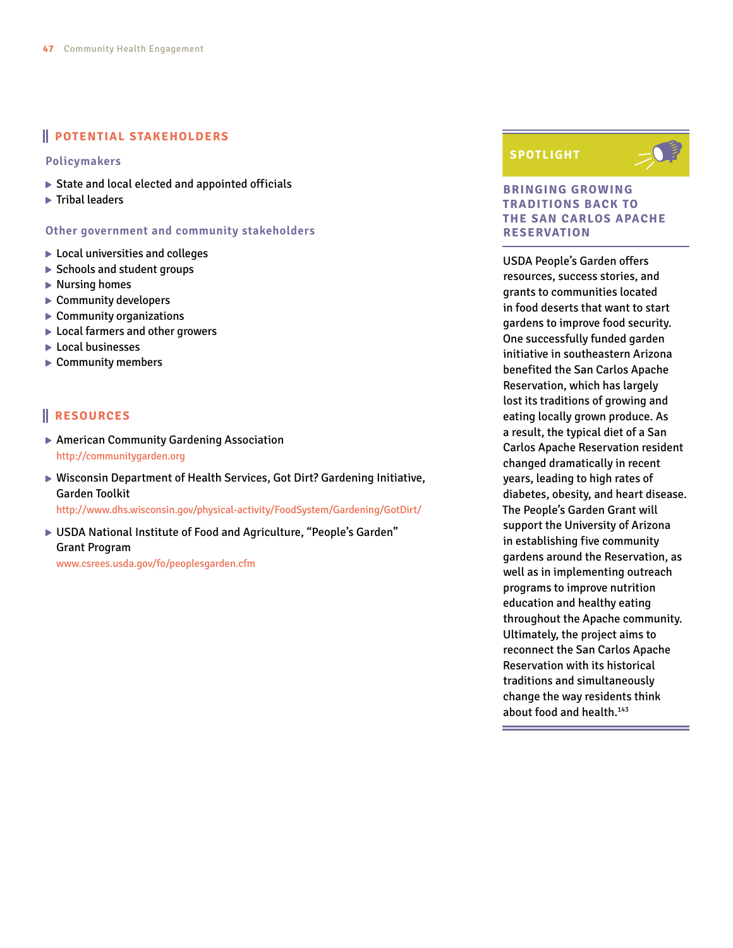#### **POTENTIAL STAKEHOLDERS**

#### **Policymakers**

- State and local elected and appointed officials
- $\blacktriangleright$  Tribal leaders

#### **Other government and community stakeholders**

- Local universities and colleges
- ▶ Schools and student groups
- $\blacktriangleright$  Nursing homes
- ▶ Community developers
- ▶ Community organizations
- ▶ Local farmers and other growers
- ► Local businesses
- ▶ Community members

#### **RESOURCES**

- American Community Gardening Association <http://communitygarden.org>
- ▶ Wisconsin Department of Health Services, Got Dirt? Gardening Initiative, Garden Toolkit

[http://www.dhs.wisconsin.gov/physical-activity/FoodSystem/Gardening/GotDirt/](http://www.dhs.wisconsin.gov/physical-activity/FoodSystem/Gardening/GotDirt)

▶ USDA National Institute of Food and Agriculture, "People's Garden" Grant Program

<www.csrees.usda.gov/fo/peoplesgarden.cfm>

#### **SPOTLIGHT**



#### **BRINGING GROWING TRADITIONS BACK TO THE SAN CARLOS APACHE RESERVATION**

USDA People's Garden offers resources, success stories, and grants to communities located in food deserts that want to start gardens to improve food security. One successfully funded garden initiative in southeastern Arizona benefited the San Carlos Apache Reservation, which has largely lost its traditions of growing and eating locally grown produce. As a result, the typical diet of a San Carlos Apache Reservation resident changed dramatically in recent years, leading to high rates of diabetes, obesity, and heart disease. The People's Garden Grant will support the University of Arizona in establishing five community gardens around the Reservation, as well as in implementing outreach programs to improve nutrition education and healthy eating throughout the Apache community. Ultimately, the project aims to reconnect the San Carlos Apache Reservation with its historical traditions and simultaneously change the way residents think about food and health.<sup>143</sup>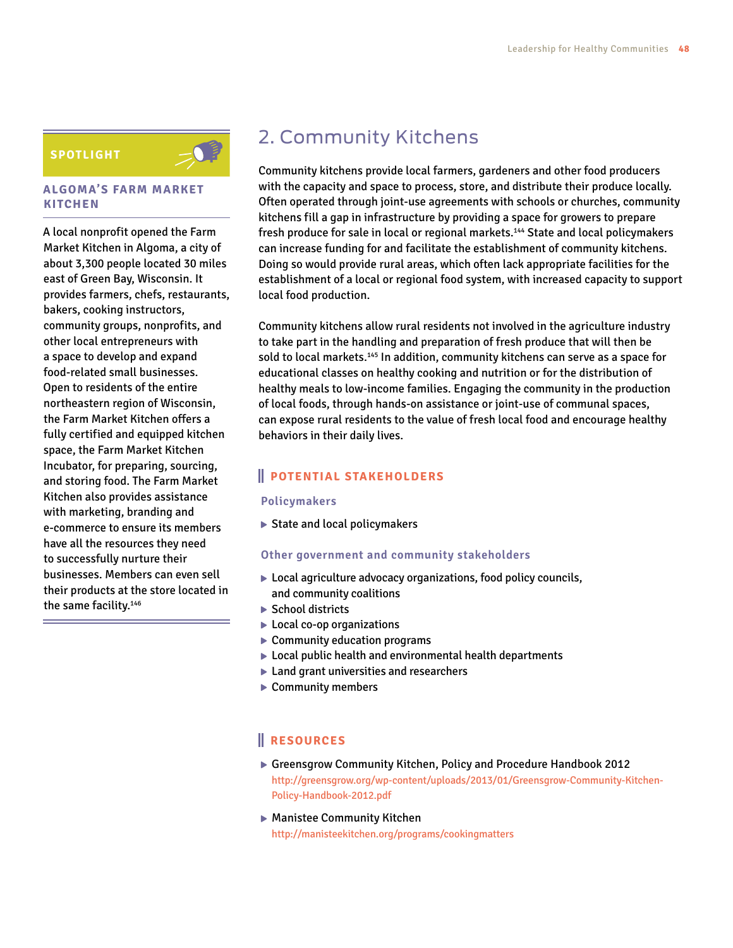#### **SPOTLIGHT**



#### **ALGOMA'S FARM MARKET KITCHEN**

A local nonprofit opened the Farm Market Kitchen in Algoma, a city of about 3,300 people located 30 miles east of Green Bay, Wisconsin. It provides farmers, chefs, restaurants, bakers, cooking instructors, community groups, nonprofits, and other local entrepreneurs with a space to develop and expand food-related small businesses. Open to residents of the entire northeastern region of Wisconsin, the Farm Market Kitchen offers a fully certified and equipped kitchen space, the Farm Market Kitchen Incubator, for preparing, sourcing, and storing food. The Farm Market Kitchen also provides assistance with marketing, branding and e-commerce to ensure its members have all the resources they need to successfully nurture their businesses. Members can even sell their products at the store located in the same facility.<sup>146</sup>

## 2. Community Kitchens

Community kitchens provide local farmers, gardeners and other food producers with the capacity and space to process, store, and distribute their produce locally. Often operated through joint-use agreements with schools or churches, community kitchens fill a gap in infrastructure by providing a space for growers to prepare fresh produce for sale in local or regional markets.<sup>144</sup> State and local policymakers can increase funding for and facilitate the establishment of community kitchens. Doing so would provide rural areas, which often lack appropriate facilities for the establishment of a local or regional food system, with increased capacity to support local food production.

Community kitchens allow rural residents not involved in the agriculture industry to take part in the handling and preparation of fresh produce that will then be sold to local markets.145 In addition, community kitchens can serve as a space for educational classes on healthy cooking and nutrition or for the distribution of healthy meals to low-income families. Engaging the community in the production of local foods, through hands-on assistance or joint-use of communal spaces, can expose rural residents to the value of fresh local food and encourage healthy behaviors in their daily lives.

#### **POTENTIAL STAKEHOLDERS**

#### **Policymakers**

▶ State and local policymakers

#### **Other government and community stakeholders**

- ▶ Local agriculture advocacy organizations, food policy councils, and community coalitions
- ▶ School districts
- ▶ Local co-op organizations
- ▶ Community education programs
- ▶ Local public health and environmental health departments
- ▶ Land grant universities and researchers
- ▶ Community members

- Greensgrow Community Kitchen, Policy and Procedure Handbook 2012 [http://greensgrow.org/wp-content/uploads/2013/01/Greensgrow-Community-Kitchen-](http://greensgrow.org/wp-content/uploads/2013/01/Greensgrow-Community-Kitchen-Policy-Handbook-2012.pdf)[Policy-Handbook-2012.pdf](http://greensgrow.org/wp-content/uploads/2013/01/Greensgrow-Community-Kitchen-Policy-Handbook-2012.pdf)
- ▶ Manistee Community Kitchen <http://manisteekitchen.org/programs/cookingmatters>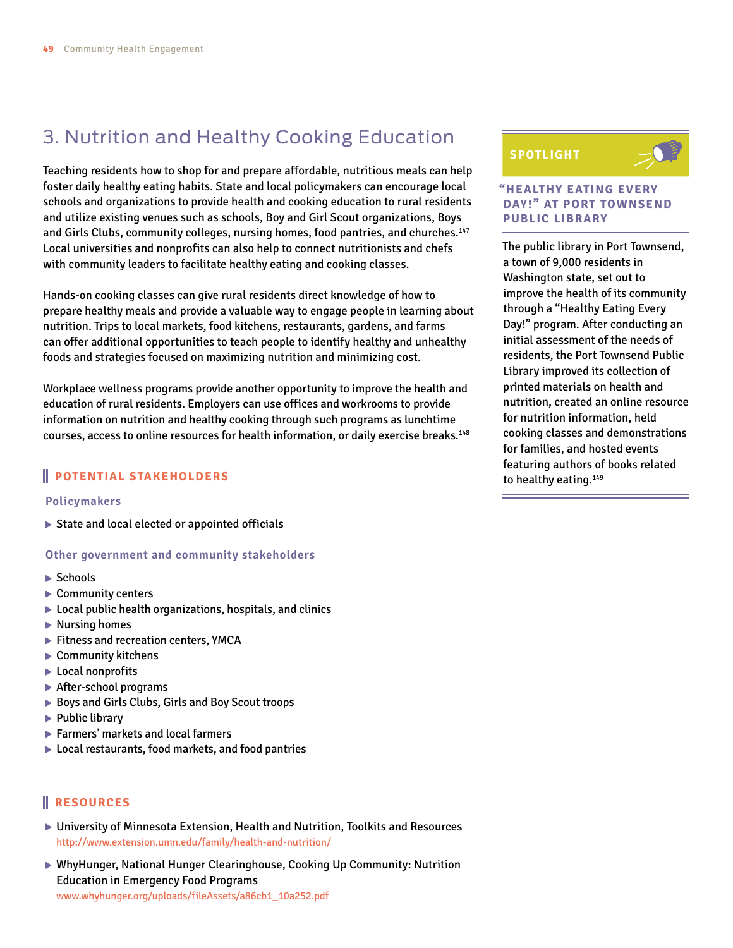## 3. Nutrition and Healthy Cooking Education

Teaching residents how to shop for and prepare affordable, nutritious meals can help foster daily healthy eating habits. State and local policymakers can encourage local schools and organizations to provide health and cooking education to rural residents and utilize existing venues such as schools, Boy and Girl Scout organizations, Boys and Girls Clubs, community colleges, nursing homes, food pantries, and churches.147 Local universities and nonprofits can also help to connect nutritionists and chefs with community leaders to facilitate healthy eating and cooking classes.

Hands-on cooking classes can give rural residents direct knowledge of how to prepare healthy meals and provide a valuable way to engage people in learning about nutrition. Trips to local markets, food kitchens, restaurants, gardens, and farms can offer additional opportunities to teach people to identify healthy and unhealthy foods and strategies focused on maximizing nutrition and minimizing cost.

Workplace wellness programs provide another opportunity to improve the health and education of rural residents. Employers can use offices and workrooms to provide information on nutrition and healthy cooking through such programs as lunchtime courses, access to online resources for health information, or daily exercise breaks.148

#### **POTENTIAL STAKEHOLDERS**

#### **Policymakers**

▶ State and local elected or appointed officials

#### **Other government and community stakeholders**

- $\blacktriangleright$  Schools
- ▶ Community centers
- $\triangleright$  Local public health organizations, hospitals, and clinics
- ▶ Nursing homes
- Fitness and recreation centers, YMCA
- ▶ Community kitchens
- ▶ Local nonprofits
- ▶ After-school programs
- ▶ Boys and Girls Clubs, Girls and Boy Scout troops
- $\blacktriangleright$  Public library
- ▶ Farmers' markets and local farmers
- ▶ Local restaurants, food markets, and food pantries

#### **RESOURCES**

- University of Minnesota Extension, Health and Nutrition, Toolkits and Resources [http://www.extension.umn.edu/family/health-](http://www.extension.umn.edu/family/health)and-nutrition/
- ▶ WhyHunger, National Hunger Clearinghouse, Cooking Up Community: Nutrition Education in Emergency Food Programs

[www.whyhunger.org/uploads/fileAssets/a86cb1\\_10a252.pdf](www.whyhunger.org/uploads/fileAssets/a86cb1_10a252.pdf)

#### **SPOTLIGHT**



#### **"HEALTHY EATING EVERY DAY!" AT PORT TOWNSEND PUBLIC LIBRARY**

The public library in Port Townsend, a town of 9,000 residents in Washington state, set out to improve the health of its community through a "Healthy Eating Every Day!" program. After conducting an initial assessment of the needs of residents, the Port Townsend Public Library improved its collection of printed materials on health and nutrition, created an online resource for nutrition information, held cooking classes and demonstrations for families, and hosted events featuring authors of books related to healthy eating.<sup>149</sup>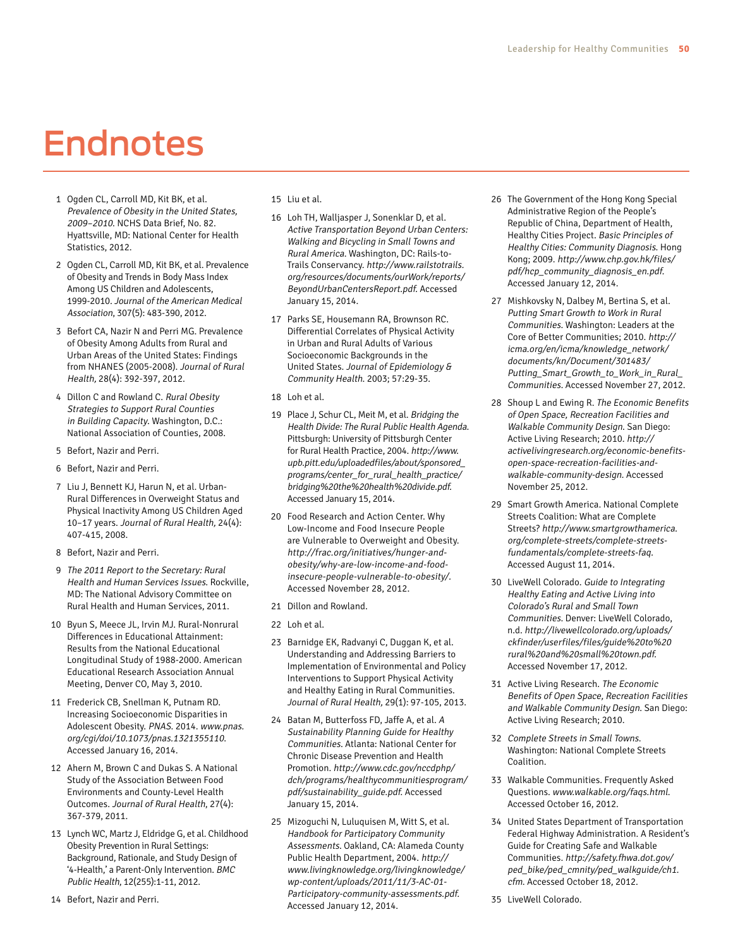# Endnotes

- 1 Ogden CL, Carroll MD, Kit BK, et al. Prevalence of Obesity in the United States, 2009–2010. NCHS Data Brief, No. 82. Hyattsville, MD: National Center for Health Statistics, 2012.
- 2 Ogden CL, Carroll MD, Kit BK, et al. Prevalence of Obesity and Trends in Body Mass Index Among US Children and Adolescents, 1999-2010. Journal of the American Medical Association, 307(5): 483-390, 2012.
- 3 Befort CA, Nazir N and Perri MG. Prevalence of Obesity Among Adults from Rural and Urban Areas of the United States: Findings from NHANES (2005-2008). Journal of Rural Health, 28(4): 392-397, 2012.
- 4 Dillon C and Rowland C. Rural Obesity Strategies to Support Rural Counties in Building Capacity. Washington, D.C.: National Association of Counties, 2008.
- 5 Befort, Nazir and Perri.
- 6 Befort, Nazir and Perri.
- 7 Liu J, Bennett KJ, Harun N, et al. Urban-Rural Differences in Overweight Status and Physical Inactivity Among US Children Aged 10–17 years. Journal of Rural Health, 24(4): 407-415, 2008.
- 8 Befort, Nazir and Perri.
- 9 The 2011 Report to the Secretary: Rural Health and Human Services Issues. Rockville, MD: The National Advisory Committee on Rural Health and Human Services, 2011.
- 10 Byun S, Meece JL, Irvin MJ. Rural-Nonrural Differences in Educational Attainment: Results from the National Educational Longitudinal Study of 1988-2000. American Educational Research Association Annual Meeting, Denver CO, May 3, 2010.
- 11 Frederick CB, Snellman K, Putnam RD. Increasing Socioeconomic Disparities in Adolescent Obesity. PNAS. 2014. [www.pnas.](www.pnas.org/cgi/doi/10.1073/pnas) [org/cgi/doi/10.1073/pnas](www.pnas.org/cgi/doi/10.1073/pnas).1321355110. Accessed January 16, 2014.
- 12 Ahern M, Brown C and Dukas S. A National Study of the Association Between Food Environments and County-Level Health Outcomes. Journal of Rural Health, 27(4): 367-379, 2011.
- 13 Lynch WC, Martz J, Eldridge G, et al. Childhood Obesity Prevention in Rural Settings: Background, Rationale, and Study Design of '4-Health,' a Parent-Only Intervention. BMC Public Health, 12(255):1-11, 2012.
- 15 Liu et al.
- 16 Loh TH, Walljasper J, Sonenklar D, et al. Active Transportation Beyond Urban Centers: Walking and Bicycling in Small Towns and Rural America. Washington, DC: Rails-to-Trails Conservancy. [http://www.railstotrails.](http://www.railstotrails.org/resources/documents/ourWork/reports/BeyondUrbanCentersReport.pdf) [org/resources/documents/ourWork/reports/](http://www.railstotrails.org/resources/documents/ourWork/reports/BeyondUrbanCentersReport.pdf) [BeyondUrbanCentersReport.pdf](http://www.railstotrails.org/resources/documents/ourWork/reports/BeyondUrbanCentersReport.pdf). Accessed January 15, 2014.
- 17 Parks SE, Housemann RA, Brownson RC. Differential Correlates of Physical Activity in Urban and Rural Adults of Various Socioeconomic Backgrounds in the United States. Journal of Epidemiology & Community Health. 2003; 57:29-35.
- 18 Loh et al.
- 19 Place J, Schur CL, Meit M, et al. Bridging the Health Divide: The Rural Public Health Agenda. Pittsburgh: University of Pittsburgh Center for Rural Health Practice, 2004. [http://www.](http://www.upb.pitt.edu/uploadedfiles/about/sponsored_programs/center_for_rural_health_practice/bridging) [upb.pitt.edu/uploadedfiles/about/sponsored\\_](http://www.upb.pitt.edu/uploadedfiles/about/sponsored_programs/center_for_rural_health_practice/bridging) [programs/center\\_for\\_rural\\_health\\_practice/](http://www.upb.pitt.edu/uploadedfiles/about/sponsored_programs/center_for_rural_health_practice/bridging) [bridging](http://www.upb.pitt.edu/uploadedfiles/about/sponsored_programs/center_for_rural_health_practice/bridging)%20the%20health[%20divide.pdf](20divide.pdf). Accessed January 15, 2014.
- 20 Food Research and Action Center. Why Low-Income and Food Insecure People are Vulnerable to Overweight and Obesity. [http://frac.org/initiatives/hunger-and](http://frac.org/initiatives/hunger-and-obesity/why)[obesity/why](http://frac.org/initiatives/hunger-and-obesity/why)-are-low-income-and-foodinsecure-people-vulnerable-to-obesity/. Accessed November 28, 2012.
- 21 Dillon and Rowland.
- 22 Loh et al.
- 23 Barnidge EK, Radvanyi C, Duggan K, et al. Understanding and Addressing Barriers to Implementation of Environmental and Policy Interventions to Support Physical Activity and Healthy Eating in Rural Communities. Journal of Rural Health, 29(1): 97-105, 2013.
- 24 Batan M, Butterfoss FD, Jaffe A, et al. <sup>A</sup> Sustainability Planning Guide for Healthy Communities. Atlanta: National Center for Chronic Disease Prevention and Health Promotion. [http://www.cdc.gov/nccdphp/](http://www.cdc.gov/nccdphp/dch/programs/healthycommunitiesprogram/pdf/sustainability_guide.pdf) [dch/programs/healthycommunitiesprogram/](http://www.cdc.gov/nccdphp/dch/programs/healthycommunitiesprogram/pdf/sustainability_guide.pdf) [pdf/sustainability\\_guide.pdf](http://www.cdc.gov/nccdphp/dch/programs/healthycommunitiesprogram/pdf/sustainability_guide.pdf). Accessed January 15, 2014.
- 25 Mizoguchi N, Luluquisen M, Witt S, et al. Handbook for Participatory Community Assessments. Oakland, CA: Alameda County Public Health Department, 2004. [http://](http://www.livingknowledge.org/livingknowledge/wp-content/uploads/2011/11/3-AC-01-Participatory-community-assessments.pdf) [www.livingknowledge.org/livingknowledge/](http://www.livingknowledge.org/livingknowledge/wp-content/uploads/2011/11/3-AC-01-Participatory-community-assessments.pdf) [wp-content/uploads/2011/11/3-AC-01-](http://www.livingknowledge.org/livingknowledge/wp-content/uploads/2011/11/3-AC-01-Participatory-community-assessments.pdf) [Participatory-community-assessments.pdf](http://www.livingknowledge.org/livingknowledge/wp-content/uploads/2011/11/3-AC-01-Participatory-community-assessments.pdf). Accessed January 12, 2014.
- 26 The Government of the Hong Kong Special Administrative Region of the People's Republic of China, Department of Health, Healthy Cities Project. Basic Principles of Healthy Cities: Community Diagnosis. Hong Kong; 2009. [http://www.chp.gov.hk/files/](http://www.chp.gov.hk/files/pdf/hcp_community_diagnosis_en.pdf) [pdf/hcp\\_community\\_diagnosis\\_en.pdf](http://www.chp.gov.hk/files/pdf/hcp_community_diagnosis_en.pdf). Accessed January 12, 2014.
- 27 Mishkovsky N, Dalbey M, Bertina S, et al. Putting Smart Growth to Work in Rural Communities. Washington: Leaders at the Core of Better Communities; 2010. [http://](http://icma.org/en/icma/knowledge_network/documents/kn/Document/301483/Putting_Smart_Growth_to_Work_in_Rural_Communities) [icma.org/en/icma/knowledge\\_network/](http://icma.org/en/icma/knowledge_network/documents/kn/Document/301483/Putting_Smart_Growth_to_Work_in_Rural_Communities) [documents/kn/Document/301483/](http://icma.org/en/icma/knowledge_network/documents/kn/Document/301483/Putting_Smart_Growth_to_Work_in_Rural_Communities) Putting\_Smart\_Growth\_to\_Work\_in\_Rural [Communities](http://icma.org/en/icma/knowledge_network/documents/kn/Document/301483/Putting_Smart_Growth_to_Work_in_Rural_Communities). Accessed November 27, 2012.
- 28 Shoup L and Ewing R. The Economic Benefits of Open Space, Recreation Facilities and Walkable Community Design. San Diego: Active Living Research; 2010. [http://](http://activelivingresearch.org/economic) [activelivingresearch.org/economic](http://activelivingresearch.org/economic)-benefitsopen-space-recreation-facilities-andwalkable-community-design. Accessed November 25, 2012.
- 29 Smart Growth America. National Complete Streets Coalition: What are Complete Streets? [http://www.smartgrowthamerica.](http://www.smartgrowthamerica.org/complete-streets/complete-streets-fundamentals/complete) [org/complete-streets/complete-streets](http://www.smartgrowthamerica.org/complete-streets/complete-streets-fundamentals/complete)[fundamentals/complete](http://www.smartgrowthamerica.org/complete-streets/complete-streets-fundamentals/complete)-streets-faq. Accessed August 11, 2014.
- 30 LiveWell Colorado. Guide to Integrating Healthy Eating and Active Living into Colorado's Rural and Small Town Communities. Denver: LiveWell Colorado, n.d. [http://livewellcolorado.org/uploads/](http://livewellcolorado.org/uploads/ckfinder/userfiles/files/guide) [ckfinder/userfiles/files/guide](http://livewellcolorado.org/uploads/ckfinder/userfiles/files/guide)%20to%20 rural%20and%20small[%20town.pdf](20town.pdf). Accessed November 17, 2012.
- 31 Active Living Research. The Economic Benefits of Open Space, Recreation Facilities and Walkable Community Design. San Diego: Active Living Research; 2010.
- 32 Complete Streets in Small Towns. Washington: National Complete Streets Coalition.
- 33 Walkable Communities. Frequently Asked Questions. <www.walkable.org/faqs.html>. Accessed October 16, 2012.
- 34 United States Department of Transportation Federal Highway Administration. A Resident's Guide for Creating Safe and Walkable Communities. [http://safety.fhwa.dot.gov/](http://safety.fhwa.dot.gov/ped_bike/ped_cmnity/ped_walkguide/ch1.cfm) [ped\\_bike/ped\\_cmnity/ped\\_walkguide/ch1.](http://safety.fhwa.dot.gov/ped_bike/ped_cmnity/ped_walkguide/ch1.cfm) [cfm](http://safety.fhwa.dot.gov/ped_bike/ped_cmnity/ped_walkguide/ch1.cfm). Accessed October 18, 2012.

<sup>35</sup> LiveWell Colorado.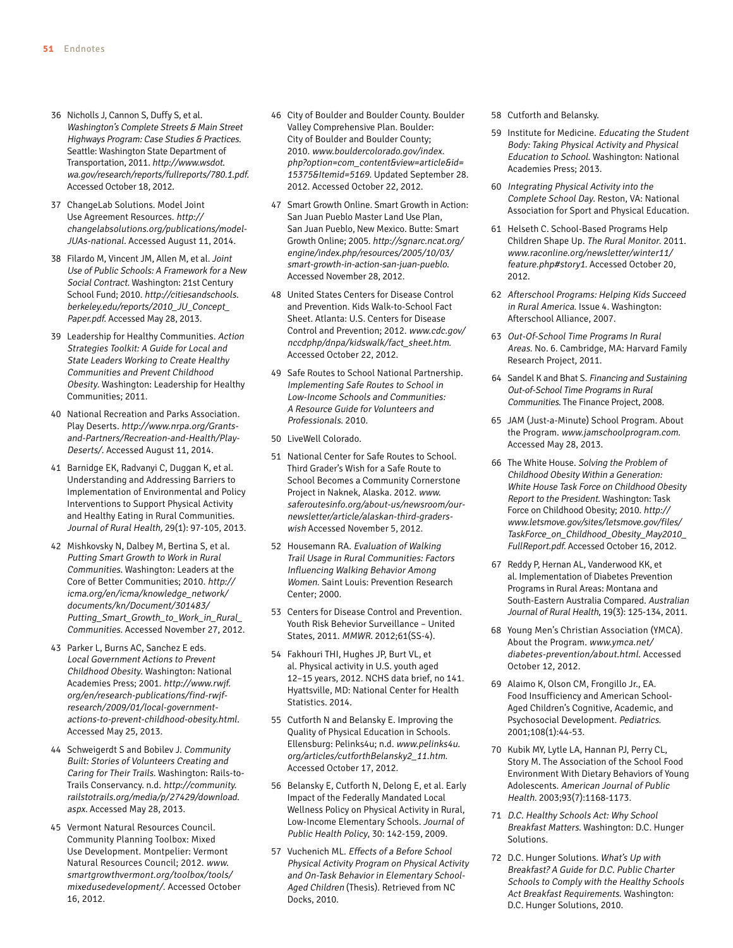- 36 Nicholls J, Cannon S, Duffy S, et al. Washington's Complete Streets & Main Street Highways Program: Case Studies & Practices. Seattle: Washington State Department of Transportation, 2011. [http://www.wsdot.](http://www.wsdot.wa.gov/research/reports/fullreports/780.1.pdf) [wa.gov/research/reports/fullreports/780.1.pdf](http://www.wsdot.wa.gov/research/reports/fullreports/780.1.pdf). Accessed October 18, 2012.
- 37 ChangeLab Solutions. Model Joint Use Agreement Resources. [http://](http://changelabsolutions.org/publications/model) [changelabsolutions.org/publications/model](http://changelabsolutions.org/publications/model)-JUAs-national. Accessed August 11, 2014.
- 38 Filardo M, Vincent JM, Allen M, et al. Joint Use of Public Schools: A Framework for a New Social Contract. Washington: 21st Century School Fund; 2010. [http://citiesandschools.](http://citiesandschools.berkeley.edu/reports/2010_JU_Concept_Paper.pdf) [berkeley.edu/reports/2010\\_JU\\_Concept\\_](http://citiesandschools.berkeley.edu/reports/2010_JU_Concept_Paper.pdf) [Paper.pdf](http://citiesandschools.berkeley.edu/reports/2010_JU_Concept_Paper.pdf). Accessed May 28, 2013.
- 39 Leadership for Healthy Communities. Action Strategies Toolkit: A Guide for Local and State Leaders Working to Create Healthy Communities and Prevent Childhood Obesity. Washington: Leadership for Healthy Communities; 2011.
- 40 National Recreation and Parks Association. Play Deserts. [http://www.nrpa.org/Grants](http://www.nrpa.org/Grants-and-Partners/Recreation-and-Health/Play)[and-Partners/Recreation-and-Health/Play](http://www.nrpa.org/Grants-and-Partners/Recreation-and-Health/Play)-Deserts/. Accessed August 11, 2014.
- 41 Barnidge EK, Radvanyi C, Duggan K, et al. Understanding and Addressing Barriers to Implementation of Environmental and Policy Interventions to Support Physical Activity and Healthy Eating in Rural Communities. Journal of Rural Health, 29(1): 97-105, 2013.
- 42 Mishkovsky N, Dalbey M, Bertina S, et al. Putting Smart Growth to Work in Rural Communities. Washington: Leaders at the Core of Better Communities; 2010. [http://](http://icma.org/en/icma/knowledge_network/documents/kn/Document/301483/Putting_Smart_Growth_to_Work_in_Rural_Communities) [icma.org/en/icma/knowledge\\_network/](http://icma.org/en/icma/knowledge_network/documents/kn/Document/301483/Putting_Smart_Growth_to_Work_in_Rural_Communities) [documents/kn/Document/301483/](http://icma.org/en/icma/knowledge_network/documents/kn/Document/301483/Putting_Smart_Growth_to_Work_in_Rural_Communities) [Putting\\_Smart\\_Growth\\_to\\_Work\\_in\\_Rural\\_](http://icma.org/en/icma/knowledge_network/documents/kn/Document/301483/Putting_Smart_Growth_to_Work_in_Rural_Communities) [Communities](http://icma.org/en/icma/knowledge_network/documents/kn/Document/301483/Putting_Smart_Growth_to_Work_in_Rural_Communities). Accessed November 27, 2012.
- 43 Parker L, Burns AC, Sanchez E eds. Local Government Actions to Prevent Childhood Obesity. Washington: National Academies Press; 2001. [http://www.rwjf.](http://www.rwjf.org/en/research-publications/find-rwjf-research/2009/01/local-government-actions-to-prevent-childhood-obesity.html) [org/en/research-publications/find-rwjf](http://www.rwjf.org/en/research-publications/find-rwjf-research/2009/01/local-government-actions-to-prevent-childhood-obesity.html)[research/2009/01/local-government](http://www.rwjf.org/en/research-publications/find-rwjf-research/2009/01/local-government-actions-to-prevent-childhood-obesity.html)[actions-to-prevent-childhood-obesity.html](http://www.rwjf.org/en/research-publications/find-rwjf-research/2009/01/local-government-actions-to-prevent-childhood-obesity.html). Accessed May 25, 2013.
- 44 Schweigerdt S and Bobilev J. Community Built: Stories of Volunteers Creating and Caring for Their Trails. Washington: Rails-to-Trails Conservancy. n.d. [http://community.](http://community.railstotrails.org/media/p/27429/download.aspx) [railstotrails.org/media/p/27429/download.](http://community.railstotrails.org/media/p/27429/download.aspx) [aspx](http://community.railstotrails.org/media/p/27429/download.aspx). Accessed May 28, 2013.
- 45 Vermont Natural Resources Council. Community Planning Toolbox: Mixed Use Development. Montpelier: Vermont Natural Resources Council; 2012. [www.](www.smartgrowthvermont.org/toolbox/tools/mixedusedevelopment) [smartgrowthvermont.org/toolbox/tools/](www.smartgrowthvermont.org/toolbox/tools/mixedusedevelopment) [mixedusedevelopment/](www.smartgrowthvermont.org/toolbox/tools/mixedusedevelopment). Accessed October 16, 2012.
- 46 City of Boulder and Boulder County. Boulder Valley Comprehensive Plan. Boulder: City of Boulder and Boulder County; 2010. [www.bouldercolorado.gov/index.](www.bouldercolorado.gov/index.php) [php?](www.bouldercolorado.gov/index.php)option=com\_content&view=article&id= 15375&Itemid=5169. Updated September 28. 2012. Accessed October 22, 2012.
- 47 Smart Growth Online. Smart Growth in Action: San Juan Pueblo Master Land Use Plan, San Juan Pueblo, New Mexico. Butte: Smart Growth Online; 2005. [http://sgnarc.ncat.org/](http://sgnarc.ncat.org/engine/index.php/resources/2005/10/03/smart) [engine/index.php/resources/2005/10/03/](http://sgnarc.ncat.org/engine/index.php/resources/2005/10/03/smart) [smart](http://sgnarc.ncat.org/engine/index.php/resources/2005/10/03/smart)-growth-in-action-san-juan-pueblo. Accessed November 28, 2012.
- 48 United States Centers for Disease Control and Prevention. Kids Walk-to-School Fact Sheet. Atlanta: U.S. Centers for Disease Control and Prevention; 2012. [www.cdc.gov/](www.cdc.gov/nccdphp/dnpa/kidswalk/fact_sheet.htm) [nccdphp/dnpa/kidswalk/fact\\_sheet.htm](www.cdc.gov/nccdphp/dnpa/kidswalk/fact_sheet.htm). Accessed October 22, 2012.
- 49 Safe Routes to School National Partnership. Implementing Safe Routes to School in Low-Income Schools and Communities: A Resource Guide for Volunteers and Professionals. 2010.
- 50 LiveWell Colorado.
- 51 National Center for Safe Routes to School. Third Grader's Wish for a Safe Route to School Becomes a Community Cornerstone Project in Naknek, Alaska. 2012. [www.](www.saferoutesinfo.org/about-us/newsroom/our-newsletter/article/alaskan) [saferoutesinfo.org/about-us/newsroom/our](www.saferoutesinfo.org/about-us/newsroom/our-newsletter/article/alaskan)[newsletter/article/alaskan](www.saferoutesinfo.org/about-us/newsroom/our-newsletter/article/alaskan)-third-graderswish Accessed November 5, 2012.
- 52 Housemann RA. Evaluation of Walking Trail Usage in Rural Communities: Factors Influencing Walking Behavior Among Women. Saint Louis: Prevention Research Center; 2000.
- 53 Centers for Disease Control and Prevention. Youth Risk Behevior Surveillance – United States, 2011. MMWR. 2012;61(SS-4).
- 54 Fakhouri THI, Hughes JP, Burt VL, et al. Physical activity in U.S. youth aged 12–15 years, 2012. NCHS data brief, no 141. Hyattsville, MD: National Center for Health Statistics. 2014.
- 55 Cutforth N and Belansky E. Improving the Quality of Physical Education in Schools. Ellensburg: Pelinks4u; n.d. [www.pelinks4u.](www.pelinks4u.org/articles/cutforthBelansky2_11.htm) [org/articles/cutforthBelansky2\\_11.htm](www.pelinks4u.org/articles/cutforthBelansky2_11.htm). Accessed October 17, 2012.
- 56 Belansky E, Cutforth N, Delong E, et al. Early Impact of the Federally Mandated Local Wellness Policy on Physical Activity in Rural, Low-Income Elementary Schools. Journal of Public Health Policy, 30: 142-159, 2009.
- 57 Vuchenich ML. Effects of a Before School Physical Activity Program on Physical Activity and On-Task Behavior in Elementary School-Aged Children (Thesis). Retrieved from NC Docks, 2010.
- 58 Cutforth and Belansky.
- 59 Institute for Medicine. Educating the Student Body: Taking Physical Activity and Physical Education to School. Washington: National Academies Press; 2013.
- 60 Integrating Physical Activity into the Complete School Day. Reston, VA: National Association for Sport and Physical Education.
- 61 Helseth C. School-Based Programs Help Children Shape Up. The Rural Monitor. 2011. [www.raconline.org/newsletter/winter11/](www.raconline.org/newsletter/winter11/feature.php) [feature.php](www.raconline.org/newsletter/winter11/feature.php)#story1. Accessed October 20, 2012.
- 62 Afterschool Programs: Helping Kids Succeed in Rural America. Issue 4. Washington: Afterschool Alliance, 2007.
- 63 Out-Of-School Time Programs In Rural Areas. No. 6. Cambridge, MA: Harvard Family Research Project, 2011.
- 64 Sandel K and Bhat S. Financing and Sustaining Out-of-School Time Programs in Rural Communities. The Finance Project, 2008.
- 65 JAM (Just-a-Minute) School Program. About the Program. <www.jamschoolprogram.com>. Accessed May 28, 2013.
- 66 The White House. Solving the Problem of Childhood Obesity Within a Generation: White House Task Force on Childhood Obesity Report to the President. Washington: Task Force on Childhood Obesity; 2010. [http://](http://www.letsmove.gov/sites/letsmove.gov/files/TaskForce_on_Childhood_Obesity_May2010_FullReport.pdf) [www.letsmove.gov/sites/letsmove.gov/files/](http://www.letsmove.gov/sites/letsmove.gov/files/TaskForce_on_Childhood_Obesity_May2010_FullReport.pdf) [TaskForce\\_on\\_Childhood\\_Obesity\\_May2010\\_](http://www.letsmove.gov/sites/letsmove.gov/files/TaskForce_on_Childhood_Obesity_May2010_FullReport.pdf) [FullReport.pdf](http://www.letsmove.gov/sites/letsmove.gov/files/TaskForce_on_Childhood_Obesity_May2010_FullReport.pdf). Accessed October 16, 2012.
- 67 Reddy P, Hernan AL, Vanderwood KK, et al. Implementation of Diabetes Prevention Programs in Rural Areas: Montana and South-Eastern Australia Compared. Australian Journal of Rural Health, 19(3): 125-134, 2011.
- 68 Young Men's Christian Association (YMCA). About the Program. [www.ymca.net/](www.ymca.net/diabetes-prevention/about.html) [diabetes-prevention/about.html](www.ymca.net/diabetes-prevention/about.html). Accessed October 12, 2012.
- 69 Alaimo K, Olson CM, Frongillo Jr., EA. Food Insufficiency and American School-Aged Children's Cognitive, Academic, and Psychosocial Development. Pediatrics. 2001;108(1):44-53.
- 70 Kubik MY, Lytle LA, Hannan PJ, Perry CL, Story M. The Association of the School Food Environment With Dietary Behaviors of Young Adolescents. American Journal of Public Health. 2003;93(7):1168-1173.
- 71 D.C. Healthy Schools Act: Why School Breakfast Matters. Washington: D.C. Hunger Solutions.
- 72 D.C. Hunger Solutions. What's Up with Breakfast? A Guide for D.C. Public Charter Schools to Comply with the Healthy Schools Act Breakfast Requirements. Washington: D.C. Hunger Solutions, 2010.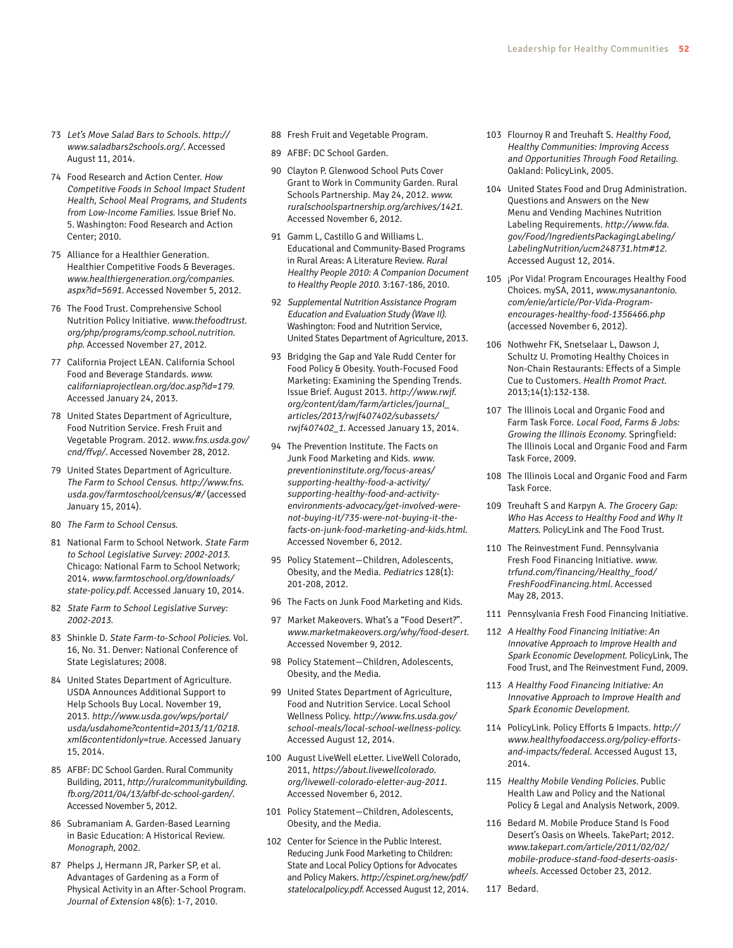- 73 Let's Move Salad Bars to Schools. [http://](http://www.saladbars2schools.org) [www.saladbars2schools.org/](http://www.saladbars2schools.org). Accessed August 11, 2014.
- 74 Food Research and Action Center. How Competitive Foods in School Impact Student Health, School Meal Programs, and Students from Low-Income Families. Issue Brief No. 5. Washington: Food Research and Action Center; 2010.
- 75 Alliance for a Healthier Generation. Healthier Competitive Foods & Beverages. [www.healthiergeneration.org/companies.](www.healthiergeneration.org/companies.aspx) [aspx](www.healthiergeneration.org/companies.aspx)?id=5691. Accessed November 5, 2012.
- 76 The Food Trust. Comprehensive School Nutrition Policy Initiative. [www.thefoodtrust.](www.thefoodtrust.org/php/programs/comp.school.nutrition.php) [org/php/programs/comp.school.nutrition.](www.thefoodtrust.org/php/programs/comp.school.nutrition.php) [php](www.thefoodtrust.org/php/programs/comp.school.nutrition.php). Accessed November 27, 2012.
- 77 California Project LEAN. California School Food and Beverage Standards. [www.](www.californiaprojectlean.org/doc.asp) [californiaprojectlean.org/doc.asp?](www.californiaprojectlean.org/doc.asp)id=179. Accessed January 24, 2013.
- 78 United States Department of Agriculture, Food Nutrition Service. Fresh Fruit and Vegetable Program. 2012. [www.fns.usda.gov/](www.fns.usda.gov/cnd/ffvp) [cnd/ffvp/](www.fns.usda.gov/cnd/ffvp). Accessed November 28, 2012.
- 79 United States Department of Agriculture. The Farm to School Census. [http://www.fns.](http://www.fns.usda.gov/farmtoschool/census) [usda.gov/farmtoschool/census/](http://www.fns.usda.gov/farmtoschool/census)#/ (accessed January 15, 2014).
- 80 The Farm to School Census.
- 81 National Farm to School Network. State Farm to School Legislative Survey: 2002-2013. Chicago: National Farm to School Network; 2014. [www.farmtoschool.org/downloads/](www.farmtoschool.org/downloads/state-policy.pdf) [state-policy.pdf](www.farmtoschool.org/downloads/state-policy.pdf). Accessed January 10, 2014.
- 82 State Farm to School Legislative Survey: 2002-2013.
- 83 Shinkle D. State Farm-to-School Policies. Vol. 16, No. 31. Denver: National Conference of State Legislatures; 2008.
- 84 United States Department of Agriculture. USDA Announces Additional Support to Help Schools Buy Local. November 19, 2013. [http://www.usda.gov/wps/portal/](http://www.usda.gov/wps/portal/usda/usdahome?contentid=2013) [usda/usdahome?contentid=2013](http://www.usda.gov/wps/portal/usda/usdahome?contentid=2013)/11[/0218.](0218.xml) [xml](0218.xml)&contentidonly=true. Accessed January 15, 2014.
- 85 AFBF: DC School Garden. Rural Community Building, 2011, [http://ruralcommunitybuilding.](http://ruralcommunitybuilding.fb.org/2011/04/13/afbf) [fb.org/2011/04/13/afbf](http://ruralcommunitybuilding.fb.org/2011/04/13/afbf)-dc-school-garden/. Accessed November 5, 2012.
- 86 Subramaniam A. Garden-Based Learning in Basic Education: A Historical Review. Monograph, 2002.
- 87 Phelps J, Hermann JR, Parker SP, et al. Advantages of Gardening as a Form of Physical Activity in an After-School Program. Journal of Extension 48(6): 1-7, 2010.
- 88 Fresh Fruit and Vegetable Program.
- 89 AFBF: DC School Garden.
- 90 Clayton P. Glenwood School Puts Cover Grant to Work in Community Garden. Rural Schools Partnership. May 24, 2012. [www.](www.ruralschoolspartnership.org/archives) [ruralschoolspartnership.org/archives/](www.ruralschoolspartnership.org/archives)1421. Accessed November 6, 2012.
- 91 Gamm L, Castillo G and Williams L. Educational and Community-Based Programs in Rural Areas: A Literature Review. Rural Healthy People 2010: A Companion Document to Healthy People 2010. 3:167-186, 2010.
- 92 Supplemental Nutrition Assistance Program Education and Evaluation Study (Wave II). Washington: Food and Nutrition Service, United States Department of Agriculture, 2013.
- 93 Bridging the Gap and Yale Rudd Center for Food Policy & Obesity. Youth-Focused Food Marketing: Examining the Spending Trends. Issue Brief. August 2013. [http://www.rwjf.](http://www.rwjf.org/content/dam/farm/articles/journal_articles/2013/rwjf407402/subassets/rwjf407402_1) [org/content/dam/farm/articles/journal\\_](http://www.rwjf.org/content/dam/farm/articles/journal_articles/2013/rwjf407402/subassets/rwjf407402_1) [articles/2013/rwjf407402/subassets/](http://www.rwjf.org/content/dam/farm/articles/journal_articles/2013/rwjf407402/subassets/rwjf407402_1) [rwjf407402\\_1](http://www.rwjf.org/content/dam/farm/articles/journal_articles/2013/rwjf407402/subassets/rwjf407402_1). Accessed January 13, 2014.
- 94 The Prevention Institute. The Facts on Junk Food Marketing and Kids. [www.](www.preventioninstitute.org/focus-areas/supporting-healthy-food-a-activity/supporting-healthy-food-and-activity-environments-advocacy/get-involved-were-not-buying-it/735-were-not-buying-it-the-facts-on-junk-food-marketing-and-kids.html) [preventioninstitute.org/focus-areas/](www.preventioninstitute.org/focus-areas/supporting-healthy-food-a-activity/supporting-healthy-food-and-activity-environments-advocacy/get-involved-were-not-buying-it/735-were-not-buying-it-the-facts-on-junk-food-marketing-and-kids.html) [supporting-healthy-food-a-activity/](www.preventioninstitute.org/focus-areas/supporting-healthy-food-a-activity/supporting-healthy-food-and-activity-environments-advocacy/get-involved-were-not-buying-it/735-were-not-buying-it-the-facts-on-junk-food-marketing-and-kids.html) [supporting-healthy-food-and-activity](www.preventioninstitute.org/focus-areas/supporting-healthy-food-a-activity/supporting-healthy-food-and-activity-environments-advocacy/get-involved-were-not-buying-it/735-were-not-buying-it-the-facts-on-junk-food-marketing-and-kids.html)[environments-advocacy/get-involved-were](www.preventioninstitute.org/focus-areas/supporting-healthy-food-a-activity/supporting-healthy-food-and-activity-environments-advocacy/get-involved-were-not-buying-it/735-were-not-buying-it-the-facts-on-junk-food-marketing-and-kids.html)[not-buying-it/735-were-not-buying-it-the](www.preventioninstitute.org/focus-areas/supporting-healthy-food-a-activity/supporting-healthy-food-and-activity-environments-advocacy/get-involved-were-not-buying-it/735-were-not-buying-it-the-facts-on-junk-food-marketing-and-kids.html)[facts-on-junk-food-marketing-and-kids.html](www.preventioninstitute.org/focus-areas/supporting-healthy-food-a-activity/supporting-healthy-food-and-activity-environments-advocacy/get-involved-were-not-buying-it/735-were-not-buying-it-the-facts-on-junk-food-marketing-and-kids.html). Accessed November 6, 2012.
- 95 Policy Statement—Children, Adolescents, Obesity, and the Media. Pediatrics 128(1): 201-208, 2012.
- 96 The Facts on Junk Food Marketing and Kids.
- 97 Market Makeovers. What's a "Food Desert?". <www.marketmakeovers.org/why/food>-desert. Accessed November 9, 2012.
- 98 Policy Statement—Children, Adolescents, Obesity, and the Media.
- 99 United States Department of Agriculture, Food and Nutrition Service. Local School Wellness Policy. [http://www.fns.usda.gov/](http://www.fns.usda.gov/school-meals/local) [school-meals/local](http://www.fns.usda.gov/school-meals/local)-school-wellness-policy. Accessed August 12, 2014.
- 100 August LiveWell eLetter. LiveWell Colorado, 2011, [https://about.livewellcolorado.](https://about.livewellcolorado.org/livewell) [org/livewell](https://about.livewellcolorado.org/livewell)-colorado-eletter-aug-2011. Accessed November 6, 2012.
- 101 Policy Statement—Children, Adolescents, Obesity, and the Media.
- 102 Center for Science in the Public Interest. Reducing Junk Food Marketing to Children: State and Local Policy Options for Advocates and Policy Makers. [http://cspinet.org/new/pdf/](http://cspinet.org/new/pdf/statelocalpolicy.pdf) [statelocalpolicy.pdf](http://cspinet.org/new/pdf/statelocalpolicy.pdf). Accessed August 12, 2014.
- 103 Flournoy R and Treuhaft S. Healthy Food, Healthy Communities: Improving Access and Opportunities Through Food Retailing. Oakland: PolicyLink, 2005.
- 104 United States Food and Drug Administration. Questions and Answers on the New Menu and Vending Machines Nutrition Labeling Requirements. [http://www.fda.](http://www.fda.gov/Food/IngredientsPackagingLabeling/LabelingNutrition/ucm248731.htm) [gov/Food/IngredientsPackagingLabeling/](http://www.fda.gov/Food/IngredientsPackagingLabeling/LabelingNutrition/ucm248731.htm) [LabelingNutrition/ucm248731.htm](http://www.fda.gov/Food/IngredientsPackagingLabeling/LabelingNutrition/ucm248731.htm)#12. Accessed August 12, 2014.
- 105 ¡Por Vida! Program Encourages Healthy Food Choices. mySA, 2011, [www.mysanantonio.](www.mysanantonio.com/enie/article/Por-Vida-Program-encourages-healthy-food-1356466.php) [com/enie/article/Por-Vida-Program](www.mysanantonio.com/enie/article/Por-Vida-Program-encourages-healthy-food-1356466.php)[encourages-healthy-food-1356466.php](www.mysanantonio.com/enie/article/Por-Vida-Program-encourages-healthy-food-1356466.php) (accessed November 6, 2012).
- 106 Nothwehr FK, Snetselaar L, Dawson J, Schultz U. Promoting Healthy Choices in Non-Chain Restaurants: Effects of a Simple Cue to Customers. Health Promot Pract. 2013;14(1):132-138.
- 107 The Illinois Local and Organic Food and Farm Task Force. Local Food, Farms & Jobs: Growing the Illinois Economy. Springfield: The Illinois Local and Organic Food and Farm Task Force, 2009.
- 108 The Illinois Local and Organic Food and Farm Task Force.
- 109 Treuhaft S and Karpyn A. The Grocery Gap: Who Has Access to Healthy Food and Why It Matters. PolicyLink and The Food Trust.
- 110 The Reinvestment Fund. Pennsylvania Fresh Food Financing Initiative. [www.](www.trfund.com/financing/Healthy_food/FreshFoodFinancing.html) [trfund.com/financing/Healthy\\_food/](www.trfund.com/financing/Healthy_food/FreshFoodFinancing.html) [FreshFoodFinancing.html](www.trfund.com/financing/Healthy_food/FreshFoodFinancing.html). Accessed May 28, 2013.
- 111 Pennsylvania Fresh Food Financing Initiative.
- 112 A Healthy Food Financing Initiative: An Innovative Approach to Improve Health and Spark Economic Development. PolicyLink, The Food Trust, and The Reinvestment Fund, 2009.
- 113 A Healthy Food Financing Initiative: An Innovative Approach to Improve Health and Spark Economic Development.
- 114 PolicyLink. Policy Efforts & Impacts. [http://](http://www.healthyfoodaccess.org/policy-efforts-and-impacts/federal) [www.healthyfoodaccess.org/policy-efforts](http://www.healthyfoodaccess.org/policy-efforts-and-impacts/federal)[and-impacts/federal](http://www.healthyfoodaccess.org/policy-efforts-and-impacts/federal). Accessed August 13, 2014.
- 115 Healthy Mobile Vending Policies. Public Health Law and Policy and the National Policy & Legal and Analysis Network, 2009.
- 116 Bedard M. Mobile Produce Stand Is Food Desert's Oasis on Wheels. TakePart; 2012. [www.takepart.com/article/2011/02/02/](www.takepart.com/article/2011/02/02/mobile) [mobile](www.takepart.com/article/2011/02/02/mobile)-produce-stand-food-deserts-oasiswheels. Accessed October 23, 2012.
- 117 Bedard.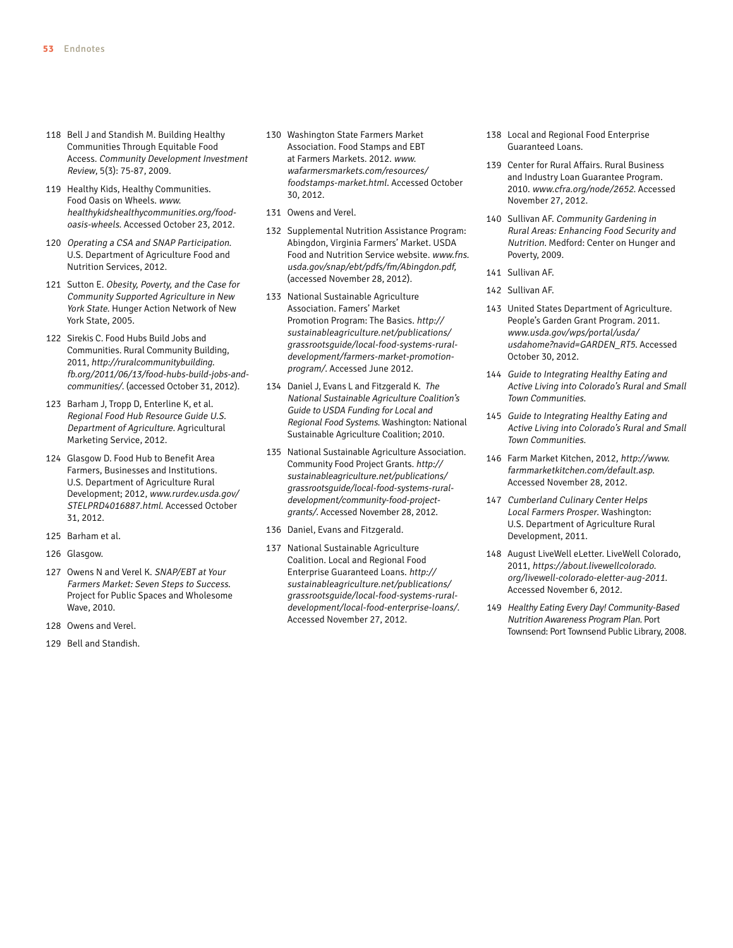- 118 Bell J and Standish M. Building Healthy Communities Through Equitable Food Access. Community Development Investment Review, 5(3): 75-87, 2009.
- 119 Healthy Kids, Healthy Communities. Food Oasis on Wheels. [www.](www.healthykidshealthycommunities.org/food) [healthykidshealthycommunities.org/food](www.healthykidshealthycommunities.org/food)oasis-wheels. Accessed October 23, 2012.
- 120 Operating a CSA and SNAP Participation. U.S. Department of Agriculture Food and Nutrition Services, 2012.
- 121 Sutton E. Obesity, Poverty, and the Case for Community Supported Agriculture in New York State. Hunger Action Network of New York State, 2005.
- 122 Sirekis C. Food Hubs Build Jobs and Communities. Rural Community Building, 2011, [http://ruralcommunitybuilding.](http://ruralcommunitybuilding.fb.org/2011/06/13/food) [fb.org/2011/06/13/food](http://ruralcommunitybuilding.fb.org/2011/06/13/food)-hubs-build-jobs-andcommunities/. (accessed October 31, 2012).
- 123 Barham J, Tropp D, Enterline K, et al. Regional Food Hub Resource Guide U.S. Department of Agriculture. Agricultural Marketing Service, 2012.
- 124 Glasgow D. Food Hub to Benefit Area Farmers, Businesses and Institutions. U.S. Department of Agriculture Rural Development; 2012, [www.rurdev.usda.gov/](www.rurdev.usda.gov/STELPRD4016887.html) [STELPRD4016887.html](www.rurdev.usda.gov/STELPRD4016887.html). Accessed October 31, 2012.
- 125 Barham et al.
- 126 Glasgow.
- 127 Owens N and Verel K. SNAP/EBT at Your Farmers Market: Seven Steps to Success. Project for Public Spaces and Wholesome Wave, 2010.
- 128 Owens and Verel.
- 129 Bell and Standish.
- 130 Washington State Farmers Market Association. Food Stamps and EBT at Farmers Markets. 2012. [www.](www.wafarmersmarkets.com/resources/foodstamps-market.html) [wafarmersmarkets.com/resources/](www.wafarmersmarkets.com/resources/foodstamps-market.html) [foodstamps-market.html](www.wafarmersmarkets.com/resources/foodstamps-market.html). Accessed October 30, 2012.
- 131 Owens and Verel.
- 132 Supplemental Nutrition Assistance Program: Abingdon, Virginia Farmers' Market. USDA Food and Nutrition Service website. [www.fns.](www.fns.usda.gov/snap/ebt/pdfs/fm/Abingdon.pdf) [usda.gov/snap/ebt/pdfs/fm/Abingdon.pdf](www.fns.usda.gov/snap/ebt/pdfs/fm/Abingdon.pdf), (accessed November 28, 2012).
- 133 National Sustainable Agriculture Association. Famers' Market Promotion Program: The Basics. [http://](http://sustainableagriculture.net/publications/grassrootsguide/local-food-systems-rural-development/farmers) [sustainableagriculture.net/publications/](http://sustainableagriculture.net/publications/grassrootsguide/local-food-systems-rural-development/farmers) [grassrootsguide/local-food-systems-rural](http://sustainableagriculture.net/publications/grassrootsguide/local-food-systems-rural-development/farmers)[development/farmers](http://sustainableagriculture.net/publications/grassrootsguide/local-food-systems-rural-development/farmers)-market-promotionprogram/. Accessed June 2012.
- 134 Daniel J, Evans L and Fitzgerald K. The National Sustainable Agriculture Coalition's Guide to USDA Funding for Local and Regional Food Systems. Washington: National Sustainable Agriculture Coalition; 2010.
- 135 National Sustainable Agriculture Association. Community Food Project Grants. [http://](http://sustainableagriculture.net/publications/grassrootsguide/local-food-systems-rural-development/community) [sustainableagriculture.net/publications/](http://sustainableagriculture.net/publications/grassrootsguide/local-food-systems-rural-development/community) [grassrootsguide/local-food-systems-rural](http://sustainableagriculture.net/publications/grassrootsguide/local-food-systems-rural-development/community)[development/community](http://sustainableagriculture.net/publications/grassrootsguide/local-food-systems-rural-development/community)-food-projectgrants/. Accessed November 28, 2012.
- 136 Daniel, Evans and Fitzgerald.
- 137 National Sustainable Agriculture Coalition. Local and Regional Food Enterprise Guaranteed Loans. [http://](http://sustainableagriculture.net/publications/grassrootsguide/local-food-systems-rural-development/local) [sustainableagriculture.net/publications/](http://sustainableagriculture.net/publications/grassrootsguide/local-food-systems-rural-development/local) [grassrootsguide/local-food-systems-rural](http://sustainableagriculture.net/publications/grassrootsguide/local-food-systems-rural-development/local)[development/local](http://sustainableagriculture.net/publications/grassrootsguide/local-food-systems-rural-development/local)-food-enterprise-loans/. Accessed November 27, 2012.
- 138 Local and Regional Food Enterprise Guaranteed Loans.
- 139 Center for Rural Affairs. Rural Business and Industry Loan Guarantee Program. 2010. <www.cfra.org/node>/2652. Accessed November 27, 2012.
- 140 Sullivan AF. Community Gardening in Rural Areas: Enhancing Food Security and Nutrition. Medford: Center on Hunger and Poverty, 2009.
- 141 Sullivan AF.
- 142 Sullivan AF.
- 143 United States Department of Agriculture. People's Garden Grant Program. 2011. [www.usda.gov/wps/portal/usda/](www.usda.gov/wps/portal/usda/usdahome) [usdahome](www.usda.gov/wps/portal/usda/usdahome)?navid=GARDEN\_RT5. Accessed October 30, 2012.
- 144 Guide to Integrating Healthy Eating and Active Living into Colorado's Rural and Small Town Communities.
- 145 Guide to Integrating Healthy Eating and Active Living into Colorado's Rural and Small Town Communities.
- 146 Farm Market Kitchen, 2012, [http://www.](http://www.farmmarketkitchen.com/default.asp) [farmmarketkitchen.com/default.asp](http://www.farmmarketkitchen.com/default.asp). Accessed November 28, 2012.
- 147 Cumberland Culinary Center Helps Local Farmers Prosper. Washington: U.S. Department of Agriculture Rural Development, 2011.
- 148 August LiveWell eLetter. LiveWell Colorado, 2011, [https://about.livewellcolorado.](https://about.livewellcolorado.org/livewell) [org/livewell](https://about.livewellcolorado.org/livewell)-colorado-eletter-aug-2011. Accessed November 6, 2012.
- 149 Healthy Eating Every Day! Community-Based Nutrition Awareness Program Plan. Port Townsend: Port Townsend Public Library, 2008.